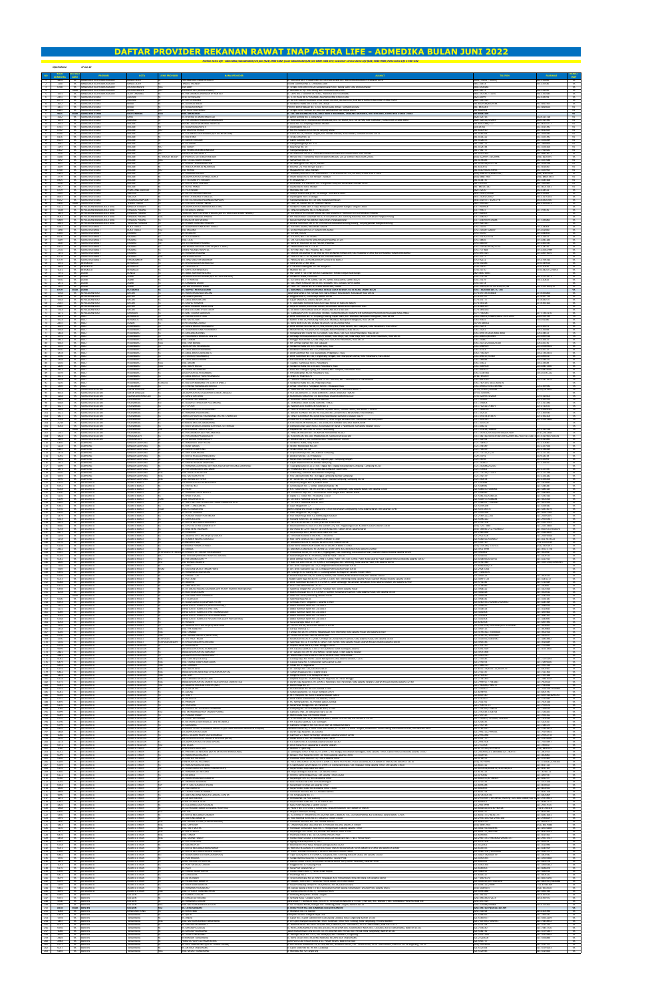|                                                              |                                                             |                               |                                                                                              |                                                                                        |                                     | <b>NAMA PROVIDE</b>                                                                                                                                |                                                                                                                                                                                                                                                                                                                             |                                                                                   |                                                             |                             |
|--------------------------------------------------------------|-------------------------------------------------------------|-------------------------------|----------------------------------------------------------------------------------------------|----------------------------------------------------------------------------------------|-------------------------------------|----------------------------------------------------------------------------------------------------------------------------------------------------|-----------------------------------------------------------------------------------------------------------------------------------------------------------------------------------------------------------------------------------------------------------------------------------------------------------------------------|-----------------------------------------------------------------------------------|-------------------------------------------------------------|-----------------------------|
| $\overline{2}$<br>$\overline{\mathbf{3}}$                    | '4836<br>1100<br>6708                                       |                               | YA NANGGROE ACEH DARUSSALAM<br>YA NANGGROE ACEH DARUSSALAM<br>YA NANGGROE ACEH DARUSSALAM    | <b>BANDA ACEH</b><br><b>BANDA ACEH</b><br>LHOKSEUMAWI                                  | RSL                                 | PERTAMEDIKA UMMI ROSNATI<br>ENGKU FAKINAH<br>SIA ABBY                                                                                              | JL. SEKOLAH MO. 5 GAMPONG ATEUK PAHLAAWN KEC. BAITURRAHMAN KOTA BANDA ACEH<br>Jl Jend Sudirman No 27-29 Banda Aceh<br>Jl. Tengku Chik Ditiro No 28 Lancang Garam Kec. Banda Sakti Kota Lhokseumawe                                                                                                                          | (0651) 35092 / 35905<br>0651-41454<br>0645-6500284                                | 065135098<br>0651-47646                                     | YA<br>YA<br>YA              |
| $\overline{4}$<br>$\overline{\phantom{0}}$<br>6 <sup>5</sup> | '1655<br>2351                                               |                               | TIDAK NANGGROE ACEH DARUSSALAM<br>YA NANGGROE ACEH DARUSSALAM<br>YA SUMATERA UTARA           | <b>I HOKSELIMAWE</b><br>ACEH TAMIANG<br><b>ASAHAN</b>                                  |                                     | SU KASIH IBU (Lhokse<br>S. PERTAMINA LAPANGAN EP RANTAU<br>S SETIO HUSODO                                                                          | Jl. Merdeka 17 Sp. Kuta Blang NAD Lhokseumawe 24351<br>JL, CEPU NO.1 KOMPERTA FIEKD. RANTAU ACEH TAMIANG<br>JL. S. M. RAJA NO 67 KISARAN, ASAHAN SUMATERA UTARA                                                                                                                                                             | 0645-48713<br>0641-350185 / 31165<br>0623-44999                                   | 0645-42696<br>0641-350185<br>0623-43394                     | YA<br>YA<br>YA.             |
| $\overline{7}$<br>$\overline{\mathbf{8}}$<br>9               | B772<br>1652<br>1811                                        | YA                            | <b>SUMATERA UTARA</b><br>YA SUMATERA UTARA<br>YA SUMATERA UTARA                              | ASAHAN<br>BINJAI<br>LALVIIB                                                            |                                     | S. SAPTA MEDIKA<br>. LATERSIA BINJA<br>S. BIDADARI BINJA<br><b>SU. RATU MAS BINJA</b>                                                              | IL. DATUK UMAR PALANGKI DESATANAH MERAH, INDRAPURA, KAB BATU BARA SUMATERA UTARA 21265<br>II. Soekarno Hatta Km. 18 No. 451, Binjai<br>Perintis kemerdekaan No. 174 A, Kebun Lada, Binjai - Sumatera Utara                                                                                                                  | 0622-5431525<br>061-8829588/882978<br>061-8830003                                 | 061-8822565<br>061-8826004                                  | YA<br>YA<br>YA              |
| 10<br>$\overline{11}$<br>12<br>13                            | 9025<br>1542<br>'1653                                       |                               | <b>TIDAK SUMATERA UTARA</b><br>VA SUMATERA UTARA<br>YA SUMATERA UTARA                        | <b>DELI SERDAN</b><br>KARO<br>LANGKAT                                                  | RSIA                                | <b>IKARAHARA AI</b> 25<br>RS. EFARINA ETAHAM BRASTAGI<br>S. PERTAMINA PANGKALAN BRANDAN                                                            | Tengku Amir Hamzah No 281A Kel Jatimakmur Kec. Binjai Utara<br>.<br>IL SULTAN SEDANG NO.100, DESA BUNTU BEDIMBAR, TANJUNG MORAWA, DELI SERDANG, SUMATERA UTARA 20362<br>Jl. Jamin Ginting No. 1, Desa Raya<br>JL. WAHIDIN NO.01 PANGKALAN BRANDAN, KEL. SEI BILAH, KEC. SEI LEPAN, KAB. LANGKAT, SUMATERA UTARA 20857       | 061-80042199<br>0628-323716<br>0620-322612/322455                                 | 0628-213718<br>0620-323392                                  | YA<br>YA<br>YA<br>YA        |
| 14<br>15<br>16                                               | 2053<br>0741<br>0742                                        |                               | YA SUMATERA UTARA<br>YA SUMATERA UTARA<br>YA SUMATERA UTARA                                  | MEDAN<br>MEDAN<br><b>MEDAN</b>                                                         | <b>RSU</b>                          | IURNI TEGUH MEMORIAL HOSPITAL<br>S. ISLAM MALAHAYAT<br><b>SU. MARTHA FRISKA</b>                                                                    | Jl. Jawa No. 32, Simpang Veteran Medan<br>Il. Diponegoro No,2-4<br>Jl. Kol. Yos Sudarso Km. 6 No. 91 Tanjung Mulia                                                                                                                                                                                                          | 061-80501888/777<br>614518766<br>061-6610910                                      | 061-80501777<br>061-4515392<br>061-6612005                  | YA<br>YA<br>YA              |
| 17<br>18<br>19                                               | 0590<br>0416<br>0523                                        |                               | YA SUMATERA UTARA<br>YA SUMATERA UTARA<br>YA SUMATERA UTARA                                  | MEDAN<br>MEDAN<br>MEDAN                                                                |                                     | S. COLUMBIA ASIA MEDAN (D/H GLENI MEDAN)<br>S. MATERNA<br>S. ADVENT MEDAN                                                                          | Jl. Listrik No.2A, Petisah Tengah, Kec. Medan Petisah, Kota Medan, Sumatera Utara 20112<br>Jl. Teuku Umar No. 11<br>Jl. Gatot Subroto, Km 4                                                                                                                                                                                 | 061-4566368<br>061-4514222<br>061-4524875                                         | 061-4566585<br>061-4155392<br>161-4154839                   | YA<br>YA<br>YA              |
| 20<br>21<br>22                                               | 1061<br>1193<br>0322                                        | YA                            | YA SUMATERA UTARA<br>SUMATERA UTARA<br>YA SUMATERA UTARA                                     | <b>MEDAN</b><br>MEDAN<br>MEDAN                                                         | <b>RSU</b>                          | RS. ESTOMIHI<br>SU. SARAH<br>SIL PERMATA RUNDA MEDAN                                                                                               | Jl. Sisingamangaraja No. 235<br>Jl. Baja Raya No. 10<br>II. Sisingamangaraja No. 7                                                                                                                                                                                                                                          | 061-7861771<br>061-4528744<br>061-7362777                                         | 061-7866660<br>061-4158166<br>161-7320222                   | YA<br>YA<br>YA              |
| 23<br>24<br>25                                               | 7030<br>4168<br>1592                                        |                               | VA SUMATERA UTARA<br>YA SUMATERA UTARA<br>YA SUMATERA UTARA                                  | <b>MEDAN</b><br>MEDAN<br>MEDAN                                                         | RS. KHUSUS BEDAH                    | <b>ISU ROYAL MATERNITY</b><br>ORTHOPEDIC SETIA BUDI MEDAN<br>SIA. STELLA MARIS MEDAN                                                               | Jl. Sei Mencirim No 55-57 Kelurahan Babura Kecamatan Medan Baru Kota Medan<br>JI. MESJID NO.3 TANJUNG REJO MEDAN SUNGGAL 20122 SUMATERA UTARA 20154<br>Jl. Samanhudi No. 20                                                                                                                                                 | 061-42002419<br>(061) 8220995; 8220996<br>061-4158383                             | 061-88814071<br>(061) 8220955<br>061-4157088                | YA<br>YA<br>YA              |
| $\frac{26}{27}$<br>28                                        | 1651<br>1649<br>0740                                        |                               | YA SUMATERA UTARA<br>YA SUMATERA UTARA<br>YA SUMATERA UTARA                                  | MEDAN<br>MEDAN<br>MEDAN                                                                | <b>RSU</b>                          | S RUNDA THAMRIN MEDAN<br>S. IMELDA PEKERJA INDONESIA<br><b>SU. HERNA</b>                                                                           | Jl. Sei Batanghari No. 28/30, Meda<br>Jl. Bilal No. 24, Pulo Brayan Darat 1<br>Jl. Majapahit no 118A, Medan                                                                                                                                                                                                                 | 061-4553928/455731<br>061-6610072<br>061-4510766/415395                           | 61-4558218<br>061-6618457<br>061-4153955                    | YA<br>YA<br>YA              |
| 29<br>30<br>31                                               | 6482<br>3779<br>0925                                        |                               | YA SUMATERA UTARA<br>VA SUMATERA UTARA<br>YA SUMATERA UTARA                                  | <b>MEDAN</b><br>MEDAN<br>MEDAN                                                         |                                     | S HERMINA MEDAN<br>LOAM HOSPITALS DHIRGA SURYA<br>S. ST ELISABETH - MEDAN                                                                          | II. ASRAMA/AMPERA II SEI SIKAMBING C-II MEDAN HEI VETIA. MEDAN, SUMATERA UTARA<br>Jl. Imam Boniol no. 6. Kel Petisah - Medan<br>Jl. H. Misbah No. 7                                                                                                                                                                         | (061) 80862525/808<br>(061) 8888 1900<br>061-4144737                              | 061) 80867690<br>(061) 8888 1933<br>061-4143168             | YA<br>YA<br>YA              |
| 32<br>33<br>34                                               | 2028<br>3957<br>0719                                        |                               | YA SUMATERA UTARA<br>YA SUMATERA UTARA<br>YA SUMATERA UTARA                                  | MEDAN<br><b>MEDAN</b><br>PEMATANG SIANTAR                                              |                                     | S. MITRA SEJATI MEDAN<br>S. ROYAL PRIMA<br>S. VITA INSANI                                                                                          | Jl. Jend.Besar A.H Nasution no.7 Pangkalan Masyhur Kecamatan Medan Johor<br>Il. Ayahanda no 68 A, Medan<br>Jl. Merdeka No. 329                                                                                                                                                                                              | 061-7875967<br>061-888131182<br>0622-22520                                        | 161-7850261<br>061-80013181<br>1622-24521                   | YA<br>YA<br>YA              |
| 35<br>36<br>37                                               | 2249<br>8063<br>6552                                        |                               | YA SUMATERA UTARA<br>YA SUMATERA UTARA<br>YA SUMATERA UTARA                                  | SIBOLGA<br>SIBOLGA<br><b>PADANGSIDIMPUAN</b>                                           |                                     | . METTA MEDIKA SIBOLGA<br>S ΜΕΤΤΑ ΜΕΠΙΚΑ ΙΙ SIROI GA<br>S. METTA MEDIKA PADANGSIDIMPUAN                                                            | Jl. Sutoyo Siswomiharjo No. 34 Sibolga - Sumatera Utara<br>Jl. Diponegoro No 6-8 Sibolga<br>Jl. Sisingamangaraja No 113 Kota Padangsidimpuan                                                                                                                                                                                | 0631-25007/2500<br>0631-24001/24002<br>0634-4320777, 4320777                      | 1631-25006<br>0631-3270144<br>0634-4320706                  | YA<br>YA<br>YA              |
| 38<br>39<br>40                                               | '6460<br>'6122<br>'1508                                     |                               | TIDAK SUMATERA UTARA<br>YA KEPULAUAN BANGKA BELITUNG<br>YA KEPULAUAN BANGKA BELITUNG         | <b>TEBING TINGGI</b><br><b>BANGKA TENGAH</b><br>PANGKAL PINANG                         |                                     | <b>IS. CHEVANI TEBING TINGGI</b><br>ILOAM HOSPITALS BANGKA BELITUP<br>S. MEDIKA STANNIA                                                            | JL. PROF M. YAMIN NO.17 TEBING TINGGI<br>Jl. Soekarno Hatta (d/h Jl. Raya Koba) Km.5 Kabupaten Bangka Tengah 33684<br>IL. JEND.SUDIRMAN, NO.3, SUNGAI LIAT                                                                                                                                                                  | 0621-3950222<br>0717-9190900<br>0717-95837                                        | 1621-3950221<br>17-93335                                    | YA<br>YA<br>YA              |
| 41<br>42<br>43<br>44                                         | '1443<br>'8042<br>'6889<br>'4842                            |                               | YA KEPULAUAN BANGKA BELITUNG<br>YA KEPULAUAN BANGKA BELITUNG<br>YA KEPULAUAN BANGKA BELITUNG | PANGKAL PINANG<br>PANGKAL PINANG<br>PANGKAL PINANG<br>TANJUNG PANDAI                   | RSIA                                | RIMAYA HOSPITAL BHAKTI WARA (d/h RS. KHATOLIK BHAKTI WARA)<br>ISIA RONA PANGKAL PINANG<br>S KALBU INTAN MEDIKA                                     | JL: SOLIHIN GP KEL GAJAH MADA NO.180 ASAM KEC, RANGKUI KOTA PANGKAL PINANG<br>Jl. KH. Hasan Basri Sulaiman No 20. RT 01/RW 01, Kel. Gedung Nasional, Kec, Tamansari Pangkal Pinang<br>Jl. Basuki Rachmat No.888 Kel. Batu Intan, Pangkalpinang                                                                              | 0717-422605<br>0717-438450<br>0717-434099/910588                                  | 717-436863                                                  | YA<br>YA<br>YA              |
| 45<br>46<br>47                                               | '0687<br>1398<br>0304                                       |                               | YA KEPULAUAN BANGKA BELITUNG<br>YA SUMATERA BARAT<br>YA SUMATERA BARAT<br>YA SUMATERA BARAT  | <b>BUKITTINGGI</b><br><b>BUKITTINGG</b><br>PADANG                                      |                                     | . UTAMA TANJUNG PANDAN<br>IS. ISLAM IBNU SINA BUKIT TINGGI<br>SU. MADINA<br>S. SELAGURI                                                            | l. Jendral Sudirman KM 03 RT 019 RW 008 Kelurahan Lesung Batang, Tanjungpandan Bangka Belitung<br>JL. BATANG AGAM, BELAKANG BALOK<br>JL. GURU HAMZAH NO.17 SUMATERA BARAT<br>JL. A.YANI, NO.26                                                                                                                              | 0719-9222211<br>0752-21105<br>0752-21388/ 62666<br>0751-33010                     | 752-34009<br>752-626667<br>751-840051                       | YA<br>YA<br>YA<br>YA        |
| 48<br>49                                                     | 0616<br>1569                                                |                               | YA SUMATERA BARAT<br>YA SUMATERA BARAT                                                       | PADANG<br>PADANG                                                                       | <b>RSIA</b>                         | S. YOS SUDARSO<br>RSIA. CICIK<br>RSI. SITI RAHMAH PADANG                                                                                           | JL, SITUJUH, NO.1 JATI BARU<br>JL. DR. SUTOMO NO.94 MARAPALAM PADANG 25125                                                                                                                                                                                                                                                  | 0751-33230/3323<br>0751-38846                                                     | 751-31811<br>751-841286                                     | YA<br>YA                    |
| 50<br>51<br>52<br>53                                         | 1320<br>0423<br>2714<br>'7131                               |                               | YA SUMATERA BARAT<br>YA SUMATERA BARAT<br>YA SUMATERA BARAT<br>YA SUMATERA BARAT             | PADANG<br>PADANG<br>PADANG<br>PADANG                                                   | RSI                                 | SU. BUNDA MEDICAL CENTER (RSU. C-BMC)<br>EMEN PADANG HOSPITAL<br>S. HERMINA PADAN                                                                  | JL. RAYA BY PASS KM 15 AIE PACAH, PADANG<br><b>PROKLAMASI NO 31-33-37</b><br>JL. BY PASS KM 7 KEL PISANG, KEC. PAUH<br>JL. KHATIB SULAIMAN RT.01/RW.12, KEL.GUNUNG PANGILUN, KEC.PADANG UTARA, KOTA PADANG, SUMATERA BARAT                                                                                                  | 0751-463059<br>0751-23164/2953<br>0751-777 888<br>0751-8972529                    | 1751-463531<br>751-24750<br>751-4782 999<br>751-8973535     | YA<br>YA<br>YA<br>YA        |
| 54<br>55<br>56                                               | 6779<br>6779<br>'1551                                       |                               | YA SUMATERA BARAT<br>YA SUMATERA BARAT<br>YA BENGKULU                                        | PADANG<br>PAYAKUMBUH<br>BENGKULU                                                       | RSIA                                | SIA LENGGOGENI<br>SI, IBNU SINA PAYAKUMBUH<br>S. BHAYANGKARA BENGKULU                                                                              | L. PURUS II NO.1 RT.03/RW.04.KEC.PADANG BARAT<br>ΙΙ ΡΕΜΠΩΔΝΟ 14 ΡΑΥΔΚΗΜΒΙΗ SΗΜΑΤΕRΑ ΒΑΒΑΤ<br>Jl. Veteran No. 2, Kel. Jitra                                                                                                                                                                                                  | 0751-33777<br>0752-92222<br>0736-341086                                           | 752-796744<br>1736-349050                                   | YA<br>YA<br>YA              |
| 57<br>58<br>59                                               | '0848<br>'1021<br>'7972                                     | YA JAMBI                      | YA BENGKULU<br>YA BENGKULU                                                                   | BENGKULU<br>BENGKULU<br><b>BUNGO</b>                                                   |                                     | S. TIARA SELLA<br>S. RAFFLESIA BENGKULL<br><b>S JARAI RAHMAH MEDIKA</b>                                                                            | Jl. S. Parman Padang No. 61 Jati Bengkulu<br>Jl. Mahoni No. 10<br>Jl. RM Taher RT 015 RW 005 Kel. Cadika Kec. Rimbo Tengah Kab Bungo                                                                                                                                                                                        | 0736-20350<br>0736-21710<br>0821 8032 0001                                        | 1736-20626<br>736-342677/2195                               | YA<br>YA<br>YA              |
| 60<br>61<br>62                                               | '0894<br>'0550<br>'2372                                     | YA JAMB<br>YA JAMBI           | YA JAMBI                                                                                     | <b>JAMBI</b><br><b>JAMBI</b>                                                           |                                     | OAM HOSPITALS JAMBI (D/H RS. ASIA MEDIKA)<br>S. ST.THERESIA<br>S. KAMBANG JAME                                                                     | Jl. Soekarno-Hatta, Palmerah<br>JL. SUTOMO NO.19 Ps. Jambi, Kec. Ps. Jambi, Kota Jambi, Jambi 36123<br>IL. KOL AMIR HAMZAH No.53 KEL SELAMAT KEC. DANAU SIPIN JAMBI                                                                                                                                                         | 0741-573333<br>0741-23119<br>0741-61714                                           | 741-5733271<br>1741-20832                                   | YA<br>YA<br>YA              |
| 63<br>64<br>65                                               | '2207<br><b>B719</b><br>'0764                               | YA JAMBI<br>TIDAK JAMBI       | YA KEPULAUAN RIAI                                                                            | <b>JAMBI</b><br>KOTABARU<br>RATAM                                                      | <b>RS</b>                           | <b>ISU. BAITURRAHIM JAMBI</b><br>RS. RAPHA THERESIA JAMBI<br>S. HARAPAN RHNDA RATAM                                                                | JL. PROF. M. YAMIN NO.30 LEBAK BANDUNG, JAMBI<br>JL. KARDINAL J. DARMOJUWONO, KENALI ASAH BAWAH, KOTA BARU, JAMBI 36128<br>Jalan Seraya No.1, Kp. Seraya, Kec. Batu Ampar, Kota Batam, Kepulauan Riau 29432                                                                                                                 | 0741-35165/0741-5911096/97/98<br>0741 - 3620 888 ext. 0 / 703<br>0778-457333/4564 | 1741-5911099/97<br>778-456800                               | YA<br>YA<br>YA              |
| 66<br>67<br>68                                               | 1010<br>'0584<br>2503                                       |                               | YA KEPULAUAN RIAU<br>YA KEPULAUAN RIAU<br>YA KEPULAUAN RIAU                                  | BATAM<br>BATAM<br>BATAM                                                                |                                     | t.Elisabeth (Batam)<br>RS. AWAL BROS BATAM<br>S. GRAHA HERMIN                                                                                      | Jl. Anggrek blok II, Lubuk Baja Batam 29441<br>Jl. Gaiah Mada Kay.1 Baloi. Batam 29422<br>Jl. R. Soeprapto Komplek Ruko Asih Raya No.06-15 Batu Aji-Batam                                                                                                                                                                   | 0778-457357<br>0778-431777<br>0778-363318                                         | 778-457710<br>1778-430777<br>778-363164                     | YA<br>YA<br>YA              |
| - 69<br>70<br>71                                             | 6485<br>'7644<br>'1271                                      |                               | YA KEPULAUAN RIAL<br>YA KEPULAUAN RIAL<br>YA KEPULAUAN RIAU                                  | BATAM<br>BATAM<br>KARIMUN                                                              | <b>RS</b>                           | S Santa Elisabeth Batam Kota<br>RS SANTA ELISABETH SEI LEKOP<br>S. BAKTI TIMAH KARIMUN                                                             | II. Raya Ali Kelana, Kelurahan Belian, Kecamatan Batam kota Kepulauan Riau<br>JL. SEI BINTI KAV.SUNGAI LEKOP, SAGULUNG KOTA BATAM<br>JL. CANGGAI PUTRI TELUK UMA, TEBING, TANJUNG BALAI, KABUPATEN KARIMUN PROVINSI KEPULAUAN RIAU 29661                                                                                    | 0778-4803191<br>0778-3850268<br>0777-7367085                                      | 777-7367176                                                 | YA<br>YA<br>YA              |
| 72<br>73<br>74                                               | '0921<br>'0624<br>2833                                      | YA RIAU<br>YA RIAU<br>YA RIAU |                                                                                              | <b>RENGKALIS</b><br>BENGKALIS<br><b>DUMAI</b>                                          | <b>RSIA</b>                         | S PERMATA HATI DUR<br>SIA, MUTIA SARI<br>RS PERTAMINA DUMAI                                                                                        | Jl. Jend. Sudirman No. 37 Simpang Padang, Gajah Sakti, Kec. Mandau, Kabupaten Bengkalis, Riau 28784<br>Jl. Bathin. B No.1A, Pematang Pudu, Kec. Mandau, Kabupaten Bengkalis, Riau 28784<br>JL. RAYA BUKIT DATUK, DUMAI SELATAN, KOTA DUMAI RIAU                                                                             | 0765-598101/596899/0852-7929-2993<br>0765-93635<br>(0765) 443601                  | 1765-595799<br>765-92080                                    | YA<br>YA<br>YA              |
| 75<br>76<br>77                                               | '0625<br>'0664<br>'1444                                     | YA RIAU<br>YA RIAU<br>YA RIAU |                                                                                              | PEKANBARU<br>PEKANRARI<br>PEKANBARU                                                    |                                     | S. SANTA MARIA PEKANBARL<br>S. ISLAM IBNU SINA PEKANBARL<br><b>IS. LANCANG KUNING</b>                                                              | Jl. Jend. Ahmad Yani No.68, RT./RW/RW.001/001, Pulau Karam, Kec. Sukajadi, Kota Pekanbaru, Riau 28127<br>II. Melati No.60, Harjosari, Kec. Sukajadi, Kota Pekanbaru, Riau 28122<br>Jl. Ronggowarsito Ujung No. 5A Gobah, Suka Maju, Kec. Sail, Kota Pekanbaru, Riau 28127                                                   | 0761-22213<br>0761-24242<br>0761-859273]0823-8866-4660                            | 1761-26071<br>761-35698<br>1761-34672                       | YA<br>YA<br>YA              |
| 78<br>79<br>80                                               | '0791<br>'0841<br>'0663                                     | YA RIAU<br>YA RIAU<br>YA RIAU |                                                                                              | PEKANBARU<br>PEKANRARLI<br>PEKANBARU                                                   | RSIA<br><b>RSIA</b>                 | S. PEKANBARU MEDICAL CENTER<br>SIA ZAINAR<br>SIA, ERIA BUNDA                                                                                       | Jl. Lembaga Pemasyarakatan No.25 Gobah, Suka Maju, Sail, Suka Maju, Kec. Sail, Kota Pekanbaru, Riau 28126<br>Jl. Ronggo Warsito No.1, Suka Maju, Kec. Sail, Kota Pekanbaru, Riau 28127<br>Jl. KH. Ahmad Dahlan No. 163 Sukajadi                                                                                             | 0761-848100/8549<br>0761-24000<br>0761-20722/23600/23100                          | 1761-859510<br>761-26421<br>761-47235                       | YA<br>YA<br>YA              |
| 81<br>82<br>83                                               | '1535<br>'0920<br>'1878                                     | YA RIAU<br>YA<br>YA RIAL      | RIAU                                                                                         | PEKANBARU<br>PEKANBARU<br>PEKANBARL                                                    |                                     | EKA HOSPITAL PEKANBARU<br>S. AWAL BROS PEKANBARU<br>S. AWAL BROS UJUNG BATU                                                                        | Jl. Soekarno Hatta Km. 6,5, Pekan Baru, Riau<br>Jl. Jenderal Sudirman No. 117, Pekanbaru<br>I. Jend Sudirman No. 314 Ujung Batu, Pekanbaru - Riau                                                                                                                                                                           | 0761-6989999<br>0761-47333<br>0762-7363329                                        | 761-6989944<br>1761-47222<br>762-7363334                    | YA<br>YA<br>YA              |
| 84<br>85<br>86                                               | '1596<br>'2468<br>'2926                                     | YA RIAU<br>YA RIAU<br>YA RIAU |                                                                                              | PEKANBARU<br>PEKANBARU<br>PEKANBARI                                                    |                                     | S. SYAFIRA (PEKANBARU<br>S. AWAL BROS PANAN<br><b>SIA, ANDIN</b>                                                                                   | Jl. Jend. Sudirman No.134, Tengkerang Tengah, Kec. Marpoyan Damai, Kota Pekanbaru, Riau 28282<br>Jl. HR Subrantas No 88, Panam, Pekanbaru<br>I. Tuanku Tsambusai no 55, Pekanbaru                                                                                                                                           | 0761-856517/35<br>0761-586888<br>0761-33612                                       | 761-856517<br>61-586111<br>761-33649                        | YA<br>YA<br>YA              |
| 87<br>88<br>89                                               | '2409<br>'4853<br>'4739                                     | YA RIAU<br>YA RIAU<br>YA RIAU |                                                                                              | PEKANBARU<br>PEKANBARU<br>PEKANBARU                                                    | <b>RSIA</b>                         | RSIA, BUDHI MULIA<br><b>IS. PRIMA PEKANBARU</b><br>ULIA HOSPITAL PEKANBARL                                                                         | Jl. Soekarno-Hatta No. 226-228, Pekanbaru, Riau<br>Jl. Bima No 1 Nangka Ujung, Kel. Delima, Kec. Tampan, Pekanbaru Riau<br>Jl. HR Soebrantas NO 63 Pekanbaru Riau                                                                                                                                                           | 0761-3069900<br>0761-8419007<br>0761-6700 000                                     | 761-8417200<br>1761-8419006<br>761-6700 222                 | YA<br>YA<br>YA              |
| 90<br>91<br>92                                               | '4511<br>'8148<br>'5205                                     | YA RIAU<br>YA RIAU<br>YA RIAU |                                                                                              | PEKANRARI<br>PEKANBARU<br>PEKANBARU                                                    | <b>RS MATA</b>                      | S. AWAL BROS A. YANI PEKANBAR<br>S. HERMINA PEKANBARU<br>S. MATA PEKANBARU EYE CENTER (PBEC)                                                       | IL. JEND. A. YANI NO.73<br>JL. TUANKU TAMBUSAI RT.03/RW.02 KELDELIMA, KEC.TAMPAN KOTA PEKANBARU<br>Jl. Soekarno Hatta No 236, Pekanbaru Riau                                                                                                                                                                                | (0761) 856370<br>0761-8412020<br>0761-7875191; 08117605191                        | 761-5411919                                                 | YA<br>YA<br>YA              |
| 93<br>94<br>95                                               | '1369 YA RIAU<br>'2715                                      |                               | YA SUMATERA SELATAN<br>'6654 YA SUMATERA SELATAN                                             | PELALAWAN<br>LUBUK LINGGAI<br>LUBUK LINGGAL                                            |                                     | S. EFARINA PANGKALAN KERINCI<br>. AR BUNDA LUBUK LINGGAU<br>SILOAM HOSPITALS SILAMPARI LUBUK LINGGAL                                               | Jl. Lintas Timur No 1 Pangkalan Kerinci, Pelalawan Riau<br>IL. GARUDA NO 245 RT 03 KEL BANDUNG KIRI, KEC. LINGGAU BARAT 1<br>JI. YOS SUDARSO RT.11 TABA JEMEKEH, LUBUK LINGGAU TIMUR I                                                                                                                                      | 0761-494500, 0761-493980<br>0733) 324955/324963<br>(0733) 3035900                 | 1761-493981<br>733) 321892                                  | YA<br>YA<br>YA              |
| 96<br>97<br>98                                               | '1284<br>'0883<br>'0688                                     | YA                            | SUMATERA SELATAN<br>YA SUMATERA SELATAN<br>YA SUMATERA SELATAN                               | OGAN KOMERING ULI<br><b>PALEMBANG</b><br>PALEMBANG                                     |                                     | S. SANTO ANTONIO<br>S. BUNDA PALEMBANG<br>S. ISLAM SITI KHADUAH PALEMBANG                                                                          | JI. KOMISARIS UMAR NO. 33, BATURAJA, OGAN KOMERING ULU<br>L. DEMANG LEBAR DAUN, PALEMBANG<br>JL. DEMANG LEBAR DAUN, LORONG PAKIO                                                                                                                                                                                            | 0735-320395/322418<br>0711-312866<br>0711-356008                                  | 735-320201<br>11-355553<br>711-311884                       | YA<br>YA<br>YA              |
| 99<br>100<br>101                                             | '0627<br>'1622                                              |                               | YA SUMATERA SELATAN<br>'1884 YA SUMATERA SELATAN<br>YA SUMATERA SELATAN                      | PALEMBANG<br>PALEMBANG<br><b>PALEMBANG</b>                                             |                                     | RS. PT PUSRI<br>ILOAM SRIWIJAYA PALEMBANG<br><b>S. HERMINA PALEMBANG</b>                                                                           | JL. MAYOR ZEN, KOMPLEK PUSRI NO. 1<br>JL. POM IX KOMPLEKS PALEMBANG SQUARE MALL, LOROK PAKJO, ILIR BARAT 1 90134<br>L. BASUKI RAHMAT NO.897 RT.011/003 KEL.20 ILIR II KEC.KEMUNING PALEMBANG                                                                                                                                | 0711-712222/71847<br>0711-5649090<br>0711-352525                                  | 711-712071<br>711-5649099<br>711-366945                     | YA<br>YA<br>YA              |
| 102<br>103<br>104                                            | '0817<br>'7034                                              |                               | YA SUMATERA SELATAN<br>YA SUMATERA SELATAN<br>'A238 YA SUMATERA SELATAN                      | PALEMBANG<br>PALEMBANG<br><b>PALEMBANG</b>                                             |                                     | HARITAS HOSPITAL PALEMBANG (RS. RK. CHARITAS<br>S. HERMINA OPI JAKABARING<br>S RUNDA MEDIKA JAKARARING                                             | JL. JEND. SUDIRMAN NO.1054 Kota Palembang, Sumatera Selatan 30129<br>Jl.Gubernur H.A Bastari RT026 Dusun II, Desa Sungai Kedukan Kec. Rambutan Kab.Banyuasir<br>IL.H.M. NOERDIN PANDJI,KEL. SELATAN, KEC.RAMBUTAN, KAB. BANYUASIN                                                                                           | 0711-353374,3533<br>0711-3031525<br>0711-3037000                                  | 711-362205<br>711-5541468                                   | YA<br>YA<br>YA              |
| 105<br>106                                                   |                                                             |                               | '4034   YA SUMATERA SELATAN<br>TIDAK SUMATERA SELATAN                                        | PALEMBANG<br>PALEMBANG                                                                 | <b>RSK</b>                          | S. MUSI MEDIKA CENDIKIA (D/H RSIA. SITI MIRZA)<br>RS KEBIDANAN TIARA FATRIN*                                                                       | Jl. Demang Lebar Daun No 62, Kecamatan Ilir Barat 1 Palembang, Sumatera Selatan 30137<br>Jl. Rajawali No. 495-496 Ilir Timur Palembang                                                                                                                                                                                      | 0711-446272<br>0711-353438, 31883                                                 | 711-322528                                                  | YA<br>YA                    |
| $\frac{108}{109}$<br>110                                     | '0824<br>'1449<br>'0486                                     |                               | YA SUMATERA SELATAN<br>YA SUMATERA SELATAN<br>YA LAMPUNG                                     | PRABUMULIH<br>PRABUMULIH<br><b>JANDAR LAMPUN</b>                                       |                                     | S. PERTAMINA PRABUMULIH<br>S. AR BUNDA PRABUMULIH<br>IMMANUEL WAY HALIM                                                                            | L. KESEHATAN, NO.100, PRABUMULIH, SUMATERA SELATAN<br>JL, ANGKATAN 45, KEL GUNUNG IBUL PRABUMULIH TIMUR<br>Jl. Soekarno-Hatta, Way Halin                                                                                                                                                                                    | 0713-382742/383333/382749/322069/382731 0713-382<br>0713-322954<br>0721-704900    | 13-321903/325181<br>713-323895                              | YA<br>YA<br>YA              |
| 111<br>112<br>113                                            | 1228<br>'0487<br>'1378                                      |                               | YA LAMPUNG<br>YA LAMPUNG<br>YA LAMPUNG                                                       | <b>ΒΔΝΩΔΒΙΔΜΡΗΝΟ</b><br><b>BANDAR LAMPUNG</b><br><b>BANDAR LAMPUNG</b>                 |                                     | 2ARAW IMI IA<br>S ADVENT LAMPLING<br>S. URIP SUMOHARJO                                                                                             | II. Wolter Monginsidi No.235<br>Jl. Teuku Umar, No. 48<br>Jl. Urip Sumoharjo No. 200, Bandar Lampung                                                                                                                                                                                                                        | 0721-254589<br>0721-703459<br>0721-771322,23,24                                   | 721-257926<br>721-786349<br>721-771321                      | YA<br>YA<br>YA              |
| 114<br>115<br>116                                            | '1092<br>'1692<br>'1352                                     |                               | YA LAMPUNG<br>YA LAMPUNG<br><b>YA LAMPLING</b>                                               | <b>BANDAR LAMPUNG</b><br><b>BANDAR LAMPUNG</b><br><b>BANDAR LAMPUNG</b>                |                                     | S. MITRA HUSADA PRINGSEWI<br>.<br>S. HARAPAN BUNDA LAMPUNG<br>GRAHA HUSADA LAMPUNG                                                                 | Jl. Jend A Yani No. 14, Pringsewy<br>Jl. Raya Lintas Sumatera No. 30, Seputih jaya - lampung tengah<br>Jl. Gajah Mada no 06 GH, Bandar Lampung                                                                                                                                                                              | 0729-23792<br>0725-26766<br>0721-240000                                           | 729-23119<br>725-25091<br>721-268417                        | YA<br>YA<br>YA              |
| 117<br>118<br>119                                            | '1699<br>'1871<br>'5605                                     |                               | YA LAMPUNG<br>YA LAMPUNG<br>YA LAMPUNG                                                       | <b>BANDAR LAMPUNG</b><br><b>BANDAR LAMPUNG</b><br>BANDAR LAMPUNG                       |                                     | S. HERMINA LAMPUNG (d/h RSIA ANUGERAH MEDIKA LAMPUNG)<br>S. PERTAMINA BINTANG AMIN<br><b>SIA RELLEZA KEDATON</b>                                   | Jl. Tulang Bawang no.21-23 Kel. Enggal Kec. Enggal Kota Bandar Lampung, Lampung 35213<br>IL. PRAMUKA NO 27, KEC. KEMILING BANDAR LAMPUNG<br>II. Sultan Haji, Labuhan Ratu Bandar Lampung                                                                                                                                    | 0721-240488/26231<br>0721-273601<br>0721-773333/773332                            | 721-273597<br>21-773338                                     | YA<br>YA<br>YA<br>YA        |
| 120<br>121<br>122                                            | '1693<br>'1970<br>'0101                                     |                               | YA LAMPUNG<br>YA LAMPUNG<br>YA DKI JAKARTA<br>VA DKI JAKARTA                                 | <b>BANDAR LAMPUNG</b><br><b>BANDAR LAMPUNG</b><br><b>JAKARTA BARAT</b>                 | RSt                                 | <b>ISIA. MUTIARA PUTRI</b><br>SIA. BUNDA ASY-SYIFA<br>LOAM HOSPITALS KEBON JERUK                                                                   | Jl. Hos Cokroaminoto No. 76 Enggal Lampung-Bandar Lampung<br>Jl. Dr. Susilo No. 54, teluk betung utara - bandar lampung, Lampung 35212<br>Jl. Raya Perjuangan Kav. 8, Kebun Jeruk                                                                                                                                           | 0721-252579<br>0721-240474<br>021-5300888                                         | 721-254282<br>721-256256<br>1-5300835                       | YA<br>YA                    |
| 123<br>124<br>125                                            | '0952<br>'0018<br>'0390                                     |                               | YA DKI JAKARTA<br>YA DKI JAKARTA<br>'1102 YA DKIJAKARTA                                      | JAKARTA BARAT<br><b>JAKARTA BARAT</b><br>JAKARTA BARAT<br><b>IAKARTA RARAT</b>         |                                     | S. PATRIA IKKT<br>S. PELNI<br>S. HERMINA DAAN MOGO<br>S RHAKTI MIJIJA                                                                              | Jl. Cendrawasih No. 1, Komp. Dephan/Mabes TNI<br>JL K.S. Tubun No.92 - 94. RT.13/RW.1. Slipi, Kec. Palmerah, Kota Jakarta Barat, DKI Jakarta 11410<br>Jln. Kintamani Raya No. 2 Perumahan Daan Mogot Baru. Jakarta Barat<br>II. Aipda K.S. Tubun No. 79 Jakarta, 11410                                                      | 021-5308981<br>021-5485870.5306901<br>021-5408989<br>021-5481262/548162           | 21-5346387<br>21-5483145<br>121-5449869<br>21-5331544       | YA<br>YA<br>YA              |
| 126<br>127<br>128                                            | '0109<br>'0846                                              |                               | YA DKI JAKARTA<br>YA DKI JAKARTA                                                             | JAKARTA BARAT<br>JAKARTA BARAT<br><b>JAKARTA BARAT</b>                                 | <b>RSAB</b>                         | <b>ISAB. HARAPAN KITA</b><br>S. JANTUNG DAN PEMBULUH DARAH HARAPAN KITA<br>S. MHT. CENGKARENG                                                      | JL. LETJEN S PARMAN KAV.87 SLIPI<br>JL. LETJEN S PARMAN KAV.87 SLIPI                                                                                                                                                                                                                                                        | 021-5606977/5668284<br>021-5684093 / 568408<br>021-54396298                       | 21-5601816<br>21-5601816                                    | YA<br>YA<br>YA              |
| 129<br>130<br>131                                            | '0381<br>'0736<br>'0836<br>'1479                            |                               | YA DKI JAKARTA<br>YA DKIJAKARTA<br>YA DKI JAKARTA                                            | <b>JAKARTA BARAT</b><br><b>JAKARTA BARAT</b>                                           | <b>RSUD</b>                         | SUD. CENGKARENG<br>S. ROYAL TARUMA                                                                                                                 | . Daan Mogot Km. 17<br>Bumi Cengkareng Indah, Cengkareng Timur, Kecamatan Cengkareng, Kota Jakarta Barat, DKI Jakarta 11730<br>Jl. Daan Mogot No. 34, Grogol                                                                                                                                                                | 021-54372874-6<br>021-56958338                                                    | 21-6194581<br>21-54374579<br>21-56967788                    | YA<br>YA<br>YA              |
| 132<br>133<br>134                                            | '4353                                                       |                               | YA DKI JAKARTA<br>'0643 YA DKI JAKARTA<br>YA DKI JAKARTA<br>YA DKI JAKARTA                   | JAKARTA BARAT<br><b>JAKARTA BARAT</b><br><b>JAKARTA BARAT</b><br>JAKARTA BARA          |                                     | S. PONDOK INDAH PURI INDAH<br>S. GRHA KEDOYA<br>S. MITRA KELUARGA KALIDERES<br>. CIPUTRA CITRA GARDEN CITY                                         | Jl. Puri Indah Raya Blok S-2, Kembangan Selatan<br>II. Panjang Arteri No. 26 Kedoya Utara<br>JL. PETA SELATAN NO.1 RT.007/RW.011 KALIDERES                                                                                                                                                                                  | 021-25695222,20<br>021-56982222<br>021-22523700                                   | 21-25695205<br>21-29910987<br>21-22523702                   | YA<br>YA<br>YA<br>YA        |
| 135<br>136<br>137<br>138                                     | '4686<br>'5078<br>'6877<br>'2294                            |                               | YA DKI JAKARTA<br>YA DKI JAKARTA<br>YA DKI JAKARTA                                           | <b>JAKARTA BARAT</b><br><b>JAKARTA BARAT</b><br><b>JAKARTA BARAT</b>                   |                                     | S. BINA SEHAT MANDIRI<br>S. CENDANA<br>S. JAKARTA EYE CENTER (JEC) KEDOYA                                                                          | Jl. Boulevard Blok G-01/01 5 Citra Gerden City, KeL. Pegadungan Kec. Kalideres Jakarta Barat 11830<br>II. Duri Raya No 22 RT 002/07 Kel Duri Kepa, Kec. Kebon Jeruk, Jakarta Barat<br>Il Raya Kedova No.2, Kebon Jeruk Jakarta 11520<br>JL. TERUSAN ARJUNA UTARA NO. 1 KEDOYA                                               | (021) 2255 7888<br>(021) 5669411/12<br>021-29863838<br>021-29221000               | 1-22557888<br>21 5603531/565<br>21-29863840<br>21-2569 6060 | YA<br>YA<br>YA              |
| 139<br>140<br>141                                            | '1158<br>'6776<br>'0204                                     |                               | YA DKI JAKARTA<br>YA DKI JAKARTA<br>YA DKI JAKARTA                                           | <b>JAKARTA BARAT</b><br><b>JAKARTA BARAT</b><br><b>JAKARTA BARAT</b>                   |                                     | SUMBER WARAS (GROGOL<br><b>SANGGREK MAS</b><br>S MEDIKA PERMATA HUAU                                                                               | JI. KIAI TAPA GROGOL No.1 JAKARTA BARAT 1144<br>IL. ANGGREK NO.2B RT.009/02 KELAPA DUA, KEBON JERUK<br>JALAN RAYA KEBAYORAN LAMA NO.64 JAKARTA BARAT 11560                                                                                                                                                                  | 021-5682011/560<br>021-5305720<br>(021) 5305288, 5347411                          | 121-021-5673122<br>021-53672019<br>121) 5305291             | YA<br>YA<br>YA              |
| 142<br>143<br>144                                            | 'A632<br>'0787<br>'0029                                     | YA                            | YA DKI JAKARTA<br><b>DKI JAKARTA</b><br>YA DKI JAKARTA                                       | <b>JAKARTA BARAT</b><br>JAKARTA PUSAT<br><b>JAKARTA PUSA</b>                           | RS KHUSUS THT-BED                   | S. UKRIDA<br>S. KHUSUS THT-BEDAH PROKLAMASI<br>U. EVASARI (PRIMAYA HOSPITAL GROUP                                                                  | JL. ARJUNA UTARA NO.6, RT.06/RW.02, DURI KEPA, KEC.KEBON JERUK JAKARTA BARAT<br>l. Proklamasi No.43, RT.11/RW.2, Pegangsaan, Kec. Menteng, Kota Jakarta Pusat, Daerah Khusus Ibukota Jakarta 10320<br>II. Rawamangun No. 47 Pramuka, Jakarta Pusat - 10570                                                                  | 021-3972 3999<br>021-3900002<br>021-4202851                                       | 121-3972 3778<br>21-3900947<br>1-4209725                    | YA<br>YA<br>YA              |
| 145<br>146<br>147                                            | '0042<br>'1820<br>'7146                                     |                               | YA DKI JAKARTA<br>YA DKI JAKARTA<br>YA DKI JAKARTA                                           | <b>JAKARTA PUSAT</b><br>JAKARTA PUSAT<br><b>JAKARTA PUSAT</b>                          |                                     | S. PERTAMINA JAYA***<br>SU. BUNDA JAKARTA<br><b>LPAN 2</b>                                                                                         | Jl. Jend. Ahmad Yani No.2, RT.2/RW.7, Cemp. Putih Tim., Kec. Cemp. Putih, Kota Jakarta Pusat, Daerah Khusus Ibukota Jakarta 10510<br>I. Teuku Cik Ditiro No.21, RT.9/RW.2, Gondangdia, Kec. Menteng, Kota Jakarta Pusat, DKI Jakarta 10350<br>Il. Let. Jend. Suprapto Kav. 13, Cempaka Putih Jakarta Pusat 10510            | 021-4204056/421191<br>021-31923344<br>021-80618618/19                             | 21-4211913<br>21-31931768,31905915                          | YA<br>YA<br>YA              |
| 148<br>149<br>150                                            | '7689<br>'0392<br>'0599                                     |                               | YA DKI JAKARTA<br>YA DKI JAKARTA<br>YA DKI JAKARTA                                           | <b>JAKARTA PUSAT</b><br><b>JAKARTA PUSAT</b><br>JAKARTA PUSAT                          | RSGM                                | S. GIGI DAN MULUT (RSGM) YARSI<br>S. HERMINA KEMAYORAN<br>S. KRAMAT 128                                                                            | Jl. Let. Jend. Suprapto Kav. 13, Cempaka Putih Jakarta Pusat 10510<br>Jln. Selangit B-10. Kavling No. 4. Gunung Sahari. Kemayoran. Jakarta Pusat 10610<br>Jl. Kramat Raya No.128, RT.1/RW.8, Kenari, Kec. Senen, Kota Jakarta Pusat, DKI Jakarta 10430                                                                      | 021-2928 7264<br>021 - 22602525<br>021-3909513                                    | 121-3909125                                                 | YA<br>YA<br>YA              |
| 151<br>152<br>153                                            | '0013<br>'0084<br>'0135                                     |                               | YA DKI JAKARTA<br>YA DKI JAKARTA<br>YA DKI JAKARTA                                           | <b>IAKARTA PUSAT</b><br>JAKARTA PUSAT<br>JAKARTA PUSAT                                 |                                     | <b>INIXID IDS</b><br>S. JAKARTA<br>S. ABDI WALUYC                                                                                                  | .<br>I. Raden Saleh Raya No.40, RT.12/RW.2, Cikini, Kec. Menteng, Kota Jakarta Pusat, Daerah Khusus Ibukota Jakarta 10330<br>Jl. Jend. Sudirman No.Kav 49, RT.5/RW.4, Karet Semanggi, Kecamatan Setiabudi, Kota Jakarta Selatan, DKI Jakarta 12930<br>Jl. HOS. Cokroaminoto No. 31-33                                       | 021-3899 7723<br>021-5732241<br>021-3144989                                       | 21-314 6217<br>21-5710249<br>21-330866                      | YA<br>YA<br>YA              |
| 154<br>155<br>156                                            | '0398<br>'1078                                              |                               | YA DKI JAKARTA<br>YA DKI JAKARTA<br>TIDAK DKI JAKARTA                                        | <b>JAKARTA PUSAT</b><br><b>JAKARTA PUSAT</b><br><b>JAKARTA PUSAT</b>                   |                                     | S. Dr. ABDUL RADJAK SALEMBA (d/h RS MH Thamrin inte<br>S. BUDI KEMULIAAN<br>S. YAYASAN PANTI RAHARJA*                                              | II. Salemba Tengah No. 24-28 Kel. Paseban Kec. Senen Jakarta Pusat<br>Jl. Budi Kemuliaan No.25, RT.2/RW.3, Gambir, Kecamatan Gambir, Kota Jakarta Pusat, DKI Jakarta 10110<br>Jl. Sawo No. 56-60, Menteng, Jakarta Pusat                                                                                                    | 021-3904422<br>021-3842828<br>021-3906914                                         | 21-3107816<br>21-3501012<br>121-3142956                     | YA<br>YA<br>YA              |
| 157<br>158<br>159                                            | '0600<br>'0953<br>'1197                                     | YA                            | DKI JAKARTA<br>YA DKI JAKARTA<br>YA DKI JAKARTA                                              | JAKARTA PUSAT<br><b>JAKARTA PUSAT</b><br><b>JAKARTA PUSAT</b>                          |                                     | S. ST.CAROLUS<br>. ISLAM JAKARTA (CEMPAKA PUTIH)<br>SPAD GATOT SUBROTO (NON PAVILIUN)                                                              | II. Salemba Raya No.41<br>II. Cempaka Putih Tengah1/1, Jakarta, 10510<br>Jl. Abdul Rahman Saleh No. 24 10410                                                                                                                                                                                                                | 021-3904441<br>021-42801567/4250451/4250552<br>021-3448929                        | 021-3154181<br>21-4245349<br>21-3448929                     | YA<br>YA                    |
| 160<br>161<br>162                                            | '1115<br>'1069<br>'1019                                     |                               | YA DKI JAKARTA<br>YA DKI JAKARTA<br>YA DKI JAKARTA                                           | JAKARTA PUSA<br><b>JAKARTA PUSAT</b><br><b>JAKARTA PUSAT</b>                           |                                     | <b>SPAD GATOT SUBROTO (PAV. IKA)</b><br><b>SPAD GATOT SUBROTO (PAV. IMAM)</b><br>RSPAD GATOT SUBROTO PAV.DARMAWAN                                  | II. Abdul Rahman Saleh No. 24 10410<br>I. Abdul Rahman Saleh No. 24 10410<br>Jl. Abdul Rahman Saleh No. 24 10410                                                                                                                                                                                                            | 021-3504614<br>021-3441008<br>021-3500004                                         | 1-3520643<br>21-3859460<br>21-3843101                       | YA<br>YA<br>YA<br>YA        |
| 163<br>164<br>165                                            | '0788<br>'1054<br>'1105                                     |                               | YA DKI JAKARTA<br>YA DKI JAKARTA<br>YA DKI JAKARTA                                           | <b>JAKARTA PUSAT</b><br>JAKARTA PUSAT<br><b>IAKARTA PUSAT</b>                          |                                     | SPAD GATOT SUBROTO PAV.KARTIKA 1(D/H PAV.KARTIKA)<br>S. HUSADA<br>S. JAKARTA EYE CENTER (JEC) MENTENG                                              | Jl. Abdul Rahman Saleh No. 24 10410<br>Jl. Raya Mangga Besar 137-139<br>IL. CIK DI TIRO 46, MENTENG JAKARTA 1031                                                                                                                                                                                                            | 021-3441008<br>021-6260108<br>021-29221000/319<br>1001021-31935600                | 21-3440693<br>121-6497494<br>21-3904601                     | YA<br>YA<br>YA              |
| 166<br>167<br>168                                            | '1358<br>'1026<br>'0790                                     |                               | YA DKI JAKARTA<br>YA DKI JAKARTA<br>YA DKI JAKARTA                                           | <b>JAKARTA PUSAT</b><br><b>JAKARTA PUSAT</b><br><b>JAKARTA PUSAT</b>                   | RSIA<br>RSIA                        | SIA, YPK MANDIRI<br><b>SIA. TAMBAK</b><br>SIA. BUNDA JAKARTA (MENTENG)                                                                             | Jl. Gereja Theresia 22<br>l. Tambak No.18, RT.1/RW.6, Pegangsaan, Kec. Menteng, Kota Jakarta Pusat, DKI Jakarta 10320<br>JL. TEUKU CIK DITIRO NO.28, MENTENG                                                                                                                                                                | 021-3909725<br>021-31934322, 23034444<br>021-3143215, 31922005                    | 21-3909806<br>21-3902550<br>21-310107                       | YA<br>YA<br>YA              |
| 169<br>170<br>171                                            | '1590<br>'1702<br>'0794                                     |                               | YA DKI JAKARTA<br>YA DKI JAKARTA<br>YA DKI JAKARTA                                           | <b>JAKARTA PUSAT</b><br><b>JAKARTA PUSAT</b><br>JAKARTA SELATAN                        | <b>IS KHUSUS</b><br>RS KHUSUS BEDAH | . THT PROF. NIZAR<br>S. KHUSUS BEDAH SS MEDIKA<br>S. SIAGA RAYA                                                                                    | Jl. Kesehatan No.09, RT.1/RW.7, Petojo Sel., Kecamatan Gambir, Kota Jakarta Pusat, DKI Jakarta 10160<br>Jl. Salemba I No.11, RT.4/RW.6, Kenari, Kec. Senen, Kota Jakarta Pusat, Daerah Khusus Ibukota Jakarta 1043<br>II. Pejaten Barat Kav.4-8, Pasar Minggu 12510                                                         | 021-3505691/34834982<br>021-3913336<br>021-7972750                                | 1-34834982<br>121-3926689<br>021-7970494                    | YA<br>YA<br>YA              |
| 172<br>173<br>174                                            | '9999<br>'A821<br>'A841                                     |                               | YA DKI JAKARTA<br>YA DKIJAKARTA<br>YA DKI JAKARTA                                            | <b>JAKARTA SELATAN</b><br>JAKARTA SELATAN<br>JAKARTA SELATAN                           |                                     | AAYAPADA HOSPITAL KUNINGAN<br>RAWIJAYA HOSPITAL SAHARJO<br>LOAM HOSPITALS MAMPANG**                                                                | II. HR. Rasuna Said Kav. C no 17 RT 02/RW 05 Karet Kuningan, Jakarta<br>Jl. Dr. Sahario no 199 RT 001/RW001 Tebet Barat, Tebet Jakarta Selatar<br>JL. MAMPANG PRAPATAN XVI NO.22 DUREN TIGA, PANCORAN                                                                                                                       | 021-50912929<br>021-39737890<br>021-50102911                                      | 21-50912900                                                 | YA<br>YA<br>YA              |
| 175<br>176<br>177                                            | '6081<br>'0879<br>'0854                                     |                               | YA DKI JAKARTA<br>YA DKI JAKARTA<br>YA DKI JAKARTA                                           | JAKARTA SELATAN<br>JAKARTA SELATAN<br>JAKARTA SELATAN                                  | RSL<br>RSIA                         | SIA. KARTINI (CILEDUG<br>SIA, YADIKA KEBAYORAN LAMA<br>SIA. ZAHIRAH                                                                                | Jl. Ciledug Raya No. 94-96 Cipulir Kebayoran Lama Jakarta Selatan, 12230<br>II. Ciputat Raya No. 5, Kebayoran Lama Jaksel 12240<br>Jl. Sirsak No. 21 Jagakarsa                                                                                                                                                              | 021-7245646<br>021-7291074<br>021-78888723                                        | 21-72792194<br>1-72895046<br>21-7872210                     | YA<br>YA<br>YA              |
| 178<br>179<br>180                                            | '0193<br>'0842<br>'1424                                     |                               | YA DKI JAKARTA<br>YA DKI JAKARTA<br>YA DKI JAKARTA                                           | JAKARTA SELATAN<br><b>JAKARTA SELATAN</b><br>JAKARTA SELATAN                           | RSIA<br>RSIZ<br>RSIA                | SIA. BUDHI JAYA<br>RAWIJAYA WOMEN AND CHILDREN HOSPITA<br>HIRA ASIH                                                                                | Jl. Dr. Saharjo No. 120, Jakarta Selatan<br>II. Taman Brawijaya No.1 Cipete Utara<br>Jl. Panglima Polim I/34, Kebayoran Baru                                                                                                                                                                                                | 021-8312378/8311722/8319179<br>021-7211337<br>021-2700610                         | 021-8301901<br>21-7211364<br>21-7255188                     | YA<br>YA<br>YA              |
| 181<br>182<br>183                                            | '0228<br>'0775<br>'0043                                     |                               | YA DKI JAKARTA<br>YA DKI JAKARTA<br>YA DKI JAKARTA                                           | JAKARTA SELATAN<br>JAKARTA SELATAN<br>JAKARTA SELATAN                                  | RSt<br>RSL                          | <b>ISIA. KEMANG MEDICAL CARE</b><br>RAWIJAYA HOSPITAL DUREN TIGA D/H RSIA. DUREN TIGA<br>. JAKARTA MEDICAL CENTER (JMC)                            | Jl. Ampera Raya No. 34, Kemang, Kel. Ragunan, ec. Pasar Minggu<br>Jl. Duren Tiga Raya No.5, RT.1/RW.1, Pancoran, Kec. Pancoran, Kota Jakarta Selatan, Daerah Khusus Ibukota Jakarta 12780<br>Il. Buncit Raya No. 15                                                                                                         | 021-27545454<br>021-7993917 / 7941843<br>021-7980888/798517                       | 21-78843548<br>21-7901050<br>1-7940838                      | YA<br>YA<br>YA              |
| 184<br>185<br>186                                            | '0593<br>'0041<br>'0003<br>'0797                            |                               | YA DKI JAKARTA<br>YA DKI JAKARTA<br>YA DKIJAKARTA                                            | JAKARTA SELATAN<br>JAKARTA SELATAN<br><b>IAKARTA SELATAN</b><br>JAKARTA SELATAN        |                                     | S. SETIA MITRA<br>s. AGUNG<br><b>TERET</b><br>S. MEDISTRA                                                                                          | Jl. RS Fatmawati No. 80-82 Cilandak 12430<br>Jl. Sultan Agung No. 67, Pasar Rumput 12970<br>Jl. M.T. Haryono No. Kav 13 Jakarta Selatan 1281                                                                                                                                                                                | 021-7656000<br>021-8294955<br>021-8307540<br>021-5210200                          | 21-7656318-76<br>21-8305791<br>21-8291540.82                | YA<br>YA<br>YA              |
| 187<br>188<br>189                                            | '0395<br>'0110                                              |                               | YA DKI JAKARTA<br>YA DKI JAKARTA<br>YA DKI JAKARTA                                           | JAKARTA SELATAN<br>JAKARTA SELATAN<br>JAKARTA SELATAN                                  |                                     | <b>S. PRIKASIH</b><br>S. TRIA DIPA                                                                                                                 | Jl. Jend. Gatot Subroto Kav. 59, Jakarta, 12950<br>Jl. RS. Fatmawati No. 74, Pondok Labu-Cilandak<br>Jl. Raya Pasar Minggu No. 3A, Pancoran                                                                                                                                                                                 | 021-7501192<br>021-7974071-73                                                     | 21-5210184<br>21-7505148<br>21-7974074                      | YA<br>YA<br>YA              |
| 190<br>191<br>192                                            | '1089<br>'0999<br>'0049                                     |                               | YA DKI JAKARTA<br>YA DKI JAKARTA<br>YA DKI JAKARTA                                           | JAKARTA SELATAN<br>JAKARTA SELATAN                                                     |                                     | S. KHUSUS THT & BEDAH CIRANJANG<br>SIL MUHAMMADIYAH TAMAN PURING<br>S. PONDOK INDAH                                                                | I. Ciranjang No. 20-22 Kebayoran Baru, 12180<br>Jl. Gandaria I No. 20 Kebayoran Baru 12130<br>Jl. Metro Duta, Kav. UE Pondok Indah                                                                                                                                                                                          | 021-7243366/720819<br>021-7250243-7208358<br>021-7657525                          | 21-7394614<br>21-7234823<br>21-7692252                      | YA<br>YA<br>YA              |
| 193<br>194<br>195<br>196                                     | '0795<br>'0796<br>'0799<br>'0802                            | YA                            | YA DKI JAKARTA<br>YA DKI JAKARTA<br>YA DKI JAKARTA<br>DKI JAKARTA                            | JAKARTA SELATAN<br><b>JAKARTA SELATAN</b><br><b>JAKARTA SELATAN</b><br>JAKARTA SELATAN |                                     | S. PUSAT PERTAMINA<br>S. METROPOLITAN MEDICAL CENTRE (MMC)<br>S. GANDARIA<br>S MURNI TEGUH SUDIRMAN JAKARTA (d/h Sahid Sahirman Memorial Hospital) | IL. KYAI MAJA NO. 43, KEBAYORAN BARU, JAKARTA SELATAN, DKI JAKARTA 12120<br>II. HR. Rasuna Said Kav. C21 Kuningan<br>Jl. Gandaria Tengah II No. 6,8,10,12, dan 14, Kebayoran Baru<br>Kawasan Sahid City, Jl. Jend. Sudirman No.86, RT.10/RW.11, Karet Tengsin, Kecamatan Tanah Abang, Kota Jakarta Pusat, DKI Jakarta 10220 | 021-7219800, 7219300, 7200290<br>021-5203435<br>021-7250718<br>021-57853911       | 21-7203540<br>21-5203417<br>121-7248175<br>21-57853922      | YA<br>$\frac{YA}{YA}$<br>YA |
| 197<br>198<br>199                                            | 1488<br>'1066<br>'2356                                      |                               | YA DKI JAKARTA<br>VA DKI JAKARTA<br>YA DKI JAKARTA                                           | JAKARTA SELATAN<br>JAKARTA SELATAN<br>JAKARTA SELATAN                                  |                                     | LOAM HOSPITALS ASRI<br>RCCC-SILOAM HOSPITALS SEMANGGI<br>AAYAPADA HOSPITAL JAKARTA SELATAN (MHJS)                                                  | Il. Duren Tiga Raya No. 20, Jakarta<br>Jl. Garnisun 2-3 Karet Semanggi Setiabudi, Jakarta Selatan 12930<br>Jl. Lebak Bulus 1 Kav. 29 Cilandak Barat 12430                                                                                                                                                                   | 021-7992211/799<br>021-29962888<br>021-29217777                                   | 1-79192944<br>21-29962778<br>21-29216666                    | YA<br>YA<br>YA              |
| 200<br>201<br>202                                            | '2174<br>'0972<br>'1080                                     |                               | YA DKI JAKARTA<br>YA DKI JAKARTA<br>YA DKI JAKARTA                                           | JAKARTA SELATAN<br><b>JAKARTA SELATAN</b><br>JAKARTA TIMUR                             |                                     | LOAM HOSPITALS TB SIMATUPANO<br>ALILIA UP<br>S KESDAM CIJANTUNG                                                                                    | Jl. R.A Kartini No. 8, Cilandak Jakarta Selatan 12430<br>II. Jeruk Raya no.15 Jagakarsa A Jakarta Selatan<br>Jl. Mahoni 2 Cijantung                                                                                                                                                                                         | 021-29531900<br>021-7270208<br>021-87793332/87793332                              | 21-75916997<br>21-7866057<br>121) 8400535                   | YA<br>YA<br>YA              |
| 203<br>204<br>205                                            | '0012<br>'0099<br>'0286                                     |                               | YA DKI JAKARTA<br>YA DKI JAKARTA<br>YA DKIJAKARTA                                            | JAKARTA TIMUR<br><b>JAKARTA TIMUR</b><br><b>JAKARTA TIMUR</b>                          |                                     | S. PREMIER JATINEGARA (d/h RS MITRA INTERNASIONAL<br>S HARAPAN JAYAKARTA<br>S. KARTIKA PULOMAS                                                     | Jl. Jatinegara Timur III No.50, RT.2/RW.7, Rw. Bunga, Kecamatan Jatinegara, Kota Jakarta Timur, Daerah Khusus Ibukota Jakarta 13310<br>I. Bekasi Timur Raya No. 6 Km. 18, Pulo Gadung, Jakarta, 13930<br>Jl. Pulomas Timur Blok G-H-C/1 No.2 Jakarta Timu                                                                   | 021-2800666;021-2800888 021-2800777<br>021-4603916<br>021-4714973                 | 21-2800755<br>1-4608863<br>21-4753402                       | YA<br>YA<br>YA              |
| 206<br>207<br>208                                            | '0289<br>'0749<br>'0102                                     |                               | YA DKI JAKARTA<br>YA DKI JAKARTA<br>YA DKI JAKARTA                                           | JAKARTA TIMUR<br>JAKARTA TIMUR<br><b>JAKARTA TIMUR</b>                                 |                                     | MNI HOSPITAL PULOMAS<br>. HARUM SISMA MEDIKA<br>.<br>Η SLAM ΙΔΚΑΡΤΑ ΤΙΜΠΡ (ΡΩΝΟΩΚ ΚΩΡΙ)                                                            | JL: PULO MAS BARAT VI, NO.20 RT.1/RW.11, KAYU PUTIH, KEC.PULO GADUNG, KOTA JAKARTA TIMUR, DKI JAKARTA 13210<br>Jl. S. Kalimalang Tarum Barat, RT.1/RW.13, Cipinang Melayu, Kec. Makasar, Kota Jakarta Timur, DKI Jakarta 13620<br>Jl. Raya Pondok Kopi Jakarta 13460                                                        | (021) 29779999<br>021-8617212<br>021-8630654/8610471/314/340/341                  | 21-4718081,4708180<br>021-8617213<br>21-8611101             | YA<br>YA<br>YA              |
| $\frac{209}{210}$<br>211                                     | $\frac{0386}{0122}$<br>'0060                                |                               | YA DKI JAKARTA<br>YA DKI JAKARTA<br>YA DKI JAKARTA                                           | <b>JAKARTA TIMUR</b><br>JAKARTA TIMUF<br><b>JAKARTA TIMUR</b>                          |                                     | S. HERMINA JATINEGARA<br>S. MEDIROS<br>.<br>S HARAPAN RUNDA JAKARTA                                                                                | Jln. Raya Jatinegara Barat No. 126 Jakarta Timu<br>Jl. Perintis Kemerdekaan Kav. 149 Jakarta Timur, 13260<br>Jl. Raya Bogor Km. 22, No.44 Jakarta Timur                                                                                                                                                                     | 021-8191223<br>021-4750042<br>021-8400257/87780                                   | 21-8190111<br>1-489193<br>21-841297                         | YA<br>YA<br>YA              |
| 212<br>213<br>214                                            | '1001<br>'0944<br>'0806                                     |                               | YA DKIJAKARTA<br>YA DKI JAKARTA<br>YA DKI JAKARTA                                            | <b>JAKARTA TIMUR</b><br>JAKARTA TIMUR<br><b>JAKARTA TIMUR</b>                          |                                     | S. DHARMA NUGRAHA<br>SP. R. SAID SUKANTO (POLRI)<br>S. HAJI JAKARTA                                                                                | Jl. Balai Pustaka Baru No. 19 Rawamangur<br>Jl. Raya Bogor Kramat Jati Jakarta Timur<br>Jl. Raya Pondok Gede No.4 Jakarta Timur 13560                                                                                                                                                                                       | 021-4707433<br>021-8093288<br>021-8000693                                         | 21-4707428<br>21-8094005<br>21-8000702                      | YA<br>YA<br>YA              |
| 215<br>216<br>217                                            | '0990                                                       | YA                            | '0888 YA DKI JAKARTA<br>YA DKI JAKARTA                                                       | <b>JAKARTA TIMUR</b><br><b>JAKARTA TIMUR</b><br>ARTA TIMUF                             |                                     | S. YADIKA PONDOK BAMBU<br>S. JANTUNG BINA WALUYA CARDIAC CENTER                                                                                    | Il. Pahlawan Revolusi No. 47, Pondok Bamb<br>Jl. TB. Simatupang No. 71                                                                                                                                                                                                                                                      | 021-8615754<br>021-87781605-0                                                     | 21-8631708<br>121-8403869                                   | YA<br>YA                    |
| 218<br>219<br>220                                            | '0382                                                       |                               | YA DKI JAKARTA<br>'2826 YA DKI JAKARTA<br>'1868 YA DKI JAKARTA                               | <b>JAKARTA TIMUR</b><br><b>JAKARTA TIMUR</b><br><b>JAKARTA TIMUR</b>                   |                                     | S MHT PONDOK GEDE<br>COLUMBIA ASIA PULOMAS<br>S. AL-FAUZAN (JAKARTA ISLAMIC HOSPITAL)                                                              | Il. Raya Pondok Gede No. 23-25 Kramat Jati<br>II. Kayu Putih Raya No.1 Jaktim 13210<br>JL. PEDATI NO 3 RT 5 RW 7, KAMPUNG TENGAH KRAMAT JATI JAKARTA TIMUR                                                                                                                                                                  | 021-8093602<br>021-2945 9999<br>021-8402821/021-87780318                          | 21-80887175<br>$-2955947$<br>02187780318                    | YA<br>YA<br>YA              |
| 221<br>222<br>223                                            |                                                             |                               | '0805 YA DKI JAKARTA<br>'1350 YA DKI JAKARTA<br>'2391 YA DKI JAKARTA                         | JAKARTA TIMUR<br>ΙΔΚΔΡΤΑ ΤΙΜΠΡ<br><b>JAKARTA TIMUR</b>                                 |                                     | SU. UKI<br>S. MITRA KELUARGA CIBUBUR<br>S IANTUNG IAKARTA                                                                                          | Jl. Mayjen Soetoyo Cawang<br>L. ALTERNATIF TRANSYOGI, RT.002/RW.009, CIBUBUR, KEC, JATISAMPURNA, KOTA BEKASI, JAWA BARAT 17435<br>JL. MATRAMAN RAYA NO.23, JAKARTA TIMUR 13140                                                                                                                                              | 021-8092317<br>021-84311771/84311777<br>021-29361165/021-29361160                 | 121-8092445<br>21-84311661<br>121-29360697                  | YA<br>YA<br>YA              |
| 224<br>225<br>226                                            |                                                             |                               | '1490 YA DKI JAKARTA<br>'1843   YA DKI JAKARTA<br>'1110 YA DKI JAKARTA                       | <b>JAKARTA TIMUR</b><br>JAKARTA TIMUR<br><b>IAKARTA TIMUR</b>                          | RSIA<br>RSIA<br>RSIZ                | RSIA. BUNDA ALIYAH (PONDOK BAMBU)<br>ISIA. SAYYIDAH<br><b>SIA RESTUMULIYA</b>                                                                      | Jl. Pahlawan Revolusi No. 100 Pondok Bambu<br>JL. TAMAN MALAKA SELATAN NO. 6 PONDOK KELAPA, JAKARTA TIMUR<br>II. Pahlawan Komarudin Raya No. 5, Penggilingan, Cakung, Jakarta Timu                                                                                                                                          | 021-86602525<br>(021) 8690 2950<br>021-4802192/4803934                            | 121-86600712<br>(021) 864 9886<br>21-48701488               | YA .<br>YA<br>YA            |
| 227<br>228<br>229                                            |                                                             |                               | '1217 YA DKI JAKARTA<br>'0876 YA DKIJAKARTA<br>'2458 YA DKIJAKARTA                           | JAKARTA TIMUR<br><b>JAKARTA UTARA</b><br>JAKARTA UTARA                                 | <b>RSIA</b><br>RSL                  | <b>IS. RESTU KASIH</b><br>SIA. FAMILY<br>SIA, GRAND FAMILY                                                                                         | Jl. Raya Bogor Km 19 No. 3 A, Kramat Jati Jakarta Timur 13510<br>Jl. Pluit Mas I Blok A No. 2A-5A, Komp. Perum. Pluit<br>Jl. Pantai Indah Selatan 1 Komplek Elang Laut Boulevard Kav. 1 No.1 Penjaringan                                                                                                                    | 021-8001177, 8002166<br>021-6695066<br>021-29673737/29678062/296333777            | 21-80876063<br>121-6615563<br>21-29673747                   | YA<br>YA<br>YA              |
| 230<br>231<br>232                                            | '0587<br>'0011                                              |                               | YA DKIJAKARTA<br>'0748 YA DKI JAKARTA<br>YA DKI JAKARTA                                      | JAKARTA UTARA<br>JAKARTA UTARA<br>JAKARTA UTARA                                        |                                     | S. SATYA NEGARA<br><b>S. GADING PLUIT</b><br>.<br>MITRA KELUARGA KEMAYORAN                                                                         | Jl. Agung Utara Raya Blok A, No.1<br>Jl. Boulevard Timur Raya, Kelapa Gading Jakarta 14250<br>JL. HBR MOTIK LANDAS RT. 13/RW.6 PACU TIMUR, KEMAYORAN, KOTA JAKARTA UTARA, DKI JAKARTA 10630                                                                                                                                 | 021-64715200<br>021-4521001<br>021-6545555                                        | 121-687813<br>121-4520390<br>021-6545959                    | YA<br>YA .<br>YA            |
| 233<br>234<br>235                                            | '1550                                                       |                               | '0186 YA DKI JAKARTA<br>'0882 YA DKIJAKARTA<br>YA DKIJAKARTA                                 | <b>JAKARTA UTARA</b><br>JAKARTA UTARA<br>JAKARTA UTARA                                 |                                     | S MITRA KELUARGA KELAPA GADING<br>S ISLAM JAKARTA LITARA (SLIKAPURA)<br>S. PURI MEDIKA                                                             | IL. BUKIT GADING RAYA KAV.2 KELAPA GADING PERMAI 14240<br>Jl. Tipar Cakung No.5, RT.5/RW.5, Sukapura, Kec. Cilincing, Kota Jkt Utara, DKI Jakarta 14140<br>II. Sungai Bambu Raya No. 5, Sungai Bambu, Tajung Priok                                                                                                          | 021-45852700 / 45852800<br>021-4400778/4400779<br>021-43903355                    | 21-45852727<br>21-4400782<br>21-43903388                    | YA<br>YA<br>YA              |
| 236<br>237<br>238                                            | 1422<br>'1033                                               |                               | YA DKI JAKARTA<br>VA DKI JAKARTA<br>'0170 YA DKIJAKARTA                                      | <b>JAKARTA UTARA</b><br>JAKARTA UTARA<br>JAKARTA UTARA                                 |                                     | <b>OYAL PROGRESS HO</b><br>S PORT MEDICAL CENTER<br>S. PLUIT                                                                                       | ise). Jakarta 14350<br>II. Danau Sunter Utara, Perumahan Nirwana Sunter Asri (Sı<br>Jl. Enggano No. 10 Tanjung Priok<br>Jl. Raya Pluit Selatan No. 2                                                                                                                                                                        | 021-6400261<br>021-43902350<br>021-6685006                                        | 21-6400778<br>021-43902302<br>121-6684878                   | YA<br>YA<br>YA .            |
| 239<br>240<br>241                                            | '0396                                                       |                               | YA DKI JAKARTA<br>'0812 YA DKI JAKARTA<br>'4079 YA DKI JAKARTA                               | JAKARTA UTARA<br><b>IAKARTA LITARA</b><br>JAKARTA UTARA                                |                                     | S. PANTAI INDAH KAPUI<br>AYAI AMTA 25<br>S. DUTA INDAH                                                                                             | Jl. Pantai Indah Utara 3, Pantai Indah Kapuk<br>Jl. Pluit Raya No. 2<br>Jl. Teluk Gong Raya No.12, RW.9, Pejagalan, Kec. Penjaringan, Kota Jkt Utara, DKI Jakarta 14450                                                                                                                                                     | 021-5880911<br>021-6606127<br>$021 - 66676170$                                    | 021-5880910<br>121-6606122<br>21-66676190                   | YA<br>YA<br>YA              |
| 242<br>243<br>244                                            |                                                             |                               | '0919 YA DKI JAKARTA<br>'1269 YA DKI JAKARTA<br>'6481 YA DKI JAKARTA                         | JAKARTA UTARA<br>JAKARTA UTARA<br>JAKARTA UTARA                                        |                                     | S. PELABUHAN JAKARTA<br>S. MULYASARI JAKARTA<br>HERMINA PODOMORO                                                                                   | JL, KRAMAT RAYA NO.1 TANJUNG PRIOK JAKARTA UTARA 14260<br>Jl. Raya Plumpang Semper RT.006/RW.012 No 19, Jakarta Utara<br>Jln. Danau Agung 2 Blok E-3 No.4 Kelurahan Sunter Agung, Kecamatan Tanjung Priok, Jakarta Utara.                                                                                                   | 021-4403026 021-4403026<br>021-43931111/9999<br>0211 6404910                      | 21-4403551/440688<br>021-43934369<br>21) 6518720            | YA<br>YA<br>YA .            |
| 245<br>246<br>247                                            | '0985<br>'0915 YA BANTEN                                    |                               | '4991 YA DKIJAKARTA<br>YA BANTEN                                                             | JAKARTA UTARA<br>CILEGON<br>CILEGON                                                    | <b>RSIA</b>                         | RSIA. ST.YUSUF TANJUNG PRIOK<br>S. KURNIA CILEGON<br>S KRAKATALI MEDIKA                                                                            | JL. GANGGENG RAYA NO. 9, TANJUNG PRIOK<br>Jl. Jombang Masjid No. 4 Kota Cilegon<br>Jl. Semang Raya - Cilegon 42435                                                                                                                                                                                                          | 021-43931880<br>0254-391161<br>0254-396333/372123                                 | 021-4361330<br>0254-397023<br>1254-391972                   | YA<br>YA<br>YA              |
| 248<br>249                                                   | 'B540 YA BANTEN<br>'0939 YA BANTEN<br>250 A678 TIDAK BANTEN |                               |                                                                                              | CILEGON<br>CILEGON<br>CILEGON                                                          | <b>RSIA</b><br><b>RSU</b>           | S. HERMINA CILEGON<br>SIA. MUTIARA BUNDA CILEGON<br>RS. CITRA SUNDAR                                                                               | KAWASAN PT. BONAULI REAL ESTATE JL. TERUSAN BONAKARTA RT 001 / RW 001, KEL. MASIGIT, KEC. JOMBANG PROVINSI BANTEN<br>Jl. SA. Tirtayasa No.86, Masigit, Kec. Jombang, Kota Cilegon, Banten 42414<br>JL TEMU PUTIH NO.100 JOMBANG CILEGON BANTEN                                                                              | 0254-8572525<br>0254-376888/399988<br>0254-396710; Hp 08111165789                 | 254-376454                                                  | YA<br>YA<br>YA              |
| 251<br>252<br>253<br>254                                     | '1084<br>'0344 YA BANTEN<br>'1594<br>'1467 YA BANTEN        | YA BANTEN                     | YA BANTEN                                                                                    | RANGKASBITUN<br>TANGERANG<br>TANGERANG<br>TANGERANG                                    |                                     | S. MISI LEBAK<br>S. QADR<br>S. DINDA<br>SIA MUTIARA RUNDA TANGERANG                                                                                | I. Multatuli No. 41, Banten<br>Kompleks Islamic Village Kelapa Dua<br>Jl. Galuh No.2 Gatot Subroto KM.5 Jatiuwung Cibodas, Kota Tangerang Banten 15134<br>.<br>Jl. Dr. Cipto Mangunkusumo No. 3 Kel. Sudimara Timur, Kec. Ciledug, Kota Tangerang, Provinsi Banter                                                          | 0252-201014<br>021-5464466<br>021-55650577<br>021-7307365/734549                  | 252-203390<br>21-7493532<br>021-55652149<br>121-73454952    | YA<br>YA<br>YA<br>YA        |
| 255<br>256<br>257                                            | '0022 YA BANTEN<br>'0936   YA BANTEN<br>'1086               | YA                            | BANTEN                                                                                       | TANGERANG<br>TANGERANG<br>TANGERANG                                                    |                                     | S. SARI ASIH KARAWACI<br>S. SARI ASIH CILEDUG<br>. SARI ASIH SANGIANG                                                                              | IL IMAM RONIOL NO 38 RT 003/RW 004 SUKAIADI KEC KARAWACI KOTA TANGERANG RANTEN 15113<br>JL. HOS COKROAMINOTO NO.38 CILEDUG, RT.001/RW.005, SUDIMARA TIMUR, KEC. CILEDUG, KOTA TANGERANG, BANTEN 15151<br>lalan Muhammad Toha No.KM. 3.5, RT.004/RW.005, Periuk, Kec. Periuk, Kota Tangerang, Banten 15131                   | 021-5522794<br>021-7333430<br>021-5582732                                         | 21-5525214<br>121-73457726<br>21-55791307                   | YA<br>YA .<br>YA            |
| 258<br>259<br>260                                            | 4695 YA BANTEN<br>'ASO3 YA BANTEN<br>'A963 YA BANTEN        |                               |                                                                                              | TANGERANG<br>TANGERANG<br>TANGERANG                                                    |                                     | .<br>TIARA TANGERANG<br>S MENTARI TANGERANO<br>MAYA HOSPITAL PASAR KEMIS                                                                           | L. Beringin Raya No. 3-4-5, Kel. Nusajaya, Kec. Karawaci, Tangerang<br>JL, RAYA LEGOK KM.4 BOJONG NANGKA, KELAPA DUA TANGERANG<br>KOMPLEKS CBD PASAR KEMIS A 01, PASAR KEMIS, BANTEN 15560                                                                                                                                  | 021-29223 800<br>021-22228000<br>021-5915777                                      | 1-29239969<br>21-5568888                                    | YA<br>YA .<br>YA            |
| 261<br>262                                                   | '0737<br>'0017 YA BANTEN<br>263 '0285 YA BANTEN             |                               | YA BANTEN                                                                                    | TANGERANG<br>TANGERANG<br>TANGERANG                                                    | <b>RSIA</b>                         | <b>FMC TANGERANG (d/b RS LISADA INS)</b><br>S AN-NISA TANGERANG<br>RSIA, MELATI TANGERANG                                                          | IL KH HASYIM ASHARINO.24, RT.001/RW.007, BUARAN INDAH, KEC. TANGERANG, KOTA TANGERANG, BANTEN 15119Tangerang, 15119<br>Jl. Gatot Soebroto No. 96 Km.3, Cibodas<br>Jl. Merdeka No. 92 Tangerang                                                                                                                              | (021) 5097899<br>021-5525564<br>021-5523945                                       | 1-552127.<br>121-55791563<br>021-5525604                    | YA<br>YA                    |

## **DAFTAR PROVIDER REKANAN RAWAT INAP ASTRA LIFE - ADMEDIKA BULAN JUNI 2022** *Hotline Astra Life - Admedika (Jabodetabek) 24 jam (021) 2960 3282; (Luar Jabodetabek) 24 jam 0800 1401 027; Customer service Astra Life (021) 3044 9600; Hello Astra Life 1-500 -282*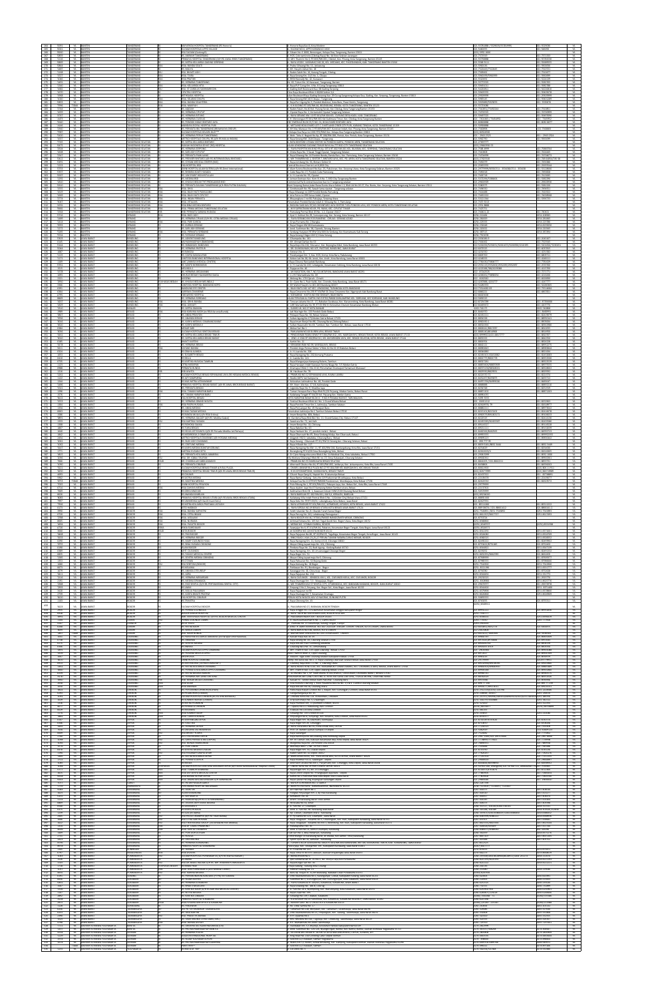| 264                      | '0091                   | YA BANTEN                                            | TANGERANG                                                  |                            | MAYAPADA HOSPITAL TANGERANG (RS Ho                                                                           | I. Honoris Raya Kav.6, Kota Moder                                                                                                                                                                                                                     | 021-55781888 / 5529035/55781999                                         | 021-5529036                         |                       |
|--------------------------|-------------------------|------------------------------------------------------|------------------------------------------------------------|----------------------------|--------------------------------------------------------------------------------------------------------------|-------------------------------------------------------------------------------------------------------------------------------------------------------------------------------------------------------------------------------------------------------|-------------------------------------------------------------------------|-------------------------------------|-----------------------|
| 265<br>266               | '0021<br>'8260          | YA BANTEN<br>YA BANTEN                               | TANGERANG<br>TANGERANG                                     | <b>RS</b>                  | SILOAM HOSPITALS LIPPO VILLAGE<br>RSU SILOAM (Gedung B)                                                      | L. SILOAM NO.6, LIPPO KARAWACI 1600<br>. Siloam No. 6 1600, Bencongan, Kelapa Dua, Tangerang, Banten 15811                                                                                                                                            | 021-5460055<br>(021) 3952 1000                                          | 121-546092                          | YA<br>YA              |
| 267<br>268               | '0859<br>'1116          | YA<br><b>BANTEN</b><br>YA BANTEN                     | TANGERANG<br>TANGERANG                                     |                            | RS. AMINAH TANGERANG<br>PRIMAYA HOSPITAL TANGERANG (D/H RS AWAL BROS TANGERANG)                              | HOS. Cokroaminoto (Ciledug Raya) No. 4A Kreo Selatan-Larangan<br>Il. MH. Thamrin No.3, RT.003/RW.001, Cikokol, Kec. Pinang, Kota Tangerang, Banten 15143                                                                                              | 021-7371919<br>021-55758888                                             | 21-7371333<br>21-55781530           | YA<br>YA              |
| 269<br>270               | '6869<br>'0844          | YA BANTEN<br>YA BANTEN                               | TANGERANG<br>TANGERANG                                     | <b>RS</b><br><b>RSIA</b>   | RS. MITRA KELUARGA GADING SERPONG<br>RSIA. BUNDA SEJATI                                                      | L. RAYA LEGOK - KARAWACI NO.20, KEL. MEDANG, KEC. PAGEDANGAN, KAB. TANGERANG BANTEN 15810<br>I. Prabu Siliwangi No. 11, Jatiuwung                                                                                                                     | 021-5568 9111<br>021-5900136                                            | 21-55689555<br>21-5900056           | YA<br>YA              |
| 271<br>272               | '1487<br>'1168          | <b>BANTEN</b><br>YA<br>YA BANTEN                     | ANGERANO<br>TANGERANG                                      | RSU                        | RSU. BHAKTI ASIH                                                                                             | I. Raden Saleh No. 10, Karang Tengah, Ciledug                                                                                                                                                                                                         | 021-7322443/7322<br>021-7305662                                         | $-731072$<br>21-7310477             | YA<br>YA              |
| 273<br>274               | '1527<br>'1046          | YA BANTEN<br>YA BANTEN                               | TANGERANG<br>TANGERANG                                     | RSIA<br>RSIA               | RSIA. TIARA<br><b>RSIA PRATIWI</b>                                                                           | Jl. Raya Serang Km. 14,5 No. 1, Cikupa<br>. RHM Noeradji No. 42, Karawaci                                                                                                                                                                             | 021-5940199/596199<br>021-5520692                                       | 121-5960699<br>121-5224139          | YA<br>YA              |
| 275<br>276               | '1491<br>'1340          | YA BANTEN<br>YA BANTEN                               | TANGERANG<br>TANGERANG                                     | RSIA                       | <b>RS HERMINA TANGERANI</b><br>RSIA, KELUARGA KITA                                                           | .<br>In. KS. Tubun No. 10 Karawaci, Tangerang, Ban<br>I. Raya PLP Curug Km. 4 No. 8 Curug Tangerang 15810                                                                                                                                             | 021-55772525<br>021-59491011                                            | 21-5582705<br>21-5982788            | YA<br>YA              |
| 277<br>278               | '1682<br>'1670          | YA BANTEN<br>YA BANTEN                               | TANGERANG<br>TANGERANG                                     | RSU                        | RSU, ST CAROLUS SUMMARECON<br>CIPUTRA HOSPITAL                                                               | I. Gading Golf Boulevard Kav. 08 Gading Serpong<br>Litra Raya Boulevard Blok V 00/08 Sektor 3,4                                                                                                                                                       | 021-54220811<br>021-59405555                                            | 21-54220810<br>21-59405678          | YA<br>YA              |
| 279<br>280               | '1968<br>'1020          | YA BANTEN<br>YA BANTEN<br>BANTEN                     | <b>TANGERANG</b><br>TANGERANG                              | RSIA                       | <b><i>RETHSAIDA ΗΠ</i></b> ΦΙΤΑΙ<br>RSIA. SELARAS CIKUPA                                                     | ilan Boulevard Raya Gading Serpong Kav. 29 Curug Sangereng Kelapa Dua, Gading, Kec. Serpong, Tangerang, Banten 15810<br>I. Raya Serang KM 18,5 Cikupa - Tangerang                                                                                     | 021-29309999<br>021-5969145                                             | 21-29305999<br>21-59401289          | YA<br>YA              |
| 281<br>282               | '0833<br>17996          | YA<br>TIDAK BANTEN<br>YA BANTEN                      | TANGERANG<br><b>TANGERANG</b><br>TANGERANG                 | RSIA<br>RSLA               | RSIA. BUNDA SEJAHTERA<br>RSIA MAKIYAH<br>RS. AQIDAH                                                          | I. Raya Puri Agung No 3, Pondok Makmur, Kuta Baru, Pasar Kemis, Tangerang<br>L. K.H.KUDING RT.005/RW.06, BELENDUNG, BENDA. KOTA TANGERANG, BANTEN 15123                                                                                               | 021-5925889/5925876<br>021-55723080<br>021-7310851/7345024              | 121-5925876                         | YA<br>YA<br>YA        |
| 283<br>284               | '2744<br>'1659          | YA BANTEN                                            | TANGERANG                                                  | <b>RS</b>                  | RS. HERMINA CIPUTAT                                                                                          | I. Raden Fatah, No 40 Kel. Parung Serab, Kec Ciledug, Kota Tangerang Banten 15153<br>I. Ciputat Raya No. 2, Kertamukti Ciputat Tangerang Selatan                                                                                                      | 021-74702525                                                            | 121-7310851<br>121-74700999         | YA                    |
| 285<br>286               | '4747<br>'A473          | YA BANTEN<br>YA BANTEN                               | TANGERANG<br>TANGERANG                                     | <b>RS</b>                  | RS. HERMINA BITUNG<br>RS. HERMINA CILEDUG                                                                    | L. RAYA SERANG KM. 10 RT 001/RW 004 KEL. CURUNG DESA KADU. KAB. TANGERANG.<br>I. H. Mencongan RT 001/RW 001 Kel Sudimara Timur, Kec. Ciledug, Kota Tangerang Banter                                                                                   | 021-59497525<br>021 - 7301365 / 7345                                    | 21-59497690<br>21 - 7345952         | YA<br>YA              |
| 287<br>288<br>289        | '5640<br>'A146<br>'2360 | YA BANTEN<br>YA BANTEN<br>YA BANTEN                  | TANGERANG<br>ANGERANG<br>TANGERANG                         | <b>RS</b>                  | RS. PONDOK INDAH BINTARO JAYA<br>MANDAYA ROYAL HOSPITAL PURI<br>RS. PERMATA IBU TANGERANG (BRAWIJAYA GROUP)  | CBC EMERALD BLOK CE/C NO. 01, BOULEVARD BINTARO JAYA<br>L. METLAND BOULEVARD LOT.C-3 METLAND CYBER CITY PURI, KARANG TENGAH, KOTA TANGERANG 15159<br>l. KH Mas Mansyur No. 2 RT.005/RW.007, Kunciran Indah, Kec. Pinang, Kota Tangerang, Banten 15145 | 021-80828888<br>021-50928888<br>021-7300898                             | 21-8082 8877<br>021-7300883         | YA<br>YA              |
| 290                      | '7987                   | YA BANTEN                                            | TANGERANG                                                  |                            | SILOAM HOSPITALS KELAPA DUA***                                                                               | I.Kelapa Dua Raya no.1001 RT2/RW2 Kec. Kelapa Dua Tangerang Banten 15810                                                                                                                                                                              | (021) 80524900                                                          |                                     | YA<br>YA              |
| 291<br>292               | '5420<br>'1637          | YA BANTEN<br>YA<br><b>BANTEN</b>                     | TANGERANG<br>TANGERANG                                     | <b>RS</b>                  | RS. HERMINA PERIUK TANGERANG<br>METRO HOSPITALS CIKUPA, RS (d/h RS MULIA INSANI)                             | l. Moh. Toha Jl. Nagrak No.Kp, RT.004/RW.006, Periuk, Kec. Periuk, Kota Tangerang, Banten 15131<br>Raya Serang KM. 16,8 Cikupa - Tangerang<br>LRAYA BINTARO UTAMA SEKTOR 3A PONDOK KARYA, PONDOK AREN, TANGERANG SELATAN                              | $021 - 29432525$<br>021-5962790                                         | $21 - 2943$ 2524<br>121-5963099     | YA<br>YA              |
| 293<br>294               | '7745<br>'6475          | YA BANTEN<br>YA BANTEN                               | ANGERANG SELATAN<br>TANGERANG SELATAN                      |                            | RS. MITRA KELUARGA BINTARO<br>RUMAH INDONESIA SEHAT (RIS) HOSPITAL                                           | JALAN LENGKONG GUDANG TIMUR RAYA No.777 BSD CITY TANGERANG SELATAN<br>L. RAYA PUSPITEK KM.8 NO.99.Ko. SETU RT.002 RW.001 KEL. BUARAN, KEC. SERPONG. TANGERANG SELATAN                                                                                 | 021-27659777<br>(021) 29660950-5                                        |                                     | YA<br>YA              |
| 295<br>296               | '2504<br>'1608          | YA BANTEN<br>BANTEN<br>YA                            | TANGERANG SELATAN<br>ANGERANG SELATAN<br>TANGERANG SELATAN |                            | RS. HERMINA SERPONG<br><b>RS. SARI ASIH CIPUTAT</b>                                                          | Otista Raya No. 3 Sasak Tinggi Ciputat, Tangerang Selatan                                                                                                                                                                                             | 021-7588 4999<br>021-7410808                                            | 121-75883704<br>1-7424445           | YA<br>YA              |
| 297<br>298               | '2347<br>'0412          | YA BANTEN<br>YA BANTEN                               | TANGERANG SELATAN                                          |                            | <b>RS. PERMATA PAMULANG</b><br>RS. PREMIER BINTARO (d/h RS.INTERNASIONAL BINTARO)                            | l. Raya Siliwangi No.1A Pondok Benda, Benda Baru, Kec. Pamulang, Kota Tangerang Selatan, Banten 15416<br>L. MH THAMRIN NO.1. SEKTOR 7. BINTARO JAYA, KEC. PD. AREN, KOTA TANGERANG SELATAN, BANTEN 15224                                              | 021-74704999<br>(021) 27625500                                          | 21-74704073<br>121-748 64854/745 58 | YA<br>YA              |
| 299<br>300               | '0291<br>'1223          | YA BANTEN<br>YA BANTEN                               | <b>IANGERANG SELATAN</b><br><b>FANGERANG SELATAN</b>       |                            | RS. ICHSAN MEDICAL CENTER (IMC)<br>EKA HOSPITAL BSD                                                          | I. Raya Jombang No. 56, Bintaro Sektor IX<br>entrall Business District Lot IX,BSD City                                                                                                                                                                | 021-7456379<br>021-25655555                                             | 21-7456386<br>21-25655544           | YA<br>YA              |
| 301<br>302               | '0733<br>'0337          | YA BANTEN<br>YA BANTEN                               | TANGERANG SELATAN<br>TANGERANG SELATAN                     |                            | OMNI HOSPITAL ALAM SUTERA (d/h RS.Omni International)<br>RS. BHINEKA BAKTI HUSADA                            | I. Alam Sutera Boulevard No.Kav. 25, Pakulonan, Kec. Serpong Utara, Kota Tangerang Selatan, Banten 15325<br>I. Cabe Raya No.17, Pondok Cabe Pamulang                                                                                                  | 021-29779999/85550711 - 353438 0711 - 353438<br>021-7490018             | 21-53128666<br>21-7490828           | YA<br>YA              |
| 303<br>$\frac{304}{305}$ | '0007<br>'1292          | YA BANTEN<br>YA BANTEN                               | TANGERANG SELATAN<br>ANGERANG SELATAN                      |                            | RS. UIN SYARIF HIDAYATULLAH<br>RS MEDIKA RSD                                                                 | l. Ir. H. Juanda No. 95, Ciputat<br>l. Letnan Soetopo Kav. Kom III A No. 7, BSD City-Tangerang Banten                                                                                                                                                 | 021-7402718<br>021-5372296/53864                                        | 21-7413065<br>21-5382296            | YA<br>$YA$<br>YA      |
| 306                      | '1810<br>'0610          | YA BANTEN<br>YA<br>BANTEN                            | TANGERANG SELATAN<br><b>TANGERANG SELATAN</b>              |                            | RS. KHUSUS BEDAH THT PROKLAMASI BSD<br>RS. PERMATA DALIMA TANGERANG (d/h RSIA PUTRA DALIMA)                  | commercial Park central bussines Kav no.7 tangerang selatan<br>kumi Serpong Damai,Jalan Rawa Buntu Utara Sektor I.2, Blok UA No.26-27, Rw. Buntu, Kec. Serpong, Kota Tangerang Selatan, Banten 15311                                                  | 021-29002929<br>021-5380375                                             | 21-29602930<br>21-5381220           | YA                    |
| 307<br>308               | '1555<br>'1619          | YA BANTEN<br>YA BANTEN                               | <b>FANGERANG SELATAN</b><br>TANGERANG SELATAN              | <b>RSIA</b><br><b>RSIA</b> | RSIA, DHIA<br>RSIA, BUAH HATI PAMULANG                                                                       | Cendrawasih No. 90, Sawah lama ciputat - Tangerang selatan<br>Jl Raya Siliwangi no 189 Pondok Benda Pamulang                                                                                                                                          | 021-7494550<br>021-7414488                                              | 21-7494551<br>21-7420322            | YA<br>YA              |
| 309<br>310               | '1669<br>'2774          | YA BANTEN<br>YA BANTEN                               | TANGERANG SELATAN<br><b>FANGERANG SELATAN</b>              | <b>RSIA</b><br>RSIA        | RSIA. BUAH HATI CIPUTAT<br>RSIA. INSAN PERMATA                                                               | I. Aria Putra no 399 Serua Indah, Ciputat<br>I. Bhayangkara 1 no 68, Pakujaya, Serpong Utara                                                                                                                                                          | 021-74632222<br>021-53121344                                            | 21-74638568<br>21-5396733           | YA<br>YA              |
| 311<br>312               | '3047<br>'A551          | YA BANTEN<br>YA BANTEN                               | ANGERANG SELATAN<br>TANGERANG SELATAN                      | RSIA<br>RSIA<br>RSIA       | RSIA. VITALAYA<br>RSIA BINA MEDIKA BINTARO                                                                   | Ferumahan Pondok Benda Indah Jl. Siliwang No. 1, Pamulang<br>L.RASUNA SAID KAV.B7/A5-O8 BINTARO JAYA SEKTOR 7 KEL.PONDOK JAYA, KEC PONDOK AREN, KOTA TANGERANG SELATAN                                                                                | 021-7470 3313<br>021-2931 8888                                          |                                     | YA<br>YA              |
| 313<br>314               | 'B661<br>'1564          | YA BANTEN<br>YA BANTEN                               | ANGERANG SELATAN<br>TANGERANG SELATAN                      | RSB                        | RSIA. PRIMA MEDIKA TANGERANG SELATAN<br>RSB PERMATA SARANA HUSADA                                            | L. W.R. SUPRATMAN NO.69, PD. RANJI, KEC. CIPUTAT TIMUR<br>I. Pamulang Permai Blok D3 No. 1-2, Ciputat 15417                                                                                                                                           | 021-7425751<br>021-740421,22                                            | 21-740421                           | YA<br>YA              |
| 315<br>316               | '0716<br>'1489          | YA BANTEN<br>VA RANTEN                               | SERANG<br>SERANG                                           | RSIA                       | RSIA, BUDI ASIH<br>RS. HERMINA CIRUAS (D/H RS. CITRA MEDIKA CIRUAS)                                          | I. Kyai H. Sokhari No.39, Sumurpecung, Kec. Serang, Kota Serang, Banten 42117<br>L. RAYA SERANG KM.9 DS.RANJENG - CIRUAS- SERANG 42182                                                                                                                | 0254-212484<br>0254-281829                                              | 254-208583<br>254-281845            | YA<br>YA              |
| 317<br>318               | 1414<br>'3993           | YA<br><b>BANTEN</b><br>YA BANTEN                     | SERANG<br>SERANG                                           | RSIA                       | RSIA. PURI GARCIA<br>RS. KURNIA SERANG                                                                       | Griya Purnama No. 2 Nangka<br>I. Raya Cilegon KM 08 Kramatwatu                                                                                                                                                                                        | 0254-223333<br>0254-232648                                              | 254-223786<br>254-8235050           | YA<br>YA              |
| 319<br>320               | '1272<br>'5285          | YA BANTEN<br>YA BANTEN                               | SERANG<br>SERANG                                           | <b>RS</b><br>RSIA          | RS. SARI ASIH SERANG<br>RSIA. PERMATA SERDANG<br><b>RS. FATIMAH SERANG</b>                                   | .<br>Jl. Jend. Sudirman No. 38, Cipocok, Serang, Banten.<br>I. Serdang Harjatani RT/RW 001/003 Ds Serdang, Kec Kramatwatu Kab Serang                                                                                                                  | 0254-220022<br>0254-387515                                              | 254-220345<br>254-387494            | YA<br>YA              |
| 321<br>322               | '5534<br>'0303          | BANTEN<br>YA<br>YA JAWA BARA                         | SERANG<br>BANDUNG                                          |                            | <b>RS. ADVENT BANDUNG</b>                                                                                    | . Raya Serang Cilegon KM 3,5 Kota Serang<br>I. Cihampelas No. 161                                                                                                                                                                                     | 0254-7913678<br>022-2034386-9                                           | 22-2043167                          | YA<br>$\frac{YA}{YA}$ |
| 323<br>324               | 0145<br>'0144           | YA JAWA BARAT<br>YA JAWA BARAT                       | BANDUNG<br>BANDUNG                                         | RS                         | MUHAMMADIYAH (BANDUNG)<br>RS. IMMANUEL BANDUNG                                                               | I. KH. Ahmad Dahlan No 53<br>l. Raya Kopo No.161, Situsaeur, Kec. Bojongloa Kidul, Kota Bandung, Jawa Barat 40233                                                                                                                                     | 022-7301062<br>022-5201656/5230151/52011672/5200358,5210195             | 122-7323545<br>122-5201656/52301    | YA                    |
| 325<br>326               | '0044<br>1087           | YA<br><b>IAWA RARAT</b><br>YA JAWA BARAT             | BANDUNG<br><b>BANDUNG</b>                                  |                            | RS. HERMINA PASTEUR<br>RS BUNGSU                                                                             | L. DR. DJUNDJUNAN, NO.107, PASTEUR, BANDUNG, JAWA BARAT<br>I. Veteran No. 6                                                                                                                                                                           | 022-6072525<br>022-4231550                                              | 2-6037819<br>22-4231582             | YA<br>YA              |
| 327<br>328               | '1125<br>'1171          | YA JAWA BARAT<br>YA JAWA BARAT                       | BANDUNG<br>BANDUNG                                         | <b>RS</b>                  | RS. CAHYA KAWALUYAN<br>SANTOSA BANDUNG INTERNASIONAL HOSPITAL                                                | l. Parahyangan Km. 3, Kav. HOS, Komp. Kota Baru, Padalarang<br>I. Kebon Jati No.38, Kb. Jeruk, Kec. Andir, Kota Bandung, Jawa Barat 40181                                                                                                             | 022-6803700<br>022-4248333                                              | 22-6803711<br>122-4248111           | YA<br>YA              |
| $\frac{329}{330}$        | 1169<br>'0761           | YA JAWA BARAT<br>YA JAWA BARAT                       | BANDUNG<br>BANDUNG                                         |                            | AMC (ANNISA MEDICAL CENTER)<br>RS. SANTO BORROMEUS                                                           | .<br>Il.Raya Cileunyi Rancaekek Bandung<br>Jl. Ir. H. Juanda No. 100, Lebakgede, Kecamatan Coblong, Kota Bandung, Jawa Barat 40132                                                                                                                    | 022-7781630/70804777<br>022-2552115/2552002/2552235/255205              | 22-7781629<br>22-2533760            | YA<br>YA              |
| 331<br>332               | 1515<br>'1578           | YA<br>JAWA BARAT<br>YA JAWA BARAT                    | BANDUNG<br>BANDUNG                                         |                            | MELINDA 1<br>RS. HERMINA ARCAMANIK                                                                           | I. Pajajaran No. 46<br>AH.NASUTION, KM.7, NO.50 ANTAPANI, BANDUNG JAWA BARAT 40291                                                                                                                                                                    | 022-4222388,788/4209088<br>022 - 87242525                               | 22-4215700<br>22-727177             | YA<br>YA              |
| 333<br>334               | 1093<br>2221            | VA IAWA RARAT<br>YA JAWA BARAT                       | <b>BANDUNG</b><br>BANDUNG                                  |                            | KHUSUS BEDAH HALMAHERA SIAGA<br>AVISENA                                                                      | Jl. L.L.R.E Martadinata No. 28<br>I. Melong No. 170 Cijerah - Cimahi                                                                                                                                                                                  | 022-4206061/708582<br>022 - 6062582                                     | 22-4216436<br>22-6000830            | YA<br>YA              |
| 335<br>336               | '2950<br>3366           | YA JAWA BARAT<br>YA JAWA BARAT                       | BANDUNG<br>BANDUNG                                         | RS KHUSUS BEDAH            | RS. KHUSUS BEDAH MELINDA 2<br>SANTOSA HOSPITAL BANDUNG KOPO                                                  | I. Dr. Cipto No.1, Pasir Kaliki, Kec. Cicendo, Kota Bandung, Jawa Barat 40171<br>I. KH Wahid Hasyim no 461-463 Bandung 40227                                                                                                                          | 022-4267888, 423<br>022-54280333                                        | 122-4247777<br>22-54280365          | YA<br>YA              |
| 337<br>338               | 6391<br>6364            | YA JAWA BARAT<br>YA JAWA BARAT                       | BANDUNG<br>BANDUNG                                         |                            | <b>BANDUNG EYE CENTER</b><br>KARISMA CIMAREME                                                                | L. BUAH BATU NO.147 KEC. LENGKONG, TURANGGA KOTA BANDUNG<br>. Raya Cimareme No.235 RT 03/RW 01 Desa Cimareme Kec. Ngamprah Kab Bandung Barat                                                                                                          | 022-73514682-83<br>022-6866221                                          | 122-73514684<br>22-6867821          | YA<br>YA              |
| 339<br>340               | A795<br>B869            | YA JAWA BARAT<br>YA JAWA BARAT                       | BANDUNG<br><b>BANDUNG</b>                                  | <b>RS</b>                  | <b>EDELWEISS HOSPITAL</b><br>RS. HERMINA SOREANG                                                             | L. SOEKARNO - HATTA NO.550 SEKEJATI, BUAH BATU<br>ALAN TERUSAN AL FARTHU NO.9 RTO2/RW08 SARILAMPING KEL. SOREANG, KEC SOREANG, KAB. BANDUNG                                                                                                           | 022-86023000<br>022-5892525                                             |                                     | YA<br>YA              |
| 341<br>342               | '4237<br>'1829          | YA JAWA BARAT<br>YA<br><b>JAWA BARAT</b>             | BANDUNG<br>BANDUNG                                         | RSIA<br>RSIA               | RSIA. GRHA BUNDA<br>RSIA. LIMIJATI                                                                           | l. Terusan Jakarta No.15 - 17, Babakan Surabaya, Kec. Kiaracondong, Kota Bandung, Jawa Barat 40281<br>I. LLRE Martadinata No 39, RT 03 RW 01 Kelurahan Citarum Kecamatan Bandung Wetan                                                                | 022-87256789<br>022-84469472                                            | 22-87256000<br>122-4207770          | YA<br>YA              |
| 343<br>344               | '2310<br>1989           | YA JAWA BARAT<br>YA JAWA BARAT                       | BANJAR<br><b>BEKASI</b>                                    | <b>RSIA</b>                | RS. MITRA IDAMAN<br>RSIA KARUNIA KASIH (ex RSIA Karunia Bunda)                                               | SUDIRO W. NO.57 KOTA BANJAR<br>Jl. Jati Waringin No. 133 Pondok Gede Bekasi                                                                                                                                                                           | 0265-742175<br>021-8461970                                              | 265-740808<br>21-8460991            | YA<br>YA              |
| 345<br>346               | '0847<br>'0766          | YA JAWA BARAT<br>YA JAWA BARAT                       | BEKASI<br>BEKASI                                           |                            | RS. ANNA PEKAYON<br>RS. ANANDA REKASI                                                                        | I. Pekayon Raya No. 36, Bekasi Selatan<br>Sultan Agung No.173, Medan Satria Bekasi 17133                                                                                                                                                              | 021-82432211<br>021-8854338                                             | 21-82419079<br>1-88950141           | YA<br>YA              |
| 347<br>348               | '0016<br>'0620          | YA JAWA BARAT<br>YA JAWA BARAT                       | BEKASI<br>BEKASI                                           |                            | RS. KARYA MEDIKA I CIKARANG BARAT<br>RS. KARYA MEDIKA II                                                     | l. Raya Imam Bonjol No.9B, Cikarang Barat, Cibitung Bekasi<br>I. Sultan Hasanudin No.63, Tambun, Kec. Tambun Sel., Bekasi, Jawa Barat 17510                                                                                                           | 021-8900190-1<br>021-88324366                                           | 21-8903004<br>21-88361980           | $\frac{YA}{YA}$       |
| 349<br>350               | 0384<br>'0036           | YA JAWA BARAT<br>YA<br><b>JAWA BARAT</b>             | BEKASI<br><b>BEKASI</b>                                    | <b>RS</b>                  | <b>MEKAR SARI</b><br>SILOAM HOSPITALS SENTOSA BEKASI                                                         | Mekar Sari No.1<br>. PAHLAWAN NO.60 DUREN JAYA, BEKASI TIMUR                                                                                                                                                                                          | 021-8802641/881378<br>021-8806140,8814968                               | 21-8810055<br>1-8814950             | YA<br>YA              |
| 351<br>352               | '0161<br>'0010          | YA JAWA BARAT<br>YA JAWA BARAT                       | BEKASI<br>BEKASI                                           | <b>RS</b><br><b>RS</b>     | RS. MITRA KELUARGA BEKASI TIMUR<br>RS. MITRA KELUARGA BEKASI BARAT                                           | L. PENGASINAN RAWA SEMUT RT.004/RW.012,, KEL. MARGAHAYU, BEKASI TIMUR, KOTA BEKASI, JAWA BARAT 17113<br>L. JEND. A.YANI RT.002/RW.011, KEL.KAYURINGIN JAYA, KEC. BEKASI SELATAN, KOTA BEKASI, JAWA BARAT 17144                                        | (021) 89999222;021-8817777<br>021-8853333                               | 21-8820707<br>21-8842550            | YA<br>YA              |
| 353<br>$\frac{354}{355}$ | 0185<br>'0178           | YA JAWA BARAT<br>YA JAWA BARAT                       | BEKASI<br>REKASI                                           | <b>RS</b><br>RSIA          | BHAKTI KARTINI<br><b>RS HERMINA REKASI</b>                                                                   | I. Kartini No. 11<br>L. KEMAKMURAN NO.39. MARGAJAYA, BEKASI                                                                                                                                                                                           | 021-8801954<br>021-8842121                                              | 121-8824228<br>21-88952275          | YA<br>YA<br>YA        |
| 356                      | 5611<br>0324            | YA JAWA BARAT<br>YA<br>JAWA BARAT                    | BEKASI<br>BEKASI                                           |                            | SAYANG BUNDA<br>RS GRAHA JUANDA                                                                              | I. Pondok Ungu Permai Sektor V Blok A1 No 22-25 Babelan Bekasi<br>l. Ir. H. Juanda No. 326                                                                                                                                                            | 021-88983843<br>021-88346880                                            | 121-88983844<br>121-8821004         | YA                    |
| 357<br>358               | 1053<br>0410            | YA JAWA BARAT<br>VA IAWA RARAT                       | BEKASI<br>BEKASI                                           | <b>RS</b>                  | St. ELISABETH BEKAS<br><b>RS BELLA</b>                                                                       | l. Raya Narogong No. 202, Kemang Pratama<br>Jl. Ir. Juanda No. 141                                                                                                                                                                                    | 021-82430101-82432082<br>021-8801775/8801778                            | 21-82432083<br>21-88352506          | YA<br>YA              |
| 359<br>360               | 0735<br>1123            | YA JAWA BARAT<br>YA JAWA BARAT                       | BEKASI<br>BEKASI                                           |                            | RS KARTIKA HUSADA TAMBUN<br>CITRA HARAPAN                                                                    | I. Raya Mangunjaya Kampung Rukem, Tambun<br>l. Raya Harapan Indah Kawasan Sentra Niaga No. 3-5 Medan Satria                                                                                                                                           | 021-88327281<br>021-88870606/8887090                                    | 21-88322529<br>21-88975555          | YA<br>YA              |
| 361<br>362               | 0988<br>1216            | YA JAWA BARAT<br>YA JAWA BARAT                       | BEKASI<br>BEKASI                                           | RSB                        | PERMATA BUNDA<br><b>RSB JUWITA</b>                                                                           | I. Gramapuri Blok C-I No. 8-10, Perumahan Gramapuri Tamansari Wanasar<br>I. M. Hasibuan No. 78                                                                                                                                                        | 021-88373158/8832800<br>021-8829590/8829591                             | 21-88328002<br>21-8829592           | YA<br>YA              |
| 363<br>364               | '1261<br>1122           | YA<br>JAWA BARAT<br>YA JAWA BARAT                    | BEKASI<br>BEKASI                                           |                            | SILOAM HOSPITALS BEKASI SEPANJANG JAYA (RS HOSANA MEDICA BEKASI)<br>RS IATI SAMPLIRNA                        | PRAMUKA NO.12 SEPANJANG JAYA, RAWA LUMBU<br>I. Studio ANTV Jati Sampurna                                                                                                                                                                              | 021-8221570-72<br>021-8451457/845587                                    | 21-8221574<br>21-8455712            | YA<br>YA              |
| 365                      | 1244                    | VA IAWA RARAT                                        | BEKASI                                                     |                            | RS MAS MITRA IATIMAKMUR                                                                                      | I. Kelurahan Jatimakmur No. 40, Pondok Gede                                                                                                                                                                                                           | 021-84971766/8499902                                                    | 21-8483047                          | YA<br>YA              |
| 366                      | '1486                   | YA JAWA BARAT                                        | BEKASI                                                     | <b>RS</b>                  | PRIMAYA HOSPITAL BEKASI BARAT (d/h RS AWAL BROS BEKASI BARAT)                                                | I. KH. Noer Alie Kav. 17-18, Kalimalang                                                                                                                                                                                                               | 021-8868888                                                             | 21-88855210                         |                       |
| 367<br>368               | 1541<br>1296            | YA JAWA BARAT<br>YA JAWA BARAT                       | <b>BEKASI</b><br>BEKASI                                    | <b>RS</b><br><b>RSIA</b>   | RS. PERMATA BEKASI<br>RSIA TAMAN HARAPAN RARIT                                                               | I. Legenda Raya No. 9, Mustika Jaya<br>Taman Harapan Baru Raya Blok R1/20 Pejuang, Medan Satria, Bekasi Barat                                                                                                                                         | 021-8254748<br>021-88871202                                             | 121-8251919<br>1-88871203           | YA<br>YA              |
| 369<br>370               | 1576<br>'8122           | YA IAWA RARAT<br>YA JAWA BARAT                       | BEKASI<br>BEKASI                                           | <b>RS</b>                  | RS. TAMAN HARAPAN BARU<br>EKA HOSPITAL BEKASI                                                                | Jl. Kaliabang Tengah RT 04/23 Kel. Pejuang Kec. Medan Satria<br>(OTA HARAPAN INDAH BLOK I2 - 9 NO.9 PUSAKA RAKYAT, TARUMAJAYA                                                                                                                         | 021-88981055<br>021-5093 5555                                           |                                     | YA<br>YA              |
| 371<br>372               | '1553                   | YA JAWA BARAT<br>1304 YA JAWA BARAT                  | BEKASI<br>BEKASI                                           | <b>RSIA</b>                | <b>RS. HERMINA GRAND WISATA</b><br>RSIA PUSPA HUSADA                                                         | Festival Boulevard Blok JA I No. 1 Grand Wisata Bekasi<br>l. Raya Pondok Timur Km.1, Jatimulya, Tambun Selatan                                                                                                                                        | 021 - 82651212<br>021-82618978.79                                       | 21-8252963<br>21-82618977           | YA<br>YA              |
| 374                      | 1334<br>0063            | JAWA BARA<br>YA JAWA BARAT                           | <b>JE KASI</b><br>BEKASI                                   |                            | IS. ANNA MEDIKA<br>RS MULTAZAM MEDIKA                                                                        | I. Raya Perjuangan No. 45 Harapan Baru<br>erumahan Jatimulya No 1 Tambun Selatan Bekasi 17510                                                                                                                                                         | 21-8888221<br>021-8215101/8215102                                       | 1-88973042<br>121-82416678          | YA                    |
| 375<br>376               | 1586<br>'0891           | YA<br><b>JAWA BARAT</b><br>VA IAWA RARAT             | <b>BEKASI</b><br>BEKASI                                    | <b>RS</b>                  | RS BUNDA MULIA (d/h RSIA Sritina)<br>RS. HERMINA GALAXY (d/h RS. Medika Galaxi)                              | I. Imam Bonjol No. 80A, Bekasi<br>In. Gardenia Raya Blok BA.I No. 11. Grand Galaxy City. Bekasi 17147                                                                                                                                                 | 021-8900579/891063171<br>021-8222525                                    | 21-89106633<br>21-82414130          | YA<br>YA              |
| 377<br>378               | 1333<br>1308            | YA JAWA BARAT<br>YA JAWA BARAT                       | BEKASI<br>BEKASI                                           | RSU                        | RSU KARTIKA HUSADA<br>RS RIDHOKA SALMA                                                                       | I. Swantara No. 72, Jati Asih<br>Imam Bonjol No. 10, Cibitung                                                                                                                                                                                         | 021-82435585/82435587<br>021-89116527                                   | 121-82435586<br>021-89116528        | YA<br>YA              |
| 379<br>380               | 1807<br>1640            | YA JAWA BARAT<br>YA JAWA BARAT                       | <b>PEKASI</b><br>BEKASI                                    |                            | <b>RS TIARA REKASI</b><br>RS HELSA JATI RAHAYU (d/h RS Persada Medika Jati Rahayu)                           | l. Raya Babelan No. 63<br>I. Raya Hankam No. 17, pondok melati - Bekasi                                                                                                                                                                               | 021-89131111<br>021-8462566/846                                         | 21-89132039<br>121-84992723         | YA<br>YA              |
| 381<br>382               | 1842<br>2454            | YA<br><b>JAWA BARAT</b><br>YA JAWA BARAT             | <b>BEKASI</b><br>BEKASI                                    |                            | RS MEDIROSSA 2 CIBARUSAH<br>METRO HOSPITALS CIKARANG (d/h HOSANA MEDIKA)                                     | Raya Cibarusah No.05, Desa Sindang Mulya, Kec Cibarusah, Bekasi<br>Anggrek   B2/2, Jababeka, Cikarang Baru, Bekasi                                                                                                                                    | 021-89955555<br>021-89895223                                            | 121-899952355<br>21-89830442        | YA<br>YA              |
| 383<br>384               | '2061<br>'1062          | VA IAWA RARAT<br>YA JAWA BARAT                       | BEKASI<br>BEKASI                                           | <b>RS</b>                  | <b>RS BUDLASH CIKARANG</b><br>RS. CIBITUNG MEDIKA                                                            | Jl. Raya Serang - Cibarusah RT 01/RW 01 Serang kec. Cikarang Selatan, Bekasi<br>I. Raya H Bosih No. 117                                                                                                                                               | 021 - 896 777 95<br>021-8839 3181/8832 3444                             | 121-8832 3449                       | YA<br>YA              |
| 385<br>386               | '0147<br>1771           | YA JAWA BARAT<br>YA JAWA BARAT                       | BEKASI<br>BEKASI                                           |                            | RS KARYA MEDIKA BANTAR GEBANG<br>KARTIKA HUSADA SETU                                                         | Raya Narogong No.KM. 11, RT.002/RW.010, Bantargebang, Kota Bks, Jawa Barat 17151<br>I. Burangkeng RT 01/06 Desa Burangkeng Setu, Bekasi                                                                                                               | 021-8254629<br>021-82610003/                                            | 021-8254630<br>21-82610005          | YA<br>YA              |
| 387<br>388               | '4815<br>'2036          | YA<br>JAWA BARAT<br>YA<br>JAWA BARAT                 | BEKASI<br>BEKASI                                           | <b>RSU</b>                 | RS. PERMATA KELUARGA JABABEKA<br>RSU. DR. IQBALI TAUFAN                                                      | I. Dr Cipto Mangunkusumo Blok A No. 1A Medical City, Kota Jababeka, Bekasi 17550<br>fila Mutiara Cikarang 2 Blok B1 no. 27, Desa Sukasejati, Cikarang Selatan                                                                                         | 021-2908 3399<br>021-89002361                                           | 121-8932 1000<br>21-89902361        | YA<br>YA              |
| 389<br>390               | 7066<br>'1090           | YA JAWA BARAT<br>YA JAWA BARAT                       | BEKASI<br>BEKASI                                           | <b>RSUD</b><br><b>RS</b>   | DR. CHASRUIT AH ARDUI MADUE<br>RS. PERMATA CIBUBUR                                                           | PRAMUKA NO.55 MARGAJAYA BEKASI SELATAN<br>I. Alternatif Cibubur No.6A, RT.001/RW.002, Jatikarya, Kec. Jatisampurna, Kota Bks, Jawa Barat 17435                                                                                                        | 021-8841005 / 021-8841311<br>021-8458806                                | 21-8853731<br>121-84594263          | YA<br>YA              |
| 391<br>392               | 5221<br>'6250           | YA JAWA BARAT<br>YA JAWA BARAT                       | BEKASI<br>BEKASI                                           | <b>RS</b>                  | SILOAM HOSPITALS BEKASI TIMUR d/h BLU PLAZA<br>PRIMAYA HOSPITAL BEKASI TIMUR (d/h RS AWAL BROS BEKASI TIMUR) | L. CHAIRIL ANWAR BLU PLAZA NO.27 RT.004/009 KEL.MARGAHAYU, KEC.BEKASI TIMUR<br>L. H.M JOYOMARTONO, MARGAHAYU, BEKASI TIMUR                                                                                                                            | 021-80611900<br>(021) 8267 9999                                         | 021) 806 11 911<br>021) 8267 8989   | YA<br>YA              |
| 393<br>394               | 4693<br>5902            | YA JAWA BARAT<br>YA IAWA RARAT                       | BEKASI<br>BEKASI                                           |                            | <b>RS CIKUNIR</b><br><b>RS SATRIA MEDIKA</b>                                                                 | . Cikunir Raya Gang Hj. Napiah No. 8 Jakamulya Bekasi<br>II. Raya Bantar Gebang - Setu No 119 Padurenan Mustikajaya, Kota Bekasi                                                                                                                      | 021-82437322<br>021-22105678                                            | 21 - 82738891<br>121-22105677       | YA<br>YA              |
| 395<br>396               | '6753<br>'7025          | TIDAK JAWA BARAT<br>YA JAWA BARAT                    | BEKASI<br>BEKASI                                           |                            | RS. MUSTIKA MEDIKA<br>OMNI HOSPITAL PEKAYON                                                                  | I. Kelapa Dua No.110 RT007/RW008 Pandurenan, Mustikajaya, Kota Bekasi 17156<br>.<br>Pulo Ribung No.1, RT.001/RW.021, Pekayon Jaya, Kec. Bekasi Sel., Kota Bks, Jawa Barat 17148                                                                       | 021-82622530<br>021-29779999                                            | 121-82623572                        | YA<br>YA .            |
| 397<br>398               | 6714<br>7069            | YA JAWA BARAT<br>YA JAWA BARAT                       | BEKASI<br>BEKASI                                           | <b>RSIA</b>                | RSIA CAHAYA MEDIKA<br>RS GRHA MM2100                                                                         | li. Raya Jejalen Jaya No 47 Kampung Kebon Tambun utara, Bekasi<br>I. Kalimantan Blok CB-1, Kawasan Industri MM 2100 Cikarang Barat Bekasi                                                                                                             | 021-22137302<br>021-50570999                                            |                                     | $\frac{YA}{YA}$       |
| 399<br>400               | 8026<br>'8083           | YA JAWA BARAT<br>YA<br>JAWA BARAT                    | BEKASI<br>BEKASI                                           | <b>RS</b>                  | RS ANANDA BABELAN<br>PRIMAYA HOSPITAL BEKASI UTARA (d/h RS AWAL BROS BEKASI UTARA)                           | L. RAYA BABELAN RT. 002 RW.001, KM 9,6, KEBALEN, BABELAN<br>Kaliabang Villa Indah Permai Blok G No. 1 (Golden City) Bekasi Utara 17121                                                                                                                | (021) 89234000<br>021-88892 000                                         |                                     | YA<br>YA              |
| 401<br>402               | 7997<br>'7906           | YA JAWA BARAT<br>YA JAWA BARAT                       | BEKASI<br>BEKASI                                           | <b>RS</b><br>RS            | RS UNIMEDIKA (d/h Kasih Insani Setu)<br>RS MITRA KELUARGA PRATAMA JATIASIH                                   | I. Raya Setu No. 99 RT.03/01, Lubangbuaya Setu-Bekasi, Jawa Barat<br>L. RAYA JATIMEKAR RT.001/RW.012, JATIMEKAR, JATIASIH, KOTA BEKASI, JAWA BARAT 17422                                                                                              | 021-82627591<br>021-85511000                                            | 021-85511222                        | YA<br>YA              |
| 403<br>404               | 0173<br>3990            | YA JAWA BARAT<br>YA JAWA BARAT                       | BEKASI<br><b>BOGOR</b>                                     | <b>RSIA</b>                | SETO HASBADI<br>RSIA RUNDA SURYATNI                                                                          | . RAYA SEROJA NO.19 BEKASI UTARA KOTA BEKASI JAWA BARAT 17124<br>I. Soleh Iskandar No 21 Cibadak Tanah Sareal Bogor                                                                                                                                   | 021-889 58674 / 021-88661412<br>0251-7543891 /0251-7543892              | 021-8866141-2<br>151-7543893        | YA<br>YA              |
| 405<br>406               | 0720<br>'2788           | YA JAWA BARAT<br>YA<br><b>JAWA BARAT</b>             | <b>BOGOR</b><br>BOGOR                                      | <b>RSIA</b><br>RSIA        | RSIA. CITRA INSANI<br>RSIA. ASSALAM                                                                          | I. Raya Parung No. 242, Lebakwangi Pemagarsari<br>RAYA BOGOR KM 46,7 RT001/RW003 NANGGEWER MEKAR, CIBINONG                                                                                                                                            | 0251-8611507/8617727<br>021-8753724                                     | 251-8617493                         | YA<br>YA              |
| 407<br>408               | 8005<br>'4694           | YA JAWA BARAT<br>YA JAWA BARAT                       | BOGOR<br><b>BOGOR</b>                                      | <b>RSIA</b><br>RSIA        | RSIA. NURAIDA<br><b>RSIA, PASUTRI BOGOR</b>                                                                  | . Achmad Sobana No. 105 Kel. Tegal Gundi Kec. Bogor Utara, Kota Bogor 16152<br>JL. MERAK NO. 3 TANAH SAREAL. BOGOR                                                                                                                                    | 0251-8368866<br>(0251) 8349707                                          | 0251) 8331938                       | YA<br>YA              |
| 409<br>410               | A720<br>3000            | YA JAWA BARAT<br>YA JAWA BARAT                       | BOGOR<br>BOGOR                                             | <b>RSKIA</b><br>RSUD       | RSKIA SAWOJAJAR<br>KOTA BOGOR                                                                                | I. Sawojajar No.9, RT.01/RW.04, Pabaton, Kecamatan Bogor Tengah, Kota Bogor, Jawa Barat 16121<br>L.dr.SUMERU NO.120 KOTA BOGOR 16111                                                                                                                  | (0251) 8324371<br>0251-8312292                                          | 1251-8371001                        | YA<br>YA              |
| 411<br>412               | '0468<br>'0133          | YA JAWA BARAT<br>YA<br>JAWA BARAT                    | <b>BOGOR</b><br><b>BOGOR</b>                               |                            | RS PMI ROGOR<br>RS. HERMINA BOGOR                                                                            | I. Raya Pajajaran No.80, RT.02/RW.05, Tegallega, Kecamatan Bogor Tengah, Kota Bogor, Jawa Barat 16143<br>RING ROAD-1 KAV.23,25,27 PERUM.TAMAN YASMIN,CURUG MEKAR, BOGOR                                                                               | 0251-8324080<br>0251-8382525                                            | 251-8324709<br>251-8328252          | YA<br>YA              |
| 413<br>414               | 0290<br>'0755           | YA<br>JAWA BARAT<br>YA JAWA BARAT                    | BOGOR<br><b>BOGOR</b>                                      |                            | RS. MARY CILEUNGSI HIJ<br>RS. BINA HUSADA CIBINONG                                                           | . Raya Narogong Km. 21, Komp A 6-8, Cileungsi 16820<br>l. Mayor Oking Jayaatmaja No. 101, Cibinong                                                                                                                                                    | 021-82492222<br>021-8753422/875                                         | 21-82493902<br>21-8752463           | YA<br>YA              |
| 415<br>416               | 0190<br>0389            | YA JAWA BARAT<br>YA JAWA BARAT                       | <b>BOGOR</b><br>BOGOR                                      | RSI<br><b>RS</b>           | <b>ISLAM BOGOR</b><br>MHT. CILEUNGSI                                                                         | Jl. Perdana Raya No. 22, Budi Agung - Kedung Badak 16710<br>I. Raya Narogong, Km. 16 Limusnunggal Cileungsi Bogor                                                                                                                                     | 0251-8316822<br>021-8235052                                             | 251-8347139<br>21-82491332          | YA<br>YA              |
| 417<br>418               | 0835<br>'1385           | YA JAWA BARAT<br>YA JAWA BARAT                       | <b>BOGOR</b><br><b>BOGOR</b>                               |                            | RS. FAMILY MEDICAL CENTER<br>RS. SENTRA MEDIKA CIBINONG                                                      | l. Raya Bogor Km. 51<br>l. Mayor Oking Jayaatmaja No 9, Cibinon                                                                                                                                                                                       | 0251-8652391/8662785<br>021-87909999                                    | 021-8661605<br>21-87909377          | YA<br>YA              |
| 419<br>420               | 1353<br>1680            | YA JAWA BARAT<br>YA JAWA BARAT                       | <b>BOGOR</b><br>BOGOR                                      | <b>RSU</b>                 | <b>RS CITAMA</b><br>RSU SENTOSA (BOGOR)                                                                      | I. Raya Pabuaran No. 52 Bojong Gede<br>I. Raya Kemang No. 18 Bogor                                                                                                                                                                                    | 021-87985555<br>0251-7541900                                            | 121-87986666<br>251-7541900         | YA<br>YA              |
| 421<br>- 422             | 0673<br>1679            | YA JAWA BARAT<br>YA JAWA BARAT                       | <b>BOGOR</b><br><b>BOGOR</b>                               |                            | <b>RS MELANIA</b><br><b>RS. ANNISA CITEUREUP</b>                                                             | Pahlawan No. 91, Bondongan - Bogor<br>.<br>I. Karanggan No. 02, Citeureup - Bogor                                                                                                                                                                     | n <sub>251</sub> -8321196<br>021-8756780                                | 251-8331777<br>21-8752628           | YA                    |
| 423<br>424               | '0411<br>'2116          | YA JAWA BARAT<br>YA JAWA BARAT                       | BOGOR<br>BOGOR                                             | <b>RS</b>                  | RS. AZRA<br>RS. HERMINA MEKARSAR                                                                             | I. Raya Pajajaran No. 216<br>L. RAYA CILEUNGSI - JONGGOL KM 1, KEL. CILEUNGSI KIDUL, KEC. CILEUNGSI, BOGOR                                                                                                                                            | 0251-8318456<br>021-29232525                                            | 251-331773<br>121-2923770           | $\frac{YA}{YA}$<br>YA |
| 425<br>426               | 2191<br>'2388           | YA JAWA BARAT<br>YA JAWA BARAT                       | <b>BOGOR</b><br><b>BOGOR</b>                               |                            | RS. MEDIKA DRAMAGA<br>RS. EMC SENTUL (D/H RS. PERTAMEDIKA SENTUL CITY)                                       | . Raya Dramaga Km. 7,3 - Margajaya, Bogor<br>L. MH.THAMRIN KAV.57 SENTUL CITY. CITARINGGUL. KEC. BABAKAN MADANG. BOGOR. JAWA BARAT 16810                                                                                                              | 0251-8308900<br>021-29672977                                            | 251-8625776<br>121-29672978         | YA<br>YA              |
| 427<br>428               | 2393<br>3420            | YA JAWA BARAT<br>YA JAWA BARAT                       | <b>BOGOR</b><br><b>BOGOR</b>                               | RS                         | <b>RS UMMI</b><br>RS. MULIA PAJAJARAN                                                                        | I. Empang II No.2, Empang, Kec. Bogor Sel., Kota Bogor, Jawa Barat 16132<br>l. Raya Pajajaran no 98                                                                                                                                                   | 0251-8341600<br>0251-8379898                                            | 0251-8371400<br>0251-8378800        | YA<br>YA              |
| 429<br>430               | 2759<br>'8120           | YA JAWA BARAT<br>YA JAWA BARAT                       | <b>BOGOR</b><br><b>BOGOR</b>                               | <b>RS</b>                  | RS KARYA RHAKTI PRATIWI<br>EKA HOSPITAL CIBUBUR                                                              | I. Raya Dramaga Km 7, Kecamatan Dramaga<br>PERUM KOTA WISATA KAV V2 NAGRAK, GUNUNG PUTRI                                                                                                                                                              | 0251-8626868<br>021-50855555                                            | 251-8626969                         | YA<br>YA              |
| 431<br>432               | 1103                    | YA JAWA BARAT                                        | BOGOR                                                      |                            | <b>RS TRIMITRA</b>                                                                                           | Raya Cibinong Km. 43                                                                                                                                                                                                                                  | 021-8763055<br>0251) 8303911                                            | 121-8755311                         | YA                    |
| 433                      | '6123<br>2955           | JAWA BARAT<br>YA<br>YA JAWA BARAT                    | <b>BOGOR</b><br><b>BOGOR</b>                               |                            | SILOAM HOSPITALS BOGOR<br>RS. PERMATA JONGGOL                                                                | PAJAJARAN NO.27, BABAKAN, BOGOR TENGAH<br>I. Raya Jonggol no.1 A Sukamanah Kecamatan Jonggol Kabupaten Bogor                                                                                                                                          | 021-89931222                                                            | 121-89931836                        | YA<br>YA              |
| 434<br>435               | 6928<br>'0992           | YA JAWA BARAT<br>YA JAWA BARAT                       | <b>BOGOR</b><br><b>BOGOR</b>                               | RS                         | <b>BOGOR SENIOR HOSPITAL</b><br>BMC MAYAPADA HOSPITAL D/H RS. BOGOR MEDICAL CENTER                           | L. RAYA TAJUR NO.168 MUARA SARI, BOGOR SELATAN<br>L. PAJAJARAN INDAH V/97 BOGOR 16143                                                                                                                                                                 | 0251-7556777<br>0251-8346002                                            | 251-8390619                         | YA<br>YA              |
| 436<br>437               | 1104<br>4107            | YA JAWA BARAT<br>YA JAWA BARAT                       | CIAMIS<br>CIANJUR                                          | RSU                        | PERMATA BUNDA CIAMIS<br>RS Dr HAFIZ                                                                          | I. Ir. Iwa Kusumasomantri No. 1, Ciamis 46213                                                                                                                                                                                                         | 0265-771650<br>0263-2910000                                             | 265-777658                          | YA<br>YA              |
| 438<br>439               | 0268<br>'B097           | YA JAWA BARAT<br>YA JAWA BARAT                       | CIMAHI<br>CIMAHI                                           |                            | <b>RS. MITRA KASIH</b><br>RS. BAROS CIMAHI                                                                   | JL. Pramuka No. 15 Sukamulya, Karang Tengah, Cianjur<br>JL. Pramuka No. 15 Sukamulya, Karang Tengah, Cianjur<br>JLJEND. H. AMIR MAHMUD  NO.341 CIGUGUR TENGAH, CIMAHI TENGAH, KOTA CIMAHI, JAWA BARAT<br>L. RAYA BAROS NO.E46, BAROS, KOTA CIMAHI     | 022-6654852/6652<br>022-20670808                                        | 22-6654875                          | YA<br>YA              |
| 440<br>441               | '2467<br>1041           | TIDAK JAWA BARAT<br>YA JAWA BARAT                    | CIMAHI<br><b>CIKARANG</b>                                  |                            | RSU. KASIH BUNDA<br>RS HARAPAN KELUARGA JABABEKA (ex:Harapan Internasion                                     | L. MAHAR MARTANEGARA NO.166 LEUWIGAJAH - CIMAH<br>I. Kasuari Raya Kav.1A-1B                                                                                                                                                                           | 022-6614221/66305<br>021-89840745                                       | 122-6630583<br>21-89835839          | YA<br>YA              |
| 442<br>443               | 0738<br>0275            | YA JAWA BARAT<br>YA JAWA BARAT                       | CIKARANG<br>CIKARANG                                       | <b>RS</b>                  | RS. AMANDA<br>RS. SENTRA MEDIKA                                                                              | l. Raya Serang No. 83, Cikarang Selatan 17550<br>I. Raya Industri Pasir Gombong, Jababeka                                                                                                                                                             | 021-8971643.8970808<br>021-8904160-64                                   | 21-8971643<br>121-8904159           | YA<br>YA              |
| 444<br>445               | 0306<br>'0391           | YA<br>JAWA BARAT<br>YA JAWA BARAT                    | IKARANG<br><b>CIKARANG</b>                                 |                            | <b>RS ANNISA</b><br>SILOAM HOSPITALS LIPPO CIKARANG                                                          | Cikarang Baru No. 31, Lemahabang<br>I. MH. Thamrin Kav. 105 Lippo Cikarang - Bekasi 17550                                                                                                                                                             | 021-8904165-4503<br>021-29636900                                        | 121-8903350<br>1-89901088           | YA<br>YA              |
| 446<br>447               | '0709<br>1067           | YA JAWA BARAT<br>YA JAWA BARAT                       | CIKARANG<br>CIKARANG                                       | <b>RS</b>                  | RS. HOSANA MEDICA LIPPO<br>MEDIROSSA                                                                         | Ruko Thamrin Blok C3, Lippo Cikarang<br>I. Industri Tegal Gede Cikarang Selatan Kabupaten Bekasi 17550                                                                                                                                                | 021-8972427<br>021-8983216                                              | 21-89900769<br>021-8934979          | YA<br>YA              |
| 448<br>449               | '4670<br>0913           | YA JAWA BARAT<br>YA<br>JAWA BARAT                    | <b>CIKARANG</b><br><b>CIKARANG</b>                         | RS                         | OMNI HOSPITAL CIKARANG<br>RS ASRI MEDIKA ( ex RSIA Graha Asri)                                               | Iomp. The Oasis kav. No. 1. Jl. Raya Cikarang Cibarusah Selatan Bekasi Jawa Barat 17530<br>Jl. Citanduy Raya Blok L 11 No. 1, Cikarang Utara                                                                                                          | 021-29779999<br>021-89142968/89143036                                   | 212977 9951<br>21-89143860          | YA<br>YA              |
| 450<br>451               | 1462<br>'0660           | YA JAWA BARAT<br>YA JAWA BARAT                       | CIKARANG<br>CIKARANG                                       | RS                         | RS. MITRA KELUARGA CIKARANG<br>RS. PERMATA KELUARGA LIPPO CIKARANO                                           | L. RAYA INDUSTRI NO.100, KEL. MEKARMUKTI LEMAH ABANG, KEC. CIKARANG UTARA, BEKASI, JAWA BARAT 17550<br>MH. Thamrin Kav. 129, Lippo Cikarang-Bekasi 17550                                                                                              | 021-89840500/89840900<br>021-89905588                                   | 121-89845489<br>021-89901860        | YA<br>YA              |
| 452<br>453               | A339<br>'A130           | YA JAWA BARAT<br>YA JAWA BARAT                       | <b>CIKARANG</b><br>CIKARANG                                |                            | <b>PC MITRA MEDIKA NAROM</b><br>RS. HERMINA METLAND CIBITUNG                                                 | L. JATIWANGI NO.1, KP. KAMURANG RTOD1/RWOO1, CIKEDOKAN, CIKARANG BARAT, BEKASI 17530<br>PERUMAHAN METLAND CIBITUNG JL. RAYA METLAND CIBITUNG, TELAGA MURNI, CIKARANG BARAT                                                                            | 021-89983741<br>021-88362626                                            | 21-89983575<br>121-88352626         | YA<br>YA              |
| 454<br>455               | '0960                   | YA JAWA BARAT<br>2058 YA JAWA BARAT                  | IKARANG<br>CIKARANG                                        | RSB<br>RSIA                | RSB. MEKAR MULIA CIKARANO<br><b>RSIA GIZAR</b>                                                               | Kasuari IV - Sektor Mekar Alam Passimal - Cikarang Baru<br>I. Villa Mutiara Cikarang 1, Ruko Pasadena Blok Ra No. 3,5 & 6. Ciantra Cikarang Selatan                                                                                                   | 021-893 6940<br>021-896 77 240                                          | 1-8936966<br>21-896 77 239          | YA<br>YA              |
| 456<br>457               | 1050<br>'0602           | YA JAWA BARAT<br>YA JAWA BARAT                       | CIKARANG<br>CIREBON                                        | <b>RSIA</b><br>RS          | RSIA AMANDA<br>RS. PERTAMINA CIREBON (KLAYAN)                                                                | I. Raya Industri No.36, Cikarang Utara<br>Jl. Patra Raya Klayan Cirebon No.1, Klayan, Kec. Gunungiati, Cirebon, Jawa Barat 45151                                                                                                                      | 021-8900277/89110011<br>0231-2512116; (0231) 224798                     | 21-89110011<br>0231-2224646         | YA<br>YA              |
| 458<br>459               | 0293<br>'1091           | YA<br>JAWA BARAT<br>YA JAWA BARAT                    | CIREBON<br><b>CIREBON</b>                                  |                            | RS PELABUHAN (Cirebon)<br>SILOAM HOSPITALS CIREBON (RS PUTERA BAHAGIA)                                       | I. Sisingamangaraja No. 45<br>L. CIREMAI RAYA NO.114 PERUMNAS, CIREBON                                                                                                                                                                                | 0231-208948, 205657<br>0231-207351/490900/485654/08965923230010231-4856 | 0231-234670<br>0231-486356          | YA<br>YA              |
| 460<br>461               | 1029<br>1316            | YA IAWA RARAT<br>YA JAWA BARAT                       | <b>CIREBON</b><br><b>CIREBON</b>                           | <b>RS</b>                  | RS SUMBER WARAS (Cirebon)<br>RS MITRA PLUMBON                                                                | II. Urip Sumoharjo No. 5, Ciwaringin<br>I. Raya Plumbon Km, 11 plumbon Cirebon, 45155                                                                                                                                                                 | 0231-341079/3300888<br>0231-323100                                      | 1231-342112<br>1231-322355          | YA<br>YA              |
| 462<br>$-463$<br>464     | 4677<br>1174            | YA JAWA BARAT<br>6629 YA JAWA BARAT<br>YA JAWA BARAT | IREBON<br><b>CIREBON</b><br><b>CIREBON</b>                 | <b>RSIA</b>                | <b>RS PERMATA CIREBON</b><br><b>RS MEDIMAS</b><br>RSIA SUMBER KASIH                                          | Tuparev No.117 Kedawung, Kab. Cireb<br>Jl. Eyakuasi No 116 kota Cirebon<br>I. Siliwangi No. 135 Cirebon 45124                                                                                                                                         | 0231) 883 8877<br>0231-481165<br>0231-203815                            | (231) 833 8899<br>0231-210040       | YA<br>YA<br>YA        |

| 466<br>0107             | JAWA BARAT<br>YA                                                     | <b>DEPOK</b>                 |                    | RS SIMPANGAN DEPOK                                                                 | . Raya Bogor Km. 36, Sidamukti, Sukmajaya                                                                       | 021-8741549-8747620                                                 | 021-8741574                | YA.       |
|-------------------------|----------------------------------------------------------------------|------------------------------|--------------------|------------------------------------------------------------------------------------|-----------------------------------------------------------------------------------------------------------------|---------------------------------------------------------------------|----------------------------|-----------|
| 467<br>0346             | YA<br>JAWA BARAT                                                     | <b>DEPOK</b>                 |                    | RS TUGU IBU                                                                        | I. Raya Bogor Km 29, Cimanggis                                                                                  | 021-8710870                                                         | 021-8708266                | YA        |
| 468<br>m <sub>265</sub> | JAWA BARAT<br>YA                                                     | DEPOK                        |                    | . HERMINA DEPOK                                                                    | L. RAYA SILIWANGI NO.50, PANCORAN MAS, DEPOK                                                                    | 021-77202525                                                        | 021-7763309                | YA        |
| 469<br>7634             | YA JAWA BARAT                                                        | <b>DEPOK</b>                 | RS.                | RS UNIVERSITAS INDONESIA                                                           | Jl. Prof. Dr. Bahder Djohan Kampus UI Depok                                                                     | 021-5082929                                                         | 021-50829123               | YA        |
| 470<br>0009             | YA<br>JAWA BARAT                                                     | <b>DEPOK</b>                 | RSLI               | RSU BHAKTI YUDHA                                                                   | II. Raya Sawangan                                                                                               | 021-7520082                                                         | 021-7775862                | YA        |
| 471<br>2760             | JAWA BARAT<br>YA                                                     | <b>DEPOK</b>                 |                    | RS CITRA MEDIKA DEPOH                                                              | II. Raya Kalimulya No 68 Cilodong Kota Kembang Depok                                                            | 021-2967 1000/021-296707000                                         | 021-2967 8000              | <b>YA</b> |
| 472<br>11098            | JAWA BARAT<br>YA                                                     | DEPOK                        | RSH                | RS. GRHA PERMATA IBU (DEPOR                                                        | Jl. KH. M. Usman 168, Kukusan Kecamatan Beji, Kota Depok, Jawa Barat 16425                                      | 021-7778899/777462:                                                 | 021-7778998                | YA        |
| 473<br>'1056            | JAWA BARAT<br>YA                                                     | <b>DEPOK</b>                 | RSLI               | RSU. BUNDA MARGONDA                                                                | Jl. Margonda Raya No. 28 Pondok Cina 16424                                                                      | 021-78890551                                                        | 021-7889958                | YA        |
| 474<br>'0776            | JAWA BARAT<br><b>YA</b>                                              | DEPOK                        |                    | S. PURI CINERE                                                                     | I. Maribaya Blok F 2 No. 10 Puri Cinere                                                                         | 021-7545488                                                         | 021-7545486                | YA        |
| 475<br>0470             | YA LAWA BARAT                                                        | DEPOK                        |                    | IS SENTRA MEDIKA CISALAK                                                           | I. Raya Bogor Km. 33. Cisalak-Depok                                                                             | 021-8743790                                                         | 021-8743230                | YA        |
| 476<br>1194             | YA JAWA BARAT                                                        | DEPOK                        | <b>IIP</b>         | RSII HASANAH GRAHA AFIAH                                                           | Il. Raden Saleh No. 42 Depok 16412                                                                              | 021-77826267                                                        | 021-77826276               | YA        |
| 477<br>'1485            | <b>JAWA BARAT</b><br>YA.                                             | <b>DEPOK</b>                 |                    | S. MITRA KELUARGA DEPOK                                                            | L. MARGONDA RAYA, KEC. PANCORAN MAS, KOTA DEPOK, JAWA BARAT 16424                                               | 021-77210700                                                        | 021-77212155               | YA        |
| 478<br>2722             | YA LAWA BARAT                                                        | <b>DEPOK</b>                 | <b>DC</b>          | RS. PERMATA DEPOK                                                                  | Il. Raya Muchtar no 22. Sawangan - Depok                                                                        | 021-29669000                                                        | 021-29668897               | YA        |
| 479<br>'1085            | YA .<br><b>JAWA BARAT</b>                                            | <b>DEPOK</b>                 |                    | RS MEILIA                                                                          |                                                                                                                 | 021-8444444/84598954                                                | 021-84598952               | YA        |
|                         |                                                                      |                              |                    |                                                                                    | I. Alternatif Cibubur No.KM.1, Harjamukti, Kec. Cimanggis, Kota Depok, Jawa Barat 16454                         |                                                                     |                            |           |
| 480<br>'1094            | YA LAWA BARAT                                                        | <b>DEPOK</b>                 | <b>21121114328</b> | SILOAM HOSPITALS JANTUNG DIAGRAM DEPOK (d/h Klinik Kardiovaskular Hospital Cinere) | JL. CINERE RAYA NO.19 PURI CINERE DEPOK 16514                                                                   | 021-50 900 100, emergency 021-50 900 111, ambulance 1 51021-7536965 |                            | YA        |
| 481<br>'0777            | YA<br>JAWA BARAT                                                     | DEPOK                        | RSIA               | SIA TUMBUH KEMBANG                                                                 | I. Raya Bogor Km. 31, No. 23 Cimanggis                                                                          | 021-8701873.8701874                                                 | 021-8712300                | YA        |
| 482<br>1615             | YA JAWA BARAT                                                        | DEPOK                        | RSIA               | SIA ASY ASYIFA MEDICAL CENTER                                                      | II. Raya Cinere-Depok No. 9 Rangkapan Jaya Baru - Depok                                                         | 021-77883905                                                        | 021-77885454               | YA        |
| 483<br>'6658            | <b>IAWA RARAT</b><br>YA                                              | DEPOK                        | <b>RSIA</b>        | SIA BUNDA ALIYAH DEPOK                                                             | Jl. Kartini No 2 Pancoran Mas kota depok 16431 Jawa barat                                                       | 021-77803600                                                        | 021-77803700               | YA        |
| 484<br>16563            | JAWA BARAT<br>YA.                                                    | DEPOK                        | RSIA               | SIA. BRAWIJAYA BOJONGSARI D/H SAWANGAN                                             | I. Raya Ciputat Parung, Boiongsari Sawangan Depok                                                               | 021-29836640                                                        | 021-29836647               | YA        |
| 485<br>'7077            | YA JAWA BARAT                                                        | GARUT                        |                    | S. INTAN HUSADA GARUT                                                              | IL. MAYOR SUHERMAN NO.72 GARUT                                                                                  | 0262-2247769                                                        |                            | YA        |
| 486<br>'1759            | YA<br>JAWA BARAT                                                     | INDRAMAYLE                   |                    | PERTAMINA HOSPITAL BALONGAN                                                        | L. BUMI PATRA RAYA, KARANGANYAR, INDRAMAYU 45213                                                                | 0234-7121603 / 7121605 / 7121607                                    |                            | YA        |
| 487<br>'0083            | YA<br><b>IAWA RARAT</b>                                              | KARAWANG                     |                    | S. DEWI SRI                                                                        | II. Arif Rahman Hakim No.1                                                                                      | 0267-401475                                                         | 0267-404010                | YA        |
| 488<br>1023             | <b>JAWA BARAT</b><br>YA                                              | ARAWANG                      |                    | AM KARAWAN                                                                         | . Pangkal Perjuangan Km. 2, by Pass Karawang                                                                    | 0267-414520                                                         | 1267-413277                | YA        |
| 489<br>'0255            | YA JAWA BARAT                                                        | KARAWANG                     |                    | <b>BAYUKARTA</b>                                                                   | . Kertabumi No. 44                                                                                              | 0267-401817                                                         | 0267-404474                | YA        |
| 490<br>'1133            | <b>IAWA RARAT</b><br><b>YA</b>                                       | KARAWANG                     |                    | . MANDAYA(D/H RS.CITO KARAWANG)                                                    | I. Arteri Tol Karawang Barat Teluk Jambe                                                                        | 0267-414245                                                         | 0267-414264                | YA        |
| 491<br>0869             | JAWA BARAT<br>YA.                                                    | KARAWANG                     |                    | S. DELIMA ASIH SISMA MEDIKA                                                        | l. Wirasaba No.54, Johar                                                                                        | 0267-40307                                                          | 0267-405598                | YA        |
| 492<br>0540             | YA .<br>JAWA BARAT                                                   | KARAWANG                     |                    | S SARASWATI                                                                        | I. A. Yani No. 27. Cikampek                                                                                     | 0264-311527.316101/0264-316101                                      | 0264-311531                | YA        |
|                         | YA JAWA BARAT                                                        | KARAWANG                     |                    |                                                                                    |                                                                                                                 | 0264-316188, 316189                                                 |                            | YA        |
| 493<br>0375             |                                                                      |                              |                    | S KARYA HUSADA                                                                     | Il. Jend. A. Yani No. 98 Karawang Jawa barat                                                                    |                                                                     | 0264-301626,312834         |           |
| 494<br>1239             | YA JAWA BARAT                                                        | KARAWANG                     |                    | S IZZA (ex Agma)                                                                   | Jl. Kp. Ciselan, Cikampek Utara - Karawang                                                                      | 0264-319307/0264-8386829: 0264-8386830                              | 0264 8386832               | YA        |
| 495<br>2445             | JAWA BARAT<br>YA .                                                   | KARAWANG                     | RSU                | SU HELSA CIKAMPEK (d/h RS Titian Bunda)                                            | II. Ir. Hj Juanda No 123, Cikampek, Jawa Barat                                                                  | 0264-8385999/8386222                                                | 0264-8388936               | YA        |
| 496<br>1006             | <b>JAWA BARAT</b><br>YA                                              | KARAWANG                     | <b>RSU</b>         | SLICITRA SARI HUSADA                                                               | Jl. Raya Telagasari - Kosambi No.3, Cibalongsari, Kec. Klari, Kabupaten Karawang, Jawa Barat 41371              | 0267-437507                                                         | 0267-438681                | YA.       |
| 497<br>1022             | <b>IAWA RARAT</b><br>YA                                              | KARAWANG                     | <b>RSU</b>         | SU FIKRI MEDIKA GROUP (ex klinik&RB Fikri Medika)                                  | l. Raya Telagasari - Kosambi No.KM.3, Belendung, Kec. Klari, Kabupaten Karawang, Jawa Barat 41371               | 0267-8615555/8615566                                                | 0267-8615544               | YA        |
| 498<br>1314             | YA .<br>JAWA BARAT                                                   | KARAWANG                     | <b>RSIA</b>        | RSIA Dr. DJOKO PRAMONO                                                             | Jl. Panatavudha   No. 35                                                                                        | 0267-418818/403009                                                  | 0267-411744                | YA        |
| 499<br>14699            | JAWA BARAT<br>YA.                                                    | KARAWANG                     | RSIA               | SIA, SENTUL CIKAMPEK                                                               | II. Jend. A Yani No 16, Sentul Cikampek, Karawang                                                               | 0264-8386671/838906                                                 | 064-316096                 | YA        |
|                         |                                                                      |                              |                    |                                                                                    |                                                                                                                 |                                                                     |                            |           |
| 500<br>1409             | YA<br>JAWA BARAT                                                     | KARAWANG                     |                    | S. PURI ASIH JATISARI                                                              | Jl Jati sari No 3, desa mekarsari, Karawang                                                                     | 0264-361459                                                         | 0264-8375276               | YA        |
| 501<br>2731             | JAWA BARAT<br>YA.                                                    | KARAWANG                     |                    | S ROSELA                                                                           |                                                                                                                 | 0267-8637207                                                        | 0267-8637205               | YA        |
| '2823                   | YA JAWA BARAT                                                        | KARAWANG                     |                    | S. LIRA MEDIKA                                                                     | Linterchange Tol Karawang Barat, Ds Wadas, Kec Jambe Timur, Karawang<br>I. Syech Quro No.14, Lamaran - Karawang | 0267-407488                                                         | 0267-405752                |           |
| 502                     |                                                                      |                              | RS                 |                                                                                    |                                                                                                                 |                                                                     |                            | YA        |
| 503<br>'8796<br>'9978   | YA JAWA BARAT                                                        | <b>KARAWANG</b>              |                    | S. HERMINA KARAWANG                                                                | L. TUPAREV BLOK SUKASARI NO.386A RT.003/RW.004 KARAWANG WETAN, KARAWANG TIMUR, KAB. KARAWANG, JAWA BARAT        | 0267 8412525<br>02671841777                                         |                            | YA        |
| 504                     | YA JAWA BARAT                                                        | KARAWANG                     |                    | PRIMAYA HOSPITAL KARAWANG                                                          | useurjaya, Kec. Telukjambe Tim., Kabupaten Karawang, Jawa Barat 41361                                           |                                                                     | 0232-875871                | YA        |
| 505<br>1345             | YA JAWA BARAT                                                        | KUNINGAN                     |                    | S. JUANDA                                                                          | Jl. Ir. H Juanda No. 207                                                                                        | 0232-876433                                                         |                            | YA        |
| 506<br>6797             | YA JAWA BARAT                                                        | MAJALENGKA                   | RSIA               | <b>AVZANI I AIZS</b>                                                               | II. Raya Timur III No 875 Dawuan, Dawuan Majalengka Jawa Barat 45453                                            | 0233-662273                                                         | 0233-8668019               | YA        |
| 507<br>'1043            | YA JAWA BARAT                                                        | PURWAKARTA                   | RSH                | SILOAM HOSPITALS PURWAKARTA ( d/h RS Efarina Etaham                                | JL. BUNGURSARI NO.1                                                                                             | 0264-219168;0264-8628900/8628911 0264-231273                        | 0264-212674                | YA        |
| 508<br>1526             | JAWA BARAT<br>YA                                                     | URWAKARTA                    |                    | <b>AMIRA</b>                                                                       | . Ipik Gandamanah Rt. 35 Rw.3, Kel. Munjul Jaya, Kec. Purwakarta                                                | 0264-8221191/8221192                                                | 264-8221193                | YA        |
| 509<br>11545            | YA JAWA BARAT                                                        | PURWAKARTA                   | RSII               | SU DRABDUL RADJAK D/H RS. MH THAMRIN PURWAKARTA                                    | Jl. Raya Bungur Sari No. 36                                                                                     | 0264-8222222                                                        | 0264-8222221               | YA        |
| 510<br>1718             | YA JAWA BARAT                                                        | PURWAKARTA                   | RS KHUSUS BEDAH    | S RAMA HADI                                                                        | Jl Raya Sadang - Subang Desa Ciwang                                                                             | 0264-202136                                                         |                            | YA        |
| 511<br>11057            | JAWA BARAT<br>YA                                                     | URWAKARTA                    | RSIA               | SIA, ASRI PURWAKARTA (Asri Medical Center)                                         | Il. Veteran Sadang No. 15                                                                                       | 0264-211680                                                         | 0264-219046                | YA        |
| 512<br>4054             | YA JAWA BARAT                                                        | PURWAKARTA                   | RSII               | SU, KARINA MEDIKA                                                                  | Jl. Baru Ko. Krajan RT 31/09 Maracang Babakan Cikao Purwakarta 41151                                            | (0264) 8220544                                                      |                            | YA        |
| 513<br>0191             | YA JAWA BARAT                                                        | <b>SUBANG</b>                |                    | KS. PERKEBUNAN NUSANTARA (PTPN) VIII SUBANG                                        | Jl. Otto Iskandardinata No.1, Karanganyar, Coklat, Kabupaten Subang, Jawa Barat 41211                           | 0260-420406                                                         | 0260-420391                | YA        |
| 514<br>0056             | JAWA BARAT<br>YA                                                     | SUKABUMI                     |                    | S. ISLAM ASSYIFA                                                                   | l. Sudirman No.3, Gunungpuyuh, Kec. Gunungpuyuh, Kota Sukabumi, Jawa Barat 43123                                | 0266-222663                                                         | 0266-213433                | YA        |
| 515<br>'0832            | JAWA BARAT<br>YA                                                     | UKABUMI                      |                    | . HERMINA SUKABUMI                                                                 | L. RAYA SUKARAJA RT.003/03, SUKARAJA, SUKABUMI, JAWA BARAT                                                      | 0266-6252525                                                        | 266-235020                 | YA        |
| 516<br>1507             | YA JAWA BARAT                                                        | <b>SUKABUMI</b>              |                    | . BHAKTI MEDICARE                                                                  | Il. Raya Siliwangi No. 186 B. Cicurug                                                                           | 0266-731555                                                         | 0266-731899                | YA        |
| 517<br>'1506            | <b>JAWA BARAT</b><br>YA                                              | <b>SLIKARLIMI</b>            |                    | S. KARTIKA KASIH (D/H RS.KARTIKA MEDICAL CENTER)                                   | II. A. Yani No.18 A, Nyomplong, Kec. Warudoyong, Kota Sukabumi, Jawa Barat 43131                                | 0266-6250902-905                                                    | 0266-6250901               | YA        |
| 518<br>1107             | JAWA BARAT<br>YA.                                                    | <b>SUKABUMI</b>              |                    | S. BETHA MEDIKA                                                                    | Il. Raya Cisaat No. 595                                                                                         | 0266-6248407/224121                                                 | 0266-6248406               | YA        |
| 519<br>2892             | <b>IAWA RARAT</b><br>YA                                              | SUKABUMI                     |                    | S. KARTIKA CIBADAK                                                                 | . Siliwangi No.139, Cibadak, Sukabumi                                                                           | 0266) 7160068 - 71                                                  | (0266) 535586              | YA        |
| 520<br>'A138            | YA JAWA BARAT                                                        | <b>SUKABUMI</b>              | RS                 | PRIMAYA HOSPITAL SUKABUM                                                           | IL. R.A KOSASIH NO.45 SUKARAJA, KEC.SUKARAJA, SUKABUMI REGENCY, JAWA BARAT 43192                                | 0266-6221166                                                        |                            | YA        |
| 521<br>2913             | YA JAWA BARAT                                                        | <b>SUKABUMI</b>              | <b>RSUD</b>        | SUD SYAMSUDIN SH KOTA SUKABUMI                                                     | L. RUMAH SAKIT NO.1 CIKOLE KOTA SUKABUMI 43113                                                                  | (0266) 225180 - 225181                                              | (0266) 212988              | YA        |
| 522<br>1128             | YA<br>JAWA BARAT                                                     | UMEDANG                      |                    | <b>S PAKINNON</b>                                                                  | Il. RD. Dewi Sartika No. 17                                                                                     | 0261-210834                                                         | 0261-201132                | YA        |
| 0256                    | JAWA BARAT<br>YA                                                     | <b>ASIKMALAYA</b>            |                    | SL HE SITEMENIROH TASIKMALAYA                                                      |                                                                                                                 | 0265-323686                                                         | 0265-327630                | YA        |
| 523                     |                                                                      |                              |                    | S JASA KARTINI                                                                     | II. Tamansari No.228, Mulyasari, Kec. Tamansari, Tasikmalaya, Jawa Barat 46196                                  |                                                                     |                            |           |
| 524<br>0253             | YA JAWA BARAT                                                        | TASIKMALAYA                  |                    |                                                                                    | Jl. Otto Iskandardinata No.15, Empangsari, Kec. Tawang, Tasikmalaya, Jawa Barat 46131                           | 0265-331808                                                         | 0265-331808                | YA        |
| 525<br>2390             | JAWA BARAT<br>YA                                                     | TASIKMALAYA                  | <b>RSU</b>         | <b>RSU. PRASETYA BUNDA</b>                                                         | Jl. Ir.H. Diuanda No.1                                                                                          | 0265-320100                                                         | 0265-332555                | YA        |
| 526<br>'1625            | <b>IAWA RARAT</b><br>YA.                                             | <b>ΤΔΝΙΚΜΑΙ ΔΥΔ</b>          |                    | S. TASIK MEDIKA CITRATAMA (TMC)                                                    | II. KHZ. Mustofa No.310, Tuguraja, Kec. Cihideung, Tasikmalaya, Jawa Barat 46125                                | 0265-322333                                                         | 0265-326767                | YA        |
| 527<br>4798             | JAWA BARAT<br>YA                                                     | TASIKMALAYA                  | <b>RSIA</b>        | RSIA RUNDA AISYAH                                                                  | Jl. R.E. Martadinata No 200B Tasikmalaya                                                                        | 0265-729700                                                         | 0265-7297401               | YA        |
| 528<br>'7711            | DAERAH ISTIMEWA YOGYAKARTA<br>YA                                     | BANTUL                       |                    | . UNIVERSITAS ISLAM INDONESIA (UII)                                                | . Srandakan Km, 5,5 Wijirejo, Kelurahan Pandak Kabupaten Bantul DIY                                             | 0274-2812999                                                        |                            | YA        |
| 529<br>'1437            | DAERAH ISTIMEWA YOGYAKARTA<br>YA                                     | BANTUL                       |                    | . PKU MUHAMMADIYAH BANTUL                                                          | . Jend. Sudirman No. 124-126, Nyangkringan, Bantul, Kec. Bantul, Bantul, Daerah Istimewa Yogyakarta 55711       | 1274-367437/368235                                                  | 1274-368587                | YA        |
| 530<br>14334            | DAERAH ISTIMEWA YOGYAKARTA<br>YA                                     | LEMAN                        |                    | HERMINA YOGYA                                                                      | L. SELOKAN MATARAM RT 06 RW 50 DESA MAGUWOHARJO, DEPOK, SLEMAN, DIY                                             | 0274-2800808                                                        | 0274-2800909               | YA        |
| 531<br>'1229            | YA DAERAH ISTIMEWA YOGYAKARTA                                        | SLEMAN                       |                    | <b>OGIA INTERNASIONAL HOSPITAL</b>                                                 | Jl. Ring Road No. 160 Condong Catur Depok Sleman                                                                | 0274-4463535                                                        | 0274-4463444               | YA        |
| 532<br>'2974            | DAERAH ISTIMEWA YOGYAKARTA<br>YA.                                    | <b>IFMAN</b>                 |                    | S. ISLAM YOGYAKARTA PDHI                                                           | I. Solo KM 12.5 Kalasan, Sleman Yogyakarta                                                                      | 0274 - 498000                                                       | 0274498464                 | YA        |
| 533<br>'1674            | ΠΑΕRΑΗ ΙΝΤΙΜΕΝΙΑ ΥΠΟΥΑΚΑΡΤΑ<br><b>YA</b>                             | <b>SI FMAN</b>               |                    | S. PKU MUHAMMADIYAH GAMPING                                                        | II. Wates Km 5,5 Bodeh, Ambarketawang, Kec. Gamping, Kabupaten Sleman, Daerah Istimewa Yogyakarta 55294         | 0274-6499704-6499706                                                | 0284-949972                | YA        |
| 534<br>535<br>'1255     | TIDAK DAERAH ISTIMEWA YOGYAKARTA<br>DAERAH ISTIMEWA YOGYAKARTA<br>YA | <b>SI FMAN</b><br>YOGYAKARTA |                    | PANTI RINI**<br>S MATA Dr. YAP                                                     | Jl. Solo KM 12.5 Kalasan, Sleman<br>II. Cik Ditiro No. 5                                                        | 0274-496022<br>0274-562054/547448                                   | 0274-497206<br>0274-550380 | YA<br>YA  |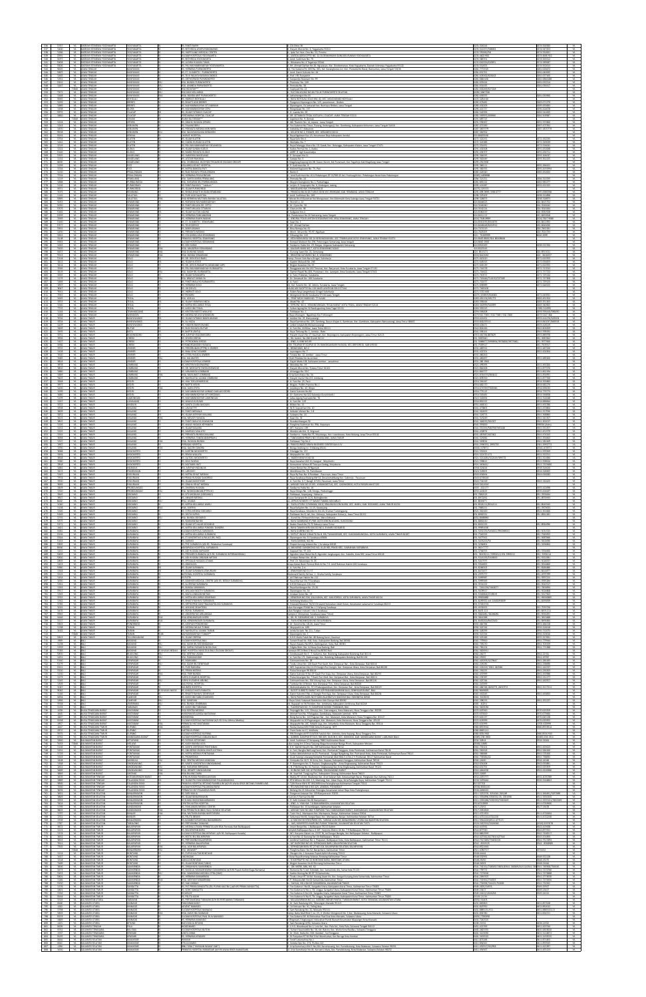| 538<br>539               | '0747<br>1400                         | YA                                      | DAERAH ISTIMEWA YOGYAKARTA<br>YA DAERAH ISTIMEWA YOGYAKARTA                                     | YOGYAKARTA<br>YOGYAKARTA                                             |                                         | RS. PANTI RAPIH<br>RS. BETHESDA LEMPUYANGWANGI                                                                                                                   | Jl. Cik Ditiro 30<br>Jl. Hayam Wuruk No. 6, Yogyakarta 55211                                                                                                                                                                                                                                                        | 0274-514014<br>0274-512257/588002                                                                                | 0274-564583<br>0274-547253                                 | YA<br>YA                    |
|--------------------------|---------------------------------------|-----------------------------------------|-------------------------------------------------------------------------------------------------|----------------------------------------------------------------------|-----------------------------------------|------------------------------------------------------------------------------------------------------------------------------------------------------------------|---------------------------------------------------------------------------------------------------------------------------------------------------------------------------------------------------------------------------------------------------------------------------------------------------------------------|------------------------------------------------------------------------------------------------------------------|------------------------------------------------------------|-----------------------------|
| 540                      | '1286<br>'0991<br>'0077               |                                         | YA DAERAH ISTIMEWA YOGYAKARTA<br>YA DAERAH ISTIMEWA YOGYAKARTA<br>YA DAERAH ISTIMEWA YOGYAKARTA | YOGYAKARTA<br>YOGYAKARTA<br>YOGYAKARTA                               |                                         | S. HAPPYLAND MEDICAL CENTER<br>ILOAM HOSPITALS YOGYAKARTA<br>S. BETHESDA YOGYAKARTA                                                                              | JL. Ipda Tut Hars. Ono No. 53, Timoho<br>JL. LAKSDA ADISUCIPTO NO. 32-34 DEMANGAN GONDOKUSUMAN YOGYAKARTA<br>Jl. Jend. Sudirman No. 70                                                                                                                                                                              | 0274-550060/58<br>0274-4600 900<br>0274-586701                                                                   | 0274-550061<br>0274 4600 922<br>0274-563312                | YA<br>YA<br>YA              |
| 541<br>542<br>543        | '0604<br>'0606<br>'6625               |                                         | YA DAERAH ISTIMEWA YOGYAKARTA<br>YA DAERAH ISTIMEWA YOGYAKARTA<br>YA JAWA TENGAH                | YOGYAKARTA<br>YOGYAKARTA<br>BANYUMAS                                 |                                         | I LIDIRA HUSADA TAMA<br>S PKII MUHAMMADIYAH YOGYAKARTA<br>S. HERMINA PURWOKERTO                                                                                  | JL. Wiratama No. 4 Tegalrejo 55244<br>Jl. KH. Ahmad Dahlan No.20, Ngupasan, Kec. Gondomanan, Kota Yogyakarta, Daerah Istimewa Yogyakarta 55122<br>Jin. Yos Sudarso Rt. 003 Rw. 001, Kel. Karanglewas Lor, Kec. Purwokerto Barat, Banyumas, Jawa Tengah 53136                                                        | 0274 620333/62009<br>0274-512653<br>0281-7772525                                                                 | 0274-589087<br>0274-562613<br>0281-626472                  | YA<br>$\frac{YA}{YA}$       |
| 544<br>545<br>546        | '0825<br>'1445<br>1351                |                                         | YA JAWA TENGAH<br>YA JAWA TENGAH<br>YA JAWA TENGAH                                              | <b>RANYLIMAS</b><br><b>BANYUMAS</b><br>BANYUMAS                      |                                         | RS ST FLISARETH - PLIRWOKERTO<br>S. TK III WUAYA KUSUMA 040601<br>RS. ORTHOPAEDI PURWOKERTO                                                                      | Jl. Jend. Gatot Subroto No. 44<br>Jl. Prof. HR. Bunyamin<br>Jl. Soepardjo Roestam No. 99                                                                                                                                                                                                                            | 0281-631761<br>0281-633062/626163<br>0281-6844166                                                                | 0281-640005<br>0281-637100<br>0281-6844188                 | YA<br>YA<br>YA              |
| 547<br>548<br>549        | '0201<br>1447                         |                                         | YA JAWA TENGAH<br>YA JAWA TENGAH<br>TIDAK JAWA TENGAH                                           | BANYUMAS<br>BANYUMAS<br>BANYUMAS                                     | <b>RSU</b><br>RSU<br>RSU                | RSU. BUNDA PURWOKERTO<br>SU. ANANDA PURWOKERTO<br>SU HIDAYAH**                                                                                                   | Jl. Pramuka No. 249<br>Jl. Pemuda No. 30<br>Jl. Supriyadi No. 22                                                                                                                                                                                                                                                    | 0281-635424<br>0281-631435<br>0281-636269/627228                                                                 | 0281-632514<br>0281-636417                                 | YA<br>YA<br>YA              |
| 550<br>551               | '7471<br>'1448<br>'8365               | YA                                      | YA JAWA TENGAH<br>YA JAWA TENGAH<br><b>JAWA TENGAH</b>                                          | BANYUMAS<br>BANYUMAS<br>BOYOLALI                                     | RSU<br>RSLA                             | RSU DADI KELUARGA<br>RSIA. BUNDA ARIF PURWOKERTO<br>. INDRIATI BOYOLALI                                                                                          | JL. SULTAN AGUNG NO.8A TELUK PURWOKERTO SELATAN<br>Jl. Jatiwinangun No.16<br>JL. RAYA BOYOLALI-SOLO KM. 02, KEC. MOJOSONGO BOYOLALI                                                                                                                                                                                 | (0281) 6847366<br>0281-636555<br>0276-3281010                                                                    | 0281-630966                                                | YA<br>YA                    |
| 552<br>553<br>554        | '2292<br>'1889                        | YA                                      | YA JAWA TENGAH<br><b>JAWA TENGAH</b>                                                            | <b>BREBES</b><br>BREBES                                              |                                         | <b>RS. BHAKTI ASIH BREBES</b><br>S. MUHAMMADIYAH SITI AMINAH                                                                                                     | Jl. Pangeran Diponegoro No. 125, pesantunan - Brebes<br>Jl. Diponegoro, Ds Jatisawit kec. Bumiayu Brebes, Jawa Tengah                                                                                                                                                                                               | 0283-673481<br>0289-432209                                                                                       | 0283-671279<br>0289-430683                                 | YA<br>YA<br>YA              |
| 555<br>556<br>557        | '1438<br>'0975<br>'2860               |                                         | YA JAWA TENGAH<br>YA JAWA TENGAH<br>YA JAWA TENGAH                                              | <b>BLORA</b><br><b>CILACAP</b><br>CILACAP                            | <b>RSI</b>                              | S. MUHAMMADIYAH CEPU<br>RS. ISLAM FATIMAH CILACAP<br>PERTAMINA HOSPITAL CILACAP                                                                                  | Jl. Rongolawe No. 137<br>Il. H. Juanda No. 20<br>JI. DR. SETIABUDI TEGAL KATILAYU, CILACAP, JAWA TENGAH 53211                                                                                                                                                                                                       | 0296-421727<br>0282-542396<br>0282-509955,50990                                                                  | 0296-424678<br>0282-541065<br>0282-509987                  | YA<br>YA<br>YA              |
| 558<br>559<br>560        | '1224<br>'1243                        |                                         | TIDAK JAWA TENGAH<br>YA JAWA TENGAH<br>YA JAWA TENGAH                                           | DEMAK<br><b>JEPARA</b><br>KEBUMEN                                    | RSI                                     | SLAM NU DEMAK*<br>S. GRAHA HUSADA JEPARA<br>S. PALANG BIRU                                                                                                       | Jl. Jogoloyo No. 9, Demak<br>Jl. Mh Thamrin No. 14, Jepara - Jawa Tengah<br>Jl. Yos Sudarso No. Timur, Pucang, Kedungpuji, Kec. Gombong, Kabupaten Kebumen, Jawa Tengah 54416                                                                                                                                       | 0291-685723<br>0291-592067<br>0287-471290                                                                        | 0291-597806<br>0287-473762                                 | YA<br>YA<br>YA              |
| $\frac{561}{562}$<br>563 | '1870<br>'8558<br>'8163               |                                         | YA JAWA TENGAH<br>YA JAWA TENGAH<br>YA LAWA TENGAH                                              | KEBUMEN<br><b>KERLIMEN</b><br>KENDAL                                 | RS                                      | RS. PERMATA MEDIKA KEBUMEN<br>SSLI WIJAYAKUSUMA KERUMEN<br>CHARLIE HOSPITAL                                                                                      | Jl. Indrakita 17, Kebumen<br>JL. GELATIK NO.1, PANJER, KEC. KEBUMEN 54312<br>Jl. Raya Ngabean Kav 1A, Kecamatan Boja Kabupaten Kendal                                                                                                                                                                               | 0287-3870779<br>0287-381954<br>024-86005000                                                                      | 0287-3870779                                               | YA<br>YA<br>YA              |
| 564<br>565<br>566        | '0754<br>'1441<br>'1519               | YA                                      | YA JAWA TENGAH<br>JAWA TENGAH<br>YA JAWA TENGAH                                                 | KLATEN<br>KLATEN<br>KLATEN                                           | <b>RSI</b>                              | RS. ISLAM KLATEN<br>S. CAKRA HUSADA KLATEN<br>S. PKU MUHAMMADIYAH DELANGGL                                                                                       | Jl. Raya Solo Km.4<br>Il. Merbabu No. 7<br>Jl. Raya Delanggu Utara No. 19, Gatak, Kec. Delanggu, Kabupaten Klaten, Jawa Tengah 57471                                                                                                                                                                                | 0272-322252<br>0272-322386<br>0272-551051                                                                        | 0272-332235<br>0272-329029<br>0272-554041                  | YA<br>YA<br>YA              |
| 567<br>568<br>569        | '1222<br>'0146<br>'0335               |                                         | YA JAWA TENGAH<br>YA JAWA TENGAH<br>YA JAWA TENGAH                                              | <b>KUDUS</b><br><b>KUDUS</b><br><b>AAGELAND</b>                      |                                         | S ISLAM SUNAN KUDUS<br>S. MARDI RAHAYU KUDUS<br>ΗΔRΔΡΔΝ ΜΔΟΕΙ ΔΝΟ                                                                                                | Jl. Kudus Permai No. 1, Kudus<br>Jl. AKBP. R. Agil Kusumadya<br>Jl. P. Senopati No.11                                                                                                                                                                                                                               | 0291-432008<br>0291-434707<br>0293-364033                                                                        | 0291-432008<br>0291-434711<br>0293-364037                  | YA<br>YA<br>YA              |
| 570<br>571<br>572        | '1132<br>8030<br>'1299                |                                         | YA JAWA TENGAH<br>YA JAWA TENGAH<br>YA JAWA TENGAH                                              | MAGELANG<br>MAGELANG<br>PATI                                         |                                         | RS. LESTARI RAHARJA<br>RSU. SYUBBANUL WATHON TEGALREJO (SILOAM GROUP)<br><b>KELUARGA SEHAT HOSPITAL</b>                                                          | Jl. Sutopo No. 5<br>Jl.Magelang Kopeng km.08. Dusun Nuren, Kel.Purwosari, Kec.Tegalrejo Kab Magelang Jawa Tengah<br>Jl. P. Sudirman No. 9                                                                                                                                                                           | 0293-362649<br>0293-2911900<br>0295-386111                                                                       | 0293-362225<br>0295-384422                                 | YA<br>YA<br>YA              |
| 573<br>574<br>575        | '1534<br>'1220<br>'7534               |                                         | YA JAWA TENGAH<br>YA JAWA TENGAH<br>YA JAWA TENGAH                                              | PATI<br>PEKALONGAN<br>PEKALONGAN                                     |                                         | S MITRA RANGSA PATI<br>S. BUDI RAHAYU PEKALONGAN<br>RS. HERMINA PEKALONGAN                                                                                       | Jl. Kolonel Sugiyono No. 75, Pati<br>Jl. Barito 5<br>JL. Jend Sudirman No.16 A Pekalongan RT 01/RW 05 Kel. Podosugih Kec. Pekalongan Barat Kota Pekalongan                                                                                                                                                          | 0295-382555<br>0285-424340<br>(0285) 4498888                                                                     | 0295-4191994<br>0285-432002                                | YA<br>YA<br>YA              |
| 576<br>577               | '1219<br>'1888                        | YA                                      | <b>JAWA TENGAH</b><br>YA JAWA TENGAH                                                            | PEMALANG<br>PURBALINGGA                                              |                                         | SU. SANTA MARIA PEMALANG<br><b>SU. HARAPAN IBU PURBALINGGA</b>                                                                                                   | Il. Pemuda No. 24<br>Jl. Mayjen Soengkono No.1, Purbalingga                                                                                                                                                                                                                                                         | 0284-321251<br>0281-892222                                                                                       | 0284-322335<br>0281-982277                                 | YA<br>YA                    |
| 578<br>579<br>580        | '1226<br>'4971<br>'7075               | YA                                      | YA JAWA TENGAH<br><b>JAWA TENGAH</b><br>YA JAWA TENGAH                                          | PURWODADI<br>PURWOREJO<br>REMRANG                                    |                                         | RS. PANTI RAHAYU " Yakkum<br>RS. ISLAM PURWOREJO<br>S RHINA RHAKTI HI ISADA REMRANI                                                                              | Jl. Letjen. R. Soeprapto No. 6, Grobogan, Jateng<br><b>JL. MAGELANG KM 2 PURWOREJO</b><br>JL. PEMUDA KM.04 DS TURUS GEDE KEC.REMBANG KAB. REMBANG JAWA TENGAH                                                                                                                                                       | 0292-421087<br>(0275) 325570<br>0295-698 0999 / 698 0777                                                         | 0292-422325<br>0295-6980598                                | YA<br>YA<br>YA              |
| 581<br>582<br>583        | '1145<br>'6885<br>'0053               |                                         | YA JAWA TENGAH<br>YA JAWA TENGAH<br>YA JAWA TENGAH                                              | <b>SALATIGA</b><br>SALATIGA<br>SEMARANG                              | <b>RSIA</b><br>RS                       | S. PURI ASIH SALATIGA<br>RSIA HERMINA MUTIARA BUNDA SALATIGA<br>S. ROEMANI MUHAMMADIYAH                                                                          | Jl. Jend. Sudirman No. 169<br>Jl Merak No.8 Klaseman Kel.Mangunsari, Kec.Sidomukti Kota Salatiga Jawa Tengah 50721<br>Jl. Wondri o. 22                                                                                                                                                                              | 0298-323209<br>0298-328873<br>024-8444623                                                                        | 0298-322898<br>0298-328873<br>024-8415752                  | YA<br>YA<br>YA              |
| 584<br>585<br>586        | '0050<br>'0379<br>'0182               |                                         | YA JAWA TENGAH<br>YA JAWA TENGAH<br>YA JAWA TENGAH                                              | SEMARANG<br>SEMARANG<br>SEMARANG                                     | RSI                                     | S PANTI WILASA DR. CIPTO<br>RS. PANTI WILASA CITARUM<br>S. ISLAM SULTAN AGUNG                                                                                    | Jl. Dr. Cipto No. 50<br>Jl. Citarum No. 98<br>Jl. Kaligawe Km.4                                                                                                                                                                                                                                                     | 024-3546040<br>024-3542224<br>024-6580019                                                                        | 024-3546042<br>024-3542064<br>024-6581928                  | YA<br>YA<br>YA              |
| 587<br>588<br>589        | '0299<br>'2969<br>'0160               |                                         | YA JAWA TENGAH<br>YA IAWA TENGAH<br>YA JAWA TENGAH                                              | SEMARANG<br>SEMARANG<br>SEMARANG                                     | <b>RS</b>                               | S HERMINA PANDANARAN<br>S. HERMINA BANYUMANIK<br>RS. ST. ELISABETH - SEMARANG                                                                                    | Jln. Pandanaran No 24 Semarang, Jawa Tengah<br>IL. JENDRAL POLISI ANTON SOEDJARWO NO.195A,SEMARANG, JAWA TENGAH<br>Jl. Kawi No. 1                                                                                                                                                                                   | 024-8411112<br>(024) 7648 8989<br>024-8310035/831007                                                             | 021-8450818<br>(024) 7647 9080<br>024-8412392              | YA<br>YA<br>YA              |
| 590<br>591<br>592        | '0377<br>'0901<br>'1450               | YA                                      | <b>JAWA TENGAH</b><br>YA JAWA TENGAH<br>YA JAWA TENGAH                                          | SEMARANG<br>SEMARANG<br>SEMARANG                                     | <b>RS</b>                               | RS. TELOGOREJO<br>S RANYUMANIK<br>S PERMATA MEDIKA                                                                                                               | JL KH, Ahmad Dahlan<br>Jl. Bina Remaja No. 61<br>Il. Moch. Ichsan No. 93-97, Ngaliyan                                                                                                                                                                                                                               | 024-8448448/8452912<br>024-7471519<br>024-7625005                                                                | 024-8446000<br>024-7462181<br>024-7621733                  | YA<br>YA                    |
| 593<br>594<br>595        | '2822<br>'A148<br>'6963               |                                         | YA JAWA TENGAH<br>YA JAWA TENGAH<br>YA JAWA TENGAH                                              | SEMARANO<br>SEMARANG<br>SEMARANG                                     | RS<br><b>RS</b>                         | S. COLUMBIA ASIA SEMARANI<br><b>NMAYA HOSPITAL SEMARANG</b><br><b>SILOAM HOSPITALS SEMARANG</b>                                                                  | Jl. Siliwangi No. 143<br>JL. KEDUNGMUNDU NO.24 KEDUNGMUNDU, KEC.TEMBALANG KOTA SEMARANG, JAWA TENGAH 50273<br>Jl. Kompol Maksum No 296, Peterongan Semarang, Jawa tengah                                                                                                                                            | 024-8600 8600/0<br>024-8600 1900                                                                                 | 8646 2099                                                  | YA<br>YA<br>YA<br>YA        |
| 596<br>597<br>598        | 1663<br>'5430<br>'4457                |                                         | YA JAWA TENGAH<br>YA JAWA TENGAH<br>YA JAWA TENGAH                                              | SEMARANG<br>SEMARANG<br>SEMARANG                                     | <b>RS</b><br><b>RSIA</b><br><b>RSIA</b> | <b>RS. KEN SARAS</b><br>SIA. ANUGERAH SEMARAN<br><b>SIA GUNUNG SAWO</b>                                                                                          | Jl. Soekarno Hatta Km. 29. Bergas, Ungaran Kabupaten Semarang<br>JL. KALISARI BARU NO.7, KOTA SEMARANG 5024<br>Jl. Gunung Sawo No. 21, Semarang                                                                                                                                                                     | 024-6922269<br>024-8313543<br>024-8315171                                                                        | 0298-522706<br>024-8311011                                 | YA<br>YA<br>YA              |
| 599<br>600               | '5913<br>0118                         |                                         | YA LAWA TENGAH<br>YA JAWA TENGAH                                                                | SEMARANG<br>SOLO                                                     | <b>RSIA</b>                             | SIA, BUNDA SEMARANG<br>RS. DR. OEN SOLO BARU<br>S. ISLAM KUSTATI                                                                                                 | JL. BRIGJEND KATAMSO NO. 8. SEMARANG<br>Komp. Perum Solo Baru, Grogol, Sukoharjo                                                                                                                                                                                                                                    | (024) 8413060<br>0271-620220                                                                                     | 024 - 8416037<br>0271-622555                               | YA<br>YA<br>YA              |
| 601<br>602<br>603        | '0212<br>'0214<br>0746                | YA<br>YA                                | <b>JAWA TENGAH</b><br><b>JAWA TENGAH</b><br>YA JAWA TENGAH                                      | SOLO<br>OLO<br>SOLO                                                  |                                         | <b>DR OFN SURAKARTA (KANDANG SAPI)</b><br>RS. PKU MUHAMMADIYAH SURAKARTA<br><b>RSU. KASIH IBU SURAKARTA</b>                                                      | Il. Kapten Mulyadi No. 249<br>II. Brigjen Katamso No. 55<br>Jl. Ronggowarsito No.130 Timuran, Kec. Banjarsari, Kota Surakarta, Jawa Tengah 57131                                                                                                                                                                    | 0271-643013<br>0271-643139<br>0271-714578                                                                        | 0271-634823<br>271-622555<br>0271-717012                   | YA<br>YA                    |
| 604<br>605<br>606        | '0119<br>'0745<br>'1179               |                                         | YA JAWA TENGAH<br>YA JAWA TENGAH<br>YA JAWA TENGAH                                              | SOLO<br>SOLO<br>SOLO                                                 | <b>RSU</b><br>RSU                       | S. ISLAM SURAKARTA<br>SU. BRAYAT MINULYA                                                                                                                         | Jl. Slamet Riyadi No.404, Purwosari, Kec. Laweyan, Kota Surakarta, Jawa Tengah 57142<br>Jl. A. Yani, Prabelan, Surakarta<br>Jl. Dr. Setiabudi No. 106 Surakarta                                                                                                                                                     | 0271-714422<br>0271-710571<br>0271-716646/710170/727309                                                          | 0271-717722<br>0271-725134<br>0271-727308                  | YA<br>YA<br>YA              |
| 607<br>608<br>609        | '1483<br>'2907<br>'8047               |                                         | YA JAWA TENGAH<br>YA JAWA TENGAH<br>YA JAWA TENGAH                                              | SOLO<br>SOLO<br><b>SOLO</b>                                          |                                         | RS. PANTI WALUYO SURAKARTA<br>S. HERMINA SOLO<br>S. JIH (SOLO)                                                                                                   | Jl. A. Yani I<br>Jln. Kol. Sutarto No. 16. Jebres. Surakarta. Jawa Tengah<br>JALAN ADI SUCIPTO No.118 JAJAR LAWEYAN SOLO 57144                                                                                                                                                                                      | 0271-712077<br>0271-638989<br>0271-7469100                                                                       | 0271-729125<br>0271-644525                                 | YA<br>YA<br>YA<br>YA        |
| 610<br>611<br>612        | '5911<br>'7067<br>'1665               |                                         | YA JAWA TENGAH<br>YA JAWA TENGAH<br>YA JAWA TENGAH                                              | SOLO<br>SOLO<br>TEGAL                                                | RS                                      | RS. INDRIATI SOLC<br><b>S TRIHARSI</b><br>RSU. ADELLA                                                                                                            | Jl. Palem Raya Langenharjo Grogol Sukoharjo<br>II. Monginsidi No.82 Surakarta 57134 Jawa Tengah<br>IL. PROF MOH YAMIN NO. 77 SLAWI                                                                                                                                                                                  | 0271-5722 000<br>(0271) 656903/64606<br>0283-491154/491773                                                       | 0271-643931<br>0283-491354                                 | YA<br>YA                    |
| 613<br>614<br>615        | '0753<br>1540<br>7715                 |                                         | YA JAWA TENGAH<br>YA JAWA TENGAH<br>YA JAWA TENGAH                                              | <b>TEGAL</b><br>TEGAL<br>TEGAL                                       | <b>RSI</b><br><b>RS</b>                 | S. ISLAM HARAPAN ANDA<br>S. MITRA KELUARGA TEGAL<br><b>S. KASIH IBU TEGAL</b>                                                                                    | Jl. Ababil No. 42<br>JL. SIPELEM, NO.4, KEMANDUNGAN, TEGAL BARAT, KOTA TEGAL, JAWA TENGAH 52114<br>Jl. Sultan Agung No 32 Randugunting Kota Tegal 52131                                                                                                                                                             | 0283-358244<br>0283-340999/340399<br>0283-355525                                                                 | 0283-351263<br>0283-340902<br>0283-321995                  | YA<br>YA<br>YA              |
| 616<br>617<br>618        | 1144<br>'1668<br>'0726                | YA                                      | YA JAWA TENGAH<br>YA JAWA TENGAH                                                                | TEMANGGUNG<br><b>WONOGIRI</b><br>BANYUWANG                           |                                         | S. KRISTEN NGESTI WALUYO<br>RS. MEDIKA MULYA WONOGIRI<br>RS. ISLAM FATIMAH BANYUWANG                                                                             | Jl. Pahlawan No. 1<br>Jl.Raya Wonogiri - Ngadirojo Km 5 Wonogiri<br>Jl. Jember No. 25, Banyuwangi                                                                                                                                                                                                                   | 0293-596008<br>0273 532 7365 / 532 7369 / 532 7366<br>0333-421451                                                | 0293-596410/596490<br>0273 5327 366<br>0333-414170/423204  | YA<br>$\frac{YA}{YA}$       |
| 619<br>620<br>621        | '0724<br>'1429<br>'0269               |                                         | YA JAWA TIMUR<br>YA JAWA TIMUR<br>YA JAWA TIMUR                                                 | <b>RANYLIWANGI</b><br>BANYUWANGI<br>BLITAR                           |                                         | RS, AL-HUDA<br>RS, YASMIN BANYUWANGI<br>RS. BUDI RAHAYU BLITAR                                                                                                   | Jl. Raya Gambiran No. 225, Genteng, Dusun Krajan II, Gambiran, Kec. Gambiran, Kabupaten Banyuwangi, Jawa Timur 6846!<br>Jl. Letkol Istiqlah 80-84 banyuwangi<br>Jl. A. Yani No. 18 Blitar, Jawa Timur 66111                                                                                                         | 0333-8420333-6<br>0333-424671<br>0342-801066                                                                     | 0333-842037/845918<br>0333-418219<br>0342-806509           | YA<br>YA<br>YA              |
| 622<br>623<br>624        | '0192<br>'0731<br>'0596               |                                         | YA JAWA TIMUR<br>YA JAWA TIMUR<br>YA JAWA TIMUR                                                 | BATU<br>BOJONEGORO<br><b>GRESIK</b>                                  |                                         | RS. BAPTIS (BATU)<br>SI. AISYIYAH BOJONE<br>RS. SEMEN GRESIK                                                                                                     | Jl. Raya Tlekung No. 1, Junrejo - Batu<br>Jl. Hasyim Asyari No.17, Kauman, Kec. Bojonegoro, Kabupaten Bojonegoro, Jawa Timur 62113<br>JL. RA. Kartini, No.280 Gresik 61111                                                                                                                                          | 0341-594161<br>0353-481784,88782<br>031-3987840                                                                  | 0341-598192<br>0353-885978<br>031-3987842                  | YA<br>YA<br>YA              |
| 625<br>626<br>627        | 1427<br>'A902<br>'0725                |                                         | YA JAWA TIMUR<br>YA JAWA TIMUR<br>YA JAWA TIMUR                                                 | GRESIK<br><b>GRESIK</b><br>JEMBER                                    |                                         | RS. PETROKIMIA GRESIK<br>RS RANDEGANSARI HUSADA<br>S. PERKEBUNAN (PTPN) X JEMBER                                                                                 | JL. JEND. A.YANI NO.69<br>DSN. TELAPAK RT.02/RW.01 DS.RANDEGANSARI HUSADA, KEC.DRIYOREJO, KAB GRESIK<br>IL. BEDADUNG, NO.2                                                                                                                                                                                          | 031-3988877/3990994/3978658/3977666<br>031-7509317<br>0331-485912                                                | 031-3977666<br>031-7509317<br>0331-487226                  | YA<br>YA<br>YA              |
| 628<br>629<br>630        | '1428<br>'3530<br>'1685               | YA                                      | YA JAWA TIMUR<br><b>JAWA TIMUR</b><br>YA JAWA TIMUR                                             | <b>JEMBER</b><br>JEMBER<br><b>JEMBER</b>                             | <b>RS</b><br>RS                         | RS. BINA SEHAT JEMBER<br><b>RS. CITRA HUSADA JEMBER</b><br>RSU, KALIWATES                                                                                        | Jl. Jayanegara No. 7<br>Jl. Teratai No. 22, Jember - Jawa Timur<br>Il Diah Pitaloka No 4a lemb                                                                                                                                                                                                                      | 0331-422701<br>0331-486200<br>0331-485697                                                                        | 0331-424304<br>0331-489100                                 | YA<br>YA<br>YA              |
| 631<br>632               | '6814<br>'0978                        |                                         | YA JAWA TIMUR<br>YA JAWA TIMUR                                                                  | <b>JEMBER</b><br><b>JOMBANG</b>                                      | <b>RS</b>                               | SILOAM HOSPITALS JEMBER<br>RS. KRISTEN MOJOWARNO<br>RS. DR. MOEDJITO DWIDJOSISWO                                                                                 | Jl. Gajah Mada 104, Kaliwates Jember, Jawatimu<br>Jl. Merdeka No. 59                                                                                                                                                                                                                                                | 0331-286 1900<br>0321-495093                                                                                     | 0321-492200                                                | YA<br>YA                    |
| 633<br>634<br>635<br>636 | '0810<br>1880<br>'1849<br>'5425       |                                         | YA JAWA TIMUR<br>YA JAWA TIMUR<br>YA JAWA TIMUR<br>YA JAWA TIMUR                                | <b>IOMBANG</b><br><b>JOMBANG</b><br><b>IOMBANG</b><br><b>JOMBANG</b> | <b>RS</b><br><b>RSIA</b><br><b>RS</b>   | S AIRLANGGA IOMRANG<br><b>ISIA. MUSLIMAT JOMBANG</b><br>S. NAHDLATUL ULAMA JOMBANO                                                                               | Jl. Hayam Wuruk No. 9, Jawa Timur 61411<br>Jl. Airlangga No. 50 C<br>Jl Urip Sumoharjo No. 34                                                                                                                                                                                                                       | 0321-864308<br>0321-861577<br>0321-8744533/86441<br>0321-878700                                                  | 0321-877276<br>0321-862194<br>0321-854991<br>0321-877700   | YA<br>YA<br>YA<br>YA        |
| 637<br>638               | '0248<br>'0977                        |                                         | YA JAWA TIMUR<br>YA LAWA TIMUR                                                                  | KEDIRI<br>KEDIRI                                                     |                                         | RS HVA TOELOENGREDI<br>RS. BAPTIS KEDIRI                                                                                                                         | Jl. Hasyim Asy'ari No 211 Jomban<br>Jl. A. Yani No. 25, Pare<br>Jl. Brigjen. Polibh Pranoto No.1                                                                                                                                                                                                                    | 0354-391047<br>0354-682170                                                                                       | 0354-392883<br>0354-682170                                 | YA<br>YA                    |
| 639<br>640<br>641        | '1430<br>'1599<br>'4680               | YA                                      | YA JAWA TIMUR<br>JAWA TIMUR<br>YA JAWA TIMUR                                                    | KEDIRI<br>KEDIRI<br>KEDIRI                                           | RSIA                                    | RSIA. AURA SYIFA<br>S. MUHAMMADIYAH AHMAD DAHLAN KEDIRI<br>S. MUHAMMADIYAH SITI KHODUAH                                                                          | Jl. Joyoboyo No. 42, Dlopo<br>Jl. Gatot Subroto No.84<br>Jl. Dr. Soetomo No 322 Sukorejo Gurah Kediri                                                                                                                                                                                                               | 0354-671939/7001<br>0354-773115<br>0354-545481                                                                   | 0354-696033<br>0354-776773<br>0354-548838                  | YA<br>YA<br>YA              |
| 642<br>643<br>644        | '1199<br>'1247<br>'0722               |                                         | YA JAWA TIMUR<br>YA JAWA TIMUR<br>YA JAWA TIMUR                                                 | LAMONGAN<br>UMAJANG<br>AADIUN                                        |                                         | RS. MUHAMMADIYAH LAMONGAN<br>IS. WIJAYA KUSUM.<br>S. SANTA CLARA MADI                                                                                            | Jl. Jaksa Agung Suprapto No. 76<br>Jl. A. Yani No. 149<br>II. Biliton No. 15                                                                                                                                                                                                                                        | 0322-322834<br>0334-891325<br>0351-46651                                                                         | 0322-314048<br>0334-888844<br>1351-455780                  | YA<br>YA<br>YA              |
| 645<br>646<br>647        | 'ozna<br>'0609<br>'0252               | <b>YA</b>                               | <b>JAWA TIMUR</b><br>YA JAWA TIMUR<br>YA JAWA TIMUR                                             | MALANG<br>MALANG                                                     | RSI                                     | RS. PANTI NIRMALA<br>RS. ISLAM AISYIYAH MALANG                                                                                                                   | Jl. Kebalen Wetan No. 2-8<br>Jl. Sulawesi No. 16                                                                                                                                                                                                                                                                    | 0341-362459<br>0341-326773                                                                                       | 0341-327930<br>0341-368883                                 | YA<br>YA                    |
| 648<br>649<br>650        | '0125<br>'0815<br>'1326               |                                         | YA JAWA TIMUR<br>YA JAWA TIMUR<br>YA JAWA TIMUR                                                 | MALANG<br>MALANG<br>MALANG                                           | RSIA                                    | RSIA, MELATI HUSADA<br>RS. PANTI WALUYA SAWAHAN<br>RS. WAVA HUSADA KEPANJEN                                                                                      | Jl. Kawi No. 32<br>Jl. Nusakambangan 56<br>Jl. Panglima Sudirman No. 99A. Kepanien                                                                                                                                                                                                                                  | 0341-325249<br>0341-366033/361507<br>0341-393000                                                                 | 0341-341357<br>0341-362017<br>398924 (Adm)                 | YA<br>YA<br>YA              |
| 651<br>652<br>653        | '1252<br>'1325<br>1561                | YA                                      | <b>JAWA TIMUR</b><br>YA JAWA TIMUR<br>YA JAWA TIMUR                                             | MALANG<br>MALANG<br>MALANG                                           | RS.                                     | S. ISLAM MALANG<br>S. MARSUDI WALUY<br>RS. PERMATA BUNDA MALANG                                                                                                  | Il. MT. Haryono 139<br>Jl. Mondoroko Km. 9. Singosari<br>Jl. Soekarno - Hatta No.75, Mojolangu, Kec. Lowokwaru, Kota Malang, Jawa Timur 65142                                                                                                                                                                       | 0341-551356/580798/565448<br>0341-458974<br>0341-487487/40746                                                    | 0341-551257<br>0341-451579<br>0341-474242                  | YA<br>YA<br>YA              |
| 654<br>655<br>656        | '0094<br>'1327<br>'2967               |                                         | YA JAWA TIMUR<br>YA JAWA TIMUR<br>YA JAWA TIMUR                                                 | MALANG<br>MALANG<br>MALANG                                           | <b>RS</b><br>RSIA<br>RS                 | RS. HERMINA TANGKUBANPRAHU<br>RSIA, HUSADA BUNDA<br>PERSADA HOSPITAL                                                                                             | JL. TANGKUBAN PRAHU NO.33, MALANG, JAWA TIMUR<br>Jl. Pahlawan Trip No.2<br>JL. PANJI SUROSO ARAYA BUSINESS CENTER KAV.II-IV                                                                                                                                                                                         | 0341-325082<br>0341-569634<br>0341-2996333, 299373                                                               | 0341-354843<br>0341-580169<br>0341-2993773                 | YA<br>YA                    |
| 657<br>658               | '2790<br>'0088<br>'0164               |                                         | YA JAWA TIMUR<br>YA JAWA TIMUR                                                                  | MALANG<br>MOJOKERTO<br>MOIOKERTO                                     | <b>RSIA</b><br>RS                       | RSIA. GALERI CANDRA<br>RS. KARTINI MOJOKERTO<br><b>AYIIIMA A2YAR</b>                                                                                             | Jl. Bunga Andong no. 3 Malang 65141<br>Jl. Erlangga No. 137<br>Il Moinnabit No. 422                                                                                                                                                                                                                                 | (0341) 478571<br>0321-592261<br>0321-322170-17                                                                   | $(0341)$ 478571<br>0321-595569                             | YA<br>YA<br>YA              |
| 659<br>660<br>661        | '0928<br>'1980                        |                                         | YA JAWA TIMUR<br>YA JAWA TIMUR<br>YA JAWA TIMUR                                                 | MOJOKERTO<br>MOJOKERTO                                               | <b>RS</b>                               | RS. GATOEL MOJOKERTC<br>RS. SIDO WARAS                                                                                                                           | JL. RADEN WIJAYA NO.56<br>Jl. Raya Sawahan KM.10, bangsal - Mojokerto                                                                                                                                                                                                                                               | 0321-3211681/322329/399772<br>0321-598621                                                                        | 0321-322511<br>0321-321684<br>0321-598624                  | YA<br>YA<br>YA              |
| 662<br>663<br>664        | 2818<br>'1881<br>'0113                |                                         | YA JAWA TIMUR<br><b>YA LAWA TIMLIR</b><br>YA JAWA TIMUR                                         | MOJOKERTO<br>NGANJUK<br>PAMEKASAN                                    | <b>RS</b>                               | RS, MUTIARA HATI<br>SI AISYIYAH NGANILIR<br>RS. LARASATI                                                                                                         | Jl. Kemantren Wetan 49 Terusan Gedeg, Mojokerto<br>Jl. Imam Bonjol No 20 Nganjuk<br>Jl. Mandilaras No. 74, Pamekasan                                                                                                                                                                                                | 0321-363442/<br>0358-324024<br>0324-328305                                                                       | 0321-7223400<br>0358-324024<br>0324-328305                 | YA<br>YA<br>YA              |
| 665<br>666<br>667        | '1347<br>'7974<br>$\frac{0700}{8283}$ |                                         | YA JAWA TIMUR<br>YA JAWA TIMUR<br>YA JAWA TIMUR<br>YA JAWA TIMUR                                | PASURUAN<br>PASURUAN<br>PASURUAN                                     |                                         | RS. MITRA SEHAT MEDIKA<br>S PRIMA HUSADA SUKOREJO<br>RS. ISLAM MASYITHOH                                                                                         | Jl. Raya By Pass No. 6 Pandaan - Pasuruan, Jawa Timur<br>Jl. Raya Surabaya Malang KM 54, Desa lemahbang Kec. Sukorejo - Pasun<br>Jl. A. Yani No. 6-7, Bangil, 67153, Pasuruan, Jawa Timur<br>Jl. AHMAD YANI NO.15 KEL. KARANGKETUG, KEC. GADINGREJO, KOTA PASURUAN 67135                                            | 0343-636064<br>0343-6745000<br>0343-741018                                                                       | 0343-636083<br>0343-742425                                 | YA<br>YA<br>$\frac{YA}{YA}$ |
| 668<br>669<br>670        | '0309<br>'1330                        |                                         | YA JAWA TIMUR<br>YA JAWA TIMUR                                                                  | PASURUAN<br>PROBOLINGG<br>PROBOLINGGO                                | RSU                                     | RS. GRAHA SEHAT MEDIKA<br>RS. DHARMA HUSADA<br>RSU. WONOLANGAN (PTPN XI)                                                                                         | Jl. Soekarno Hatta No. 10<br>Jl. Raya Dringu No. 118, Dringu, Probolinggo                                                                                                                                                                                                                                           | 0343-5611000<br>0335 - 422177<br>0335-420225                                                                     | 1335-422698<br>0335-424007                                 | YA<br>YA                    |
| 671<br>672<br>673        | '0545<br>'0927<br>B222                |                                         | YA JAWA TIMUR<br>YA JAWA TIMUR<br>YA JAWA TIMUR                                                 | SIDOARIO<br>SIDOARJO<br><b>SIDOARIO</b>                              | RSU                                     | RS. SITI KHODIJAH (SIDOARJO)<br>RS. ANWAR MEDIK<br>RSU, USADA                                                                                                    | Jl. Pahlawan, Sepanjang - Sidoarjo<br>Jusun Semawut Rt.11/4, Balongbendc<br>JL. JERUK NOMOR 117 WAGE-TAMAN SIDOARJO                                                                                                                                                                                                 | 031-7882123<br>031-8972052<br>031-8539671                                                                        | 031-7876064<br>031-8974943                                 | YA<br>YA<br>YA              |
| 674<br>675<br>676        | '1040<br>'1108<br>'1346               |                                         | <b>YA IAWA TIMUR</b><br>YA JAWA TIMUR<br>YA JAWA TIMUR                                          | SIDOARIO<br>SIDOARIO<br>SIDOARIO                                     | <b>RSIA</b>                             | S. MITRA KELUARGA WARU<br>RSIA. SOERYA<br>RS. CITRA MEDIKA SIDOARJO                                                                                              | IL. RAYA LETJEN, S.PARMAN, NO.8, KRAJAN KULON WARU, KEC, WARU, KAB, SIDOARJO, JAWA TIMUR 61256<br>Jl. Raya Kalijaten No. 11-15, Sepanjang<br>II. Raya Surabaya, Mojokerto Km.44, Kramat Tumenggung                                                                                                                  | 031-8543111/854211:<br>031-7885011<br>0321-361000                                                                | 031-8545543<br>031-7873633<br>0321-361666                  | YA<br>YA.<br>YA             |
| 677<br>678<br>679        | '0249<br>'2755<br>'6375               | YA<br>YA                                | <b>JAWA TIMUR</b><br>YA JAWA TIMUR<br>JAWA TIMUR                                                | SIDOARIO<br>SIDOARIO<br>SIDOARIO                                     | RSU                                     | S. DELTA SURYA<br>RSU. BUNDA SIDOARIC<br>S. RAHMAN RAHIM                                                                                                         | II. Pahlawan No.9, Jati, Kec. Sidoarjo, Kabupaten Sidoarjo, Jawa Timur 61211<br>JL. Kundi No.70 Kepuh Kiriman, Waru Sidoarjo<br>L. RAYA SAIMBANG RT/RW:10/03 KEBON AGUNG, SUKODONO                                                                                                                                  | 031-8962531<br>(031) 8668880<br>031-8830010                                                                      | 031-8961281                                                | YA<br>YA<br>YA              |
| 680<br>681<br>682        | '0271<br>A611<br>'0081                |                                         | YA JAWA TIMUR<br>YA JAWA TIMUR<br>YA JAWA TIMUR                                                 | SIDOARJO<br>SIDOARIO<br>SURABAYA                                     | <b>RS</b><br><b>RS</b>                  | S. ISLAM SITI HAJAR SIDOARIO<br>RS. MITRA KELUARGA PONDOK TJANDRA<br>ILOAM HOSPITALS SURABAYA                                                                    | Il. Raden Patah No 70-72 Sidoarjo Jawa Timu<br>JL. RAYA TAMAN ASRI KAV.DD NO.1-8 WARU SIDOARJO<br>JL. RAYA GUBENG NO.70                                                                                                                                                                                             | 031-8921233<br>031-99691000<br>031-5031333/5031821/99206900                                                      | 031-8944990<br>031-5031533                                 | YA<br>YA<br>YA              |
| 683<br>$684$<br>$685$    | '0136<br>'0544<br>'0163               |                                         | YA JAWA TIMUR<br>YA JAWA TIMUR                                                                  | <b>SURABAYA</b>                                                      |                                         | S. MITRA KELUARGA SURABAYA<br><b>KS. ST.VINCENTIUS A.PAULO (RS. RKZ)</b><br>S. DARMO                                                                             | IL. SATELIT INDAH II Blok FN No.8, KEL TANJUNGSARI, KEC. SUKOMANUNGGAL, KOTA SURABAYA, JAWA TIMUR 60187<br>Jl. Diponegoro No. 51 Surabaya 60008<br>JL. RAYA DARMO, NO.90                                                                                                                                            | 031-7345333<br>031-5677562<br>031-5676253/56                                                                     | 031-7345955<br>031-5687846<br>031-5602690                  | YA<br>$YA$<br>$YA$          |
| 686<br>687<br>688        |                                       |                                         |                                                                                                 | SURARAYA                                                             |                                         | RS. PHC SURABAYA (d/h RS. Pelabuhan Surabaya)                                                                                                                    | Jl. Prapat Kurung Selatan No. I, Surabaya 60165                                                                                                                                                                                                                                                                     |                                                                                                                  |                                                            |                             |
| 689<br>690               | '0895<br><b>PAGE</b>                  |                                         | YA JAWA TIMUR<br>YA JAWA TIMUR<br>YA JAWA TIMUR                                                 | SURABAYA<br>SURABAYA<br><b>SLIRARAYA</b>                             | RS                                      | MAYAPADA HOSPITAL SURABAYA                                                                                                                                       | JL. MAYJEND SUNGKONO NO.16-20 KEL PAKIS KEC. SAWAHAN SURABAYA                                                                                                                                                                                                                                                       | 031-3294801<br>031-9921777                                                                                       | 031-3294804                                                | YA<br>YA                    |
| 691                      | '1201<br>'0829<br>'0830               |                                         | YA JAWA TIMUR<br>YA JAWA TIMUR<br>YA JAWA TIMUR                                                 | SURABAYA<br>SURABAYA<br>SURABAYA                                     | <b>RS</b>                               | S. ADI HUSADA KAPASARI<br>RS. PREMIER SURABAYA (d/h RS. SURABAYA INTERNASIONAL)<br><b>KS. ADI HUSADA UNDAAN WETAN</b>                                            | Jl. Kapasari No. 97-101<br>Jl. Nginden Intan Barat No.B, Ngenden Jangkungan, Kec. Sukolilo, Kota SBY, Jawa Timur 60118<br>Jl. Undaan Wetan No. 40-44                                                                                                                                                                | 031-3764555<br>031-33003211/5993211 031-5993211<br>031-5321256/5318000                                           | 031-3764666<br>031-5993214<br>031-5321081                  | YA<br>YA<br>YA              |
| 692<br>693               | '0809<br>'1453<br>'0980               |                                         | YA JAWA TIMUR<br>YA JAWA TIMUR<br>YA JAWA TIMUR                                                 | URABAYA<br><b>SURABAYA</b><br>SURABAYA                               | <b>RS</b>                               | S. SPESIALIS HUSADA UTAMA<br>RS. ONKOLOGI<br>S. ISLAM SURABAYA                                                                                                   | Jl. Prof. Dr. Moestopo 31-35<br>Araya Galaxi Bumi Permai Blok A2 No.7 Jl. Arief Rahman Hakim 182 Surabaya<br>Jl. A. Yani No. 2-4                                                                                                                                                                                    | 031-5017975<br>031-5914855<br>031-8284505                                                                        | 031-5018337<br>031-5914860<br>031-8284486                  | YA<br>YA<br>YA              |
| 694<br>695<br>696        | '1364<br>'2315<br>1454                |                                         | YA JAWA TIMUR<br>YA JAWA TIMUR<br>YA JAWA TIMUR                                                 | <b>SLIRARAYA</b><br><b>SURABAYA</b><br>SURABAYA                      | <b>RS</b>                               | S. ISLAM SURABAYA JEMURSAR<br>VATIONAL HOSPITAL SURABAYA<br>RS PUTRI                                                                                             | JL. JEMURŠARI NO 51-5<br>Boulevard Family Sel kav. 1 - Graha Family, Surabaya<br>Jl. Arif Rahman Hakim No.112                                                                                                                                                                                                       | 031-8471877<br>031-2975777<br>031-5999987                                                                        | 031-8414877<br>031-2975799<br>031-5997215                  | YA<br>YA<br>YA              |
| 697<br>698<br>699        | '1690<br>'1361<br>'1363               |                                         | YA JAWA TIMUR<br>YA JAWA TIMUR<br>YA JAWA TIMUR                                                 | SURABAYA<br><b>SURABAYA</b><br><b>SURABAYA</b>                       | RS                                      | RS. MANYAR MEDICAL CENTRE (d/h RS. BEDAH SURABAYA)<br>RS. AL IRSYAD SURABAYA<br>S. BUNDA SURABAYA                                                                | Jl. Raya Manyar No. 9 Surabaya<br>Jl. K.H.M Mansyur 210-214<br>Jl. Raya Kandangan No. 23-24                                                                                                                                                                                                                         | 031-5999369<br>031-3531223<br>031 - 7442220/7440077                                                              | 031-5995284<br>031-3541517<br>031-7400694                  | YA<br>YA<br>YA              |
| 700<br>701<br>702        | '0917<br>1365<br>'2925                |                                         | YA JAWA TIMUR<br>YA JAWA TIMUR<br>YA JAWA TIMUR                                                 | SURABAYA<br>SURABAYA<br><b>SURABAYA</b>                              | <b>RS</b>                               | RS. WILLIAM BOOTH SURABAYA<br>RS. MATA UNDAAN WETAN<br>S. MITRA KELUARGA KENJERAN                                                                                | Jl. Diponegoro No. 34<br>Jl. Undaan Kulon No. 19<br>IL. KENJERAN NO.506, KALIJUDAN, KEC. MULYOREJO, KOTA SURABAYA, JAWA TIMUR 60134                                                                                                                                                                                 | 031-5678917<br>031-5343806,5319619<br>031-9900088                                                                | 031-5624868<br>031-5317503<br>031-9900088                  | YA<br>YA<br>YA              |
| 703<br>704<br>705        | '1362<br>'2785<br>'2001               | YA                                      | YA JAWA TIMUR<br>JAWA TIMUR<br>YA JAWA TIMUR                                                    | SURABAYA<br>SURABAYA<br><b>SURABAYA</b>                              | <b>RS</b>                               | RS. BHAKTI RAHAYU SURABAYA<br>RS. ORTHOPEDI DAN TRAUMATOLOGI SURABAYA<br>S. WIYUNG SEJAHTERA                                                                     | Jl. Ketintang Madya I/16<br>Jl. Emerald Mansion TX/10 Citraland Kelurahan Lidah Kulon, Kecamatan Lakarsantri Surabaya 60213                                                                                                                                                                                         | 031-8295922 ext 118/8293839<br>031-57431574<br>031-4532653                                                       | 031-8293839<br>031-7533726                                 | YA<br>YA<br>YA              |
| 706<br>707<br>708        | '2476<br>'6965<br>'4446               |                                         | YA JAWA TIMUR<br>YA JAWA TIMUR<br>YA JAWA TIMUR                                                 | <b>SURABAYA</b><br>SURABAYA<br>SURABAYA                              | <b>RSIA</b>                             | RS. ROYAL SURABAYA<br>RS. UNIVERSITAS AIRLANGGA<br>SIA KENDANGSARI MERR                                                                                          | Jalan Karangan PDAM No.1-3 Wiyung Surabaya<br>Jalan Rungkut Industri I No.1 Surabaya<br>Kampus C Mulyorejo, Surabaya (Jawa Timur)<br>JL. DR. IR. SOEKARNO NO. 2, SURABAYA                                                                                                                                           | 031-8476 111<br>031-5820280, 58208281<br>031-3814388                                                             | 031-8476 211<br>031-5916291<br>031-3813488                 | YA<br>YA<br>YA              |
| 709<br>710<br>711        | '2217<br>'0823<br>'1198               |                                         | YA JAWA TIMUR<br>YA JAWA TIMUR<br>YA JAWA TIMUR                                                 | <b>SLIRARAYA</b><br>PONOROGO<br>TUBAN                                | <b>RSIA</b>                             | SIA, KENDANGSARI SURABAYA<br><b>S. AISYIYAH PONOROGO</b><br>RS. MEDIKA MULIA TUBAN                                                                               | IL. RAYA KENDANGSARI NO.38 SURABAYA<br>Jl. Dr. Sutomo No. 18-24, Jawa Timur<br>Jl. Mojopahit no. 699                                                                                                                                                                                                                | 031-8436200/84<br>0352-481784<br>0356-322744                                                                     | 031-8494484<br>0352-484218<br>0356-324618                  | YA<br>YA<br>YA              |
| 712<br>713<br>714        | '2002<br>'0813                        |                                         | YA JAWA TIMUR<br>TIDAK JAWA TIMUR<br>YA JAWA TIMUR                                              | TUBAN<br>TUBAN<br>TULUNGAGUN                                         | <b>RSAB</b><br><b>RS</b>                | <b>RS. NAHDLATUL ULAMA TUBAN</b><br><b>IUHAMMADIYAH TUBAN**</b><br>RS. ISLAM ORPEHA                                                                              | Jl. Letda Sucipto No 211, Tuban<br>Jl. Diponegoro No. 1<br>Jl. K.H.R Abdul Fatah No. 80 Batang Saren, Kauman                                                                                                                                                                                                        | 0356-328299<br>0356-321334<br>0355-323186                                                                        | 0356-712072<br>0356-323610<br>0355-327691                  | YA<br>YA<br>YA              |
| 715<br>716<br>717        | 1909<br>'1138<br>'1359                | YA BALI<br>YA BALI                      |                                                                                                 | BADUNG<br>BADUNG<br>BADUNG                                           | RSU                                     | ILOAM HOSPITALS BALI<br>SU. KASIH IBU KEDONGANAN<br>SU. SURYA HUSADHA NUSA DUA                                                                                   | Jl. Sunset Road No. 818, Kuta -Kabupaten Badung, Bali 80361<br>II. Raya Uluwatu No.69 A, Kedonganan, Kuta, Bali, 80361<br>Jl. Siligita Blok I No. 14 Nusa Dua-Badung -Bali                                                                                                                                          | 0361-779900<br>0361-703270<br>0361-766154                                                                        | 0361-779944<br>0361-703329<br>0361-771388                  | YA<br>YA                    |
| 718<br>719<br>720        | '5783<br>'0870<br>'1451               | YA BALI<br>YA BALI<br>YA BAL<br>YA BALI |                                                                                                 | BADUNG<br>BULELENG<br><b>BULELENG</b>                                | <b>RS KHUSUS BEDAH</b><br><b>RSU</b>    | MC HOSPITAL NUSA DUA BALI (SILOAM GROUP)<br>SU. KERTHA USADA<br><b>RSU, PARAMASIDH</b>                                                                           | Kawasan BTCD Blok D Nusa Dua 80363 Bali<br>Jl. Cendrawasih No.5 - 7, Kaliuntu, Kec. Buleleng, Kabupaten Buleleng, Bali 81116                                                                                                                                                                                        | 0361-3000911<br>0362-26277<br>0362-29787                                                                         | 0362-22741<br>0362-29787                                   | YA<br>YA<br>YA              |
| 721<br>722<br>723        | '0140<br>'0179<br>'0221               | YA BALI<br>YA BALI<br>YA BALI           |                                                                                                 | DENPASAR<br>DENPASAR<br><b>DENPASAR</b>                              | RSU                                     | S. MANUABA<br>SU. KASIH IBU DENPASAR<br><b>S. PURI RAHARJA</b>                                                                                                   | Jl. A. Yani No.171, Baktiseraga, Kec. Buleleng, Kabupaten Buleleng, Bali 81116<br>Jl. Cokroaminoto No. 28<br>Jl. Teuku Umar No. 120 Dauh Puri Kauh, Kec. Denpasar Bar., Kota Denpasar, Bali 80114                                                                                                                   | 0361-426393/4279447<br>0361-223036<br>0361-222013/036                                                            | 0361-286183<br>0361-238690<br>0361-242537                  | YA<br>YA<br>YA              |
| 724<br>725<br>726        | '0220<br>'1150<br>'1273               | YA BALI<br>YA BALI<br>YA BALI           |                                                                                                 | DENPASAR<br>DENPASAR<br>DENPASAR                                     | <b>RSIA</b>                             | S. PRIMA MEDIKA<br>RSIA. PURI BUNDA<br>URYA HUSADHA HOSPITAL                                                                                                     | Jl. WR. Supratman No.14-19 Dangin Puri Kangin, Kec. Denpasar Utara, Kota Denpasar, Bali 80236<br>Jl. Pulau Serangan 9X 80114<br>Jl. Gatot Subroto VI No.19 Dauh Puri Kaja, Kec. Denpasar Utara, Kota Denpasar, Bali 80233<br>II. Pulau Serangan No. 7 Dauh Puri Klod, Kec. Denpasar Bar., Kota Denpasar, Bali 80114 | 0361-236225<br>0361-437999<br>0361-233787                                                                        | 0361-236203<br>0361-433988<br>0361-231177                  | YA<br>YA<br>YA<br>YA        |
| 727<br>728<br>729        | '1245<br>'1309<br>'1047               | YA BAL<br>YA BALI<br>YA BALI            |                                                                                                 | DENPASAR<br>DENPASAR<br>DENPASAR                                     |                                         | URYA HUSADHA URUNG<br>BALI ROYAL HOSPITAL<br>BALIMED HOSPITAL                                                                                                    | noto No. 356 Ubung Kaja, Kec. Denpasar Utara, Kota Denpasar, Bali 80116<br>Jl. Tantular No. 6 Renon Kec. Denpasar Tim., Kota Denpasar, Bali 80226<br>Jl. Mahendradatta No. 57 X Padangsambian, Kec. Denpasar Bar., Kota Denpasar, Bali 80119                                                                        | 0361-425744<br>0361-247499<br>0361-484748, 8450771, 8450772                                                      | 0361-430557<br>0361-3117311                                | YA<br>YA<br>YA              |
| 730<br>731<br>732        | '8045<br>'1146<br>'4834               | YA BALI<br>YA BALI<br>YA BALI           |                                                                                                 | DENPASAR<br>DENPASAR<br>GIANYAR                                      | <b>RS KHUSUS MATA</b><br>RSU            | RS. KHUSUS MATA RAMATA<br><b>S. BHAKTI RAHAYU DENPASAR</b><br>RS. KASIH IBU SABA (GIANYAR)                                                                       | JL. GATOT SUBROTO BARAT NO.429 PADANGSAMBIAN KAJA, DENPASAR BARAT, BALI<br>Jl. Gatot Subroto II No.11 Dangin Puri Kaja, Kec. Denpasar Utara, Kota Denpasar, Bali 80234<br>JL. RAYA PANTAI SABA NO 9 SABA BLAHBATUH GIANYAR BALI INDONESIA 80581                                                                     | 0361 9069009<br>0361-430245<br>0361-3003333                                                                      | 0361-430833                                                | YA<br>YA<br>YA              |
| 733<br>734<br>735        | '1896<br>12558<br>'2133               | YA BALI<br>YA BALI<br>YA BALI           |                                                                                                 | GIANYAR<br><b>IFMRRANA</b><br>TABANAN                                | RSU<br>RSU                              | RSU. GANESHA<br>RSU RUNDA IEMRRANA<br>RS. KASIH IBU TABANAN                                                                                                      | Jl.Raya Celuk Sukawati Batubulan Kab.Gianyar Bali 80582<br>Iln Rajawali no 36 Pendem, Kec. Jembrana, Kabupaten Jembrana, Bali 82218<br>JL. FLAMBOYAN NO. 9 ( KAMPUNG KODOK )TABANAN, BALI                                                                                                                           | 0361-298233<br>0365 - 40251<br>0361-3003030                                                                      | 0361-291237                                                | YA<br>YA<br>YA              |
| 736<br>737<br>738        | 1539<br>1645<br>1827                  |                                         | YA NUSA TENGGARA BARAT<br>YA NUSA TENGGARA BARAT<br>YA NUSA TENGGARA BARAT                      | MATARAM<br>MATARAM<br>MATARAM                                        | RS<br><b>RS</b>                         | RISA SENTRA MEDIKA<br>HARAPAN KELUARGA MATARAM<br><b>IOMEDIKA</b>                                                                                                | Jl. Pejanggik No. 115, Cilinaya, Kec. Cakranegara, Kota Mataram, Nusa Tenggara Bar. 83239<br>Jl. Ahmad Yani No. 9 Selagalas, Sandubaya, Mataram Lombok - NTB                                                                                                                                                        | 0370-625560<br>0370-670000<br>0370-645137                                                                        | 0370-625559<br>0370-673666<br>0370-645138                  | YA<br>YA<br>YA              |
| 739<br>740               | '4358<br>1957                         |                                         | YA NUSA TENGGARA BARAT<br>YA NUSA TENGGARA BARAT                                                | MATARAM<br>MATARAM                                                   | <b>RS</b><br><b>RSIA</b>                | ILOAM HOSPITALS MATARAM (d/h RS Grha Ultima Medika)<br>ERMATA HATI MATARAM                                                                                       | Jl. Bung Karno No. 143 Pagutan Bar., Kec. Mataram, Kota Mataram, Nusa Tenggara Bar. 83117<br>Jl. Majapahit no 10 Pagesangan, Kec. Mataram, Kota Mataram, Nusa Tenggara Bar. 83115<br>.<br>Il. Majapahit No.10C, Kekalik Jaya, Kec. Sekarbela, Kota Mataram, Nusa Tenggara Bar. 83114                                | 0370-623999<br>0370-631999                                                                                       | 0370-635955<br>0370-632999                                 | YA<br>YA                    |
| 741<br>742<br>743        | 1647<br>2972<br>'3975                 |                                         | YA NUSA TENGGARA TIMUR<br>YA NUSA TENGGARA TIMUR<br>YA NUSA TENGGARA TIMUF                      | KUPANG<br><b>KUPANG</b><br>KUPANG                                    | RSIA                                    | DEDARI<br>KARTINI KUPAN<br><b>ILOAM HOSPITALS KUPANG</b>                                                                                                         | Jl. Rantai Damai 69D TDM Oebufu Kupang - NTT<br>Jl. Frans Seda no 17, Walikota<br>Jl. RW Monginsidi RT 014/004 Fatululi Kec. Oebobo, Kota Kupang, Nusa Tenggara Tim                                                                                                                                                 | 0380-8553914<br>0380-8065111<br>0380-8530 90                                                                     | 0380-8553914<br>0380-8530 933                              | YA<br>YA<br>YA              |
| 744<br>745<br>746        | '4762<br>'1800<br>'5633               |                                         | YA NUSA TENGGARA TIMUF<br>YA KALIMANTAN BARAT<br>TIDAK KALIMANTAN BARAT                         | MANGGARAI BARAT<br><b>KETAPANG</b><br>MELAWI                         |                                         | SI OAM HOSPITALS LARIJAN RAIC<br>RS. FATIMA KETAPANG<br>RS. KASIH BUNDA JAYA                                                                                     | JL. GABRIEL GAMPUR RT.013. RW.005, DUSUN V, KEC. KOMODO, KAB. MANGGARAI BARAT, LABUHAN BAJO<br>Jl. Jend. Sudirman 27 Ketapang 78813 Kalimantan Barat<br>Jalan Juang Km 2 Desa Tanjung Niaga Kecamatan Nanga Pinoh, Kabupaten Melawi                                                                                 | (0385) 238 1900<br>0534-32814<br>(0568) 22885                                                                    | (0385) 238 1911<br>0534-33064                              | YA<br>YA<br>YA              |
| 747<br>748<br>749        | '1106<br>1431<br>'2729                |                                         | YA KALIMANTAN BARAT<br>YA KALIMANTAN BARAT<br>YA KALIMANTAN RARAT                               | PONTIANAK<br>PONTIANAK<br>PONTIANAK                                  |                                         | RS. SANTO ANTONIUS PONTIANAK<br>RS. ANUGERAH BUNDA KHATULISTIWA<br>RS. MITRA MEDIKA PONTIANAK                                                                    | Jl. K.H. Wahid Hasyim No. 249 Kalimantan Barat 78112<br>Jl. A. Yani, Bangka Belitung Darat, Kec. Pontianak Tenggara, Kota Pontianak, Kalimantan Barat 78124<br>Jl. Sultan Abdulrahman no 25, Pontianak - Sungai Bangkong, Kec. Pontianak Kota, Kota Pontianak, Kalimantan Barat 78113                               | 0561-732101<br>0561-581818<br>0561-584888                                                                        | 0561-433623<br>0561-584100<br>0561-576100                  | YA<br>YA<br>YA              |
| 750<br>751<br>752        | '1563<br>'4108<br>'1368               |                                         | YA KALIMANTAN BARAT<br>YA KALIMANTAN BARAT<br>YA KALIMANTAN BARA'                               | PONTIANAK<br>SANGGAU<br><b>INGKAWAN</b>                              | RSL                                     | RS. PROMEDIKA<br>RSU. SENTRA MEDIKA SANGGAU<br>S. SANTO VINCENTIUS SINGKAWANI                                                                                    | Jl. Gusti Sulung Lelanang Komplek Pontianak Mall Blok E-A No.2-5 Pontianak 78117 Kalimantan Barat<br>.<br>Il. Cempaka No 14/3 Ilir Kota, Kec. Kapuas, Kabupaten Sanggau, Kalimantan Barat 78516<br>II. P. Diponegoro No. 5, Pasiran, Singkawang Bar., Kota Singkawang, Kalimantan Barat 79123                       | 0561-739082/42<br>0564-24240<br>0562-631008                                                                      | 0561-738692<br>0564-24248<br>0562-633881                   | YA<br>YA<br>YA              |
| 753<br>754<br>755        | 2621<br>'6489<br>'6849                |                                         | YA KALIMANTAN BARAT<br>YA KALIMANTAN BARAT<br>YA KALIMANTAN BARAT                               | SINGKAWANG<br>SINGKAWANG<br><b>INTANG</b>                            | RSU<br><b>RSIA</b>                      | RSU. HARAPAN BERSAMA<br>RSIA. WEMPE SINGKAWANG<br>ISIA BUJANG DARA                                                                                               | JL. N. P.Belitung No. 61 Pasiran, Singkawang Bar, Kota Singkawang, Kalimantan Barat 79123<br>JL. GUNUNG SARI NO.10 PASIRAN, SINGKAWANG BARAT<br>II. M. Saad Kel. Tangjung Puri, Kabupaten Sintang, Kalimantan Barat 78613                                                                                           | 0562-631791<br>0562-4644000<br>0565-22689                                                                        | 0562-633359<br>0562-420008                                 | YA<br>YA                    |
| 757<br>758               | '2889<br>'6906                        |                                         | 756 4676 VA KALIMANTAN TENGAH<br>YA KALIMANTAN TENGAH<br>YA KALIMANTAN TENGAH                   | KOTAWARINGIN BARAT<br>PALANGKA RAYA<br>PALANGKA RAYA                 |                                         | CITRA HUSADA PANGKALAN BUN<br>RS. ISLAM PKU MUHAMMADIYAH PALANGKARAYA<br>RIMAYA HOSPITAL BETANG PAMBELUM (d/h RS AWAL BROS BETANG PAMBELUM)                      | Jl. Malijo RT 14 Kel. Madurejo Kec. Arut Selatan Kab. Kotawaringin Barat, Pangkalan Bun Kalteng 74112<br>Jl. RTA Milono No.KM. 2,5, Menteng, Kec. Jekan Raya, Kota Palangka Raya, Kalimantan Tengah 73111<br>Jl. Tjilik Riwut KM 6 RT 005/008 Kota Palangkaraya Kalimantan Tengah 73112                             | 0532-2070777<br>0536-3239444<br>811527702                                                                        | 0532-2070789<br>0536-3244802                               | YA<br>YA<br>YA              |
| 759<br>760<br>761        | 7630<br>'8192<br>'0631                |                                         | YA KALIMANTAN TENGAH<br>YA KALIMANTAN TENGAH<br>YA KALIMANTAN SELATAN                           | PALANGKA RAYA<br>PALANGKA RAYA<br>BANJARMASIN                        |                                         | ΙΙ ΩΔΜ ΗΩSΡΙΤΔΙ S ΡΑΙ ΑΝGΚΑ RAYA<br>ERMATA HATI PALANGKA RAYA<br>RS. SARI MULIA                                                                                  | JL. RTA MILONO KM.4 NO.425, LANGKAI, PAHANDUT<br>Jl. Beliang No.21 Kelurahan Palangka Kecamatan Jekan Raya Kota Palangkaraya<br>Jl. Pangeran Antasari No. 139 Banjarmasin 70233                                                                                                                                     | (0536) 8001100<br>0536-4268222<br>0511-3252570, 3254341, 326149                                                  | 0511-266491/3257889                                        | YA<br>YA<br>YA              |
| 762<br>763<br>764        | PAR0'<br>'0763<br>'5424               |                                         | YA KALIMANTAN SELATAN<br>YA KALIMANTAN SELATAN<br>YA KALIMANTAN SELATAN                         | RANIARMASIN<br>BANJARMASIN<br>BANJARMASIN                            |                                         | <b>DC ICI AM RANIADMACINI</b><br>RS SUAKA INSAN BANJARMASIN<br>CIPUTRA MITRA HOSPITAL                                                                            | Ji Let Jen S Parman No.88<br>Jl. H. Zafri Zamzam No 60 Banjarmasin<br>JL. JEND. A. YANI KM. 7.8 BANJARMASIN, KALIMANTAN SELATAN                                                                                                                                                                                     | 0511-3354896.3350332-35.3351690<br>0511-3356280/3353335/3363169<br>05116743999                                   | 0511-3350335<br>0511-3355121/3363169<br>0511-6743900       | YA<br>YA<br>YA              |
| 765<br>766<br>767        | '1799<br>'8405<br>'1797               | YA                                      | KALIMANTAN SELATAN<br>YA KALIMANTAN SELATAN<br>YA KALIMANTAN SELATAN                            | KANDANGAN<br>ANDANGAN<br>BANJAR                                      | RSIA<br><b>RSIA</b>                     | S. PAHLAWAN MEDIKA CENTER<br>SIA PERMATA BUNDA HULU SUNGAI SELATAN<br>RSIA, MUTIARA BUNDA MARTAPURA                                                              | II. Pahlawan No. 15 kandangan, kalimantan Selatan<br>L. AHMAD YANI NO.28A TUMPANG TALU KANDANGAN BARAT, KANDANGAN, KALIMANTAN SELATAN<br>Jl. Taisir No.2, Martapura Kec. Martapura, Banjar, Kalimantan Selatan 70614                                                                                                | 0517-23191<br>0517-2032828<br>0511-4721901                                                                       | 0517-23678<br>0511-4720664                                 | YA<br>YA<br>YA              |
| 768<br>769<br>770        | '2721<br>'2709<br>2707                |                                         | YA KALIMANTAN SELATAI<br>YA KALIMANTAN SELATAN<br>YA KALIMANTAN SELATAN                         | anjar<br><b>LANIARRAR</b><br>TABALONG                                |                                         | S. PELITA INSAN<br>AI MANSYLIR MEDIKA RANJARRAR<br>RS PERTAMINA TANILING                                                                                         | II. Sekumpul No 66, Sungai Sipai, Kec. Martapura, Banjar, Kalimantan Selatan 70714<br>L. A YANI KM 36 RTO3/RWO1 KEL. SUNGAI ULIN KEC.BANJARBARU UTARA KALIMANTAN SELATAN<br>JL. GAS, KOMPERTA MURUNG PUDAK TANJUNG, KALIMANTAN SELATAN 71571                                                                        | 0511-4722210,4722220<br>1511-591422810511-47711<br>0526-2022550/2023068                                          | 0511-4722230<br>(0526) 2027678                             | YA<br>YA<br>YA              |
| 771<br>772<br>773        | '0672<br>'1213<br>'1374               |                                         | YA KALIMANTAN TIMUR<br>YA KALIMANTAN TIMUR<br>YA KALIMANTAN TIMUR                               | BALIKPAPAN<br>BALIKPAPAN<br><b><i>RALIKPAPAN</i></b>                 |                                         | RS. MEDIKA UTAMA PERMATA (d/h RSIA Permata Hati Balikpapan)<br>RS. BALIKPAPAN BARU<br>ILOAM HOSPITALS BALIKPAPAN (d/h RS, Balikoapan Husada)                     | Jl. Imam Bonjol No. 1 Balikpapan 76112 Kaltim<br>Komplek Balikpapan Baru Jl. MT. Haryono Blok A-3A No. 7-9 Balikpapan,76114                                                                                                                                                                                         | 0542-413932<br>0542-877330<br>0542-8862999                                                                       | 0542-413928<br>0542-877331<br>0542-7206517                 | YA<br>YA<br>YA              |
| 774<br>775               | '0632<br>'0633                        |                                         | YA KALIMANTAN TIMUR<br>YA KALIMANTAN TIMUR                                                      | BALIKPAPAN<br>BALIKPAPAN                                             |                                         | RS. RESTU IBU BALIKPAPAN<br>RS. PERTAMINA BALIKPAPAN<br>RS. HERMINA BALIKPAPAN                                                                                   | Jl. MT. Haryono Dalam no. 23 RT 30, kel Sungai Nangka, Kec Balikpapan Selatan - Balikpapan<br>Jl. A Yani No 12 Gunung Sari Ilir Balikpapan, 76121<br>Jl. Jenderal Sudirman No.1, Prapatan, Balikpapan Kota, Kota Balikpapan, Kalimantan Timur 76111<br>L. MT.HARYONO NO.45, SEPINGGAN BARU, BALIKPAPAN SELATAN      | 0542-427342/427343/427344<br>0542-7517485/734020/21<br>0542 - 8532525                                            | 0542-414494<br>0542-7517493                                | YA<br>YA                    |
| 776<br>777<br>778        | '5912<br>7505<br>'1214                |                                         | YA KALIMANTAN TIMUR<br>YA KALIMANTAN TIMUR<br>TIDAK KALIMANTAN TIMUR<br>YA KALIMANTAN TIMUR     | BALIKPAPAN<br>BALIKPAPAN<br>BANJARBARU                               | <b>RSIA</b><br><b>RSU</b>               | SIA ASIH RAHKPAPAN<br>RSU. MAWAR*                                                                                                                                | IL. SEPINGGAN BARU RT.27 NO.104. BALIKPAPAN SELATAN. BALIKPAPAN<br>Jl. Panglima Batur No.52. Banjarbaru, Kalimantan Timur                                                                                                                                                                                           | 0542-8521666<br>0511-4780717<br>0548-41444                                                                       | 0542 - 8508989<br>4774152                                  | YA<br>YA<br>YA              |
| 779<br>780<br>781        | 1657<br>'2118<br>'3189                |                                         | <b>YA KAUMANTAN TIMUR</b><br>YA KALIMANTAN TIMUR                                                | BONTANG<br><b>RONTANG</b><br><b>BONTANG</b>                          |                                         | RS. PUPUK KALTIM BONTANG<br>ING RADAK<br>AMALIA BONTANO                                                                                                          | Jl. Oksigen No. 1 Kawasan Pupuk Kaltim Bontang 75313<br>Jl.Kutai Raya Bontang Selatan, Bontang Kalimantan Timu<br>JL. R.SOEPRAPTO NO.22 BONTANG BARU. BONTANG UTARA<br>Jl. Brigien Katamso No 40 Bontang Kalimantan Timur                                                                                           | 0548-552992<br>0548-25050                                                                                        | 0548-552128<br>0548-23275                                  | YA<br>YA<br>YA              |
| 782<br>783<br>784<br>785 | '0636<br>2473<br>2453                 |                                         | YA KALIMANTAN TIMUR<br>YA KALIMANTAN TIMUR<br>YA KALIMANTAN TIMUR<br>YA KALIMANTAN TIMUR        | BONTANG<br>SAMARINDA<br>SAMARINDA<br>SAMARINDA                       | <b>RS</b><br><b>RSU</b>                 | RS. ISLAM BONTANG (YABIS)<br>S. DIRGAHAYU SAMARINDA<br>S. SIAGA AL MUNAWWARAH SAMARINDA (d/h RS Pupuk Kaltim Siaga Ramania)<br>RSU. SAMARINDA MEDIKA CITRA (SMC) | JL. GN. MERB. ABU. NO. 62<br>II. Ramania No 3, kel. Sidodadi, Kec. Samarinda Ulu, Samarinda 75123<br>Jl. Kadrie Oening No 85 RT 35 Samarinda                                                                                                                                                                        | 0548-20003<br>0541-742161/748309/7483100541-748309/10/11 0541-7480541-748308/74463<br>0541-73977<br>0541-7273000 | 0548-22644<br>541-7272700<br>0541-7272888                  | YA<br>YA<br>YA<br>YA        |
| 786<br>787               | '6801<br>'1186                        |                                         | YA KALIMANTAN TIMUR<br>YA KALIMANTAN TIMUR                                                      | SAMARINDA<br>SAMARINDA                                               | RSIA                                    | S. HERMINA SAMARINDA<br>SIA, AISYIYAH SAMARINDA                                                                                                                  | .<br>Jl. Teuku Umar RT 34 Kel. Karang Asam Ilir, Kec. Sungai Kunjang, Kota Samarinda, Kalimantan Timur<br>IL P. Hidayatullah No 64 Samarinda Kalimantan Timi                                                                                                                                                        | 0541-2090707<br>0541-741961/734533                                                                               | 0541-2773030<br>0541-7273456                               | YA<br>YA                    |
| 788<br>789<br>790        | '0230<br>'1376<br>'1801               |                                         | YA KALIMANTAN TIMUR<br>YA KALIMANTAN TIMUR<br>YA KALIMANTAN TIMUR                               | SAMARINDA<br>SANGATTA<br>SANGATTA                                    |                                         | S. HAJI DARJAD<br>RS. PKT PRIMA SANGATTA (RS. PUPUK KALTIM ) (d/h RS PRIMA SANGATTA)<br>RS. SOHC SANGATTA                                                        | JL. DAHLIA, NO.4 BUGIS SAMARINDA, KALIMANTAN TIMUR<br>Jl. Yos Sudarso I No.01, Sangatta Utara, Kabupaten Kutai Timur, Kalimantan Timur 75683<br>Jl. Yos Sudarso IV No.1, Tlk. Lingga, Sangatta Utara, Kabupaten Kutai Timur, Kalimantan Timur 75683                                                                 | 0541-732698.734123.732609<br>0549-2005/24555<br>0549-23417                                                       | 0541-732562<br>0549-25927<br>0549-23417                    | YA<br>YA<br>YA              |
| 791<br>792<br>793        | '1556<br>'8164<br>'1529               |                                         | YA KALIMANTAN TIMUR<br>YA KALIMANTAN TIMUR<br>YA KALIMANTAN UTARA                               | SANGATTA<br>SANGATTA<br><b>ARAKAN</b>                                |                                         | S MELOY<br><b>RS. PELITA KASIH</b><br>S. PERTAMEDIKA TARAKAN (D/H RS PERTAMINA TARAKAN)                                                                          | II. Yos Sudarso 2 No.101, Sangatta Utara, Kabupaten Kutai Timur, Kalimantan Timur 75683<br>Jl. Yos Sudarso IV No.9, Tlk. Lingga, Sangatta Utara, Kabupaten Kutai Timur, Kalimantan Timur 75683<br>L. MULAWARMAN NO.14, KARANG ANYAR PANTAI, TARAKAN BARAT, KOTA TARAKAN, KALIMANTAN UTARA                           | 0549-24222/2026258<br>(0549) 21236<br>0551) 3140                                                                 | 0549-24222                                                 | YA<br>$\frac{YA}{YA}$       |
| 794<br>795<br>796        | 0640<br>1502<br>'1798                 |                                         | YA SULAWESI UTARA<br>YA SULAWESI UTARA<br>YA SULAWESI UTARA                                     | MANADO<br>MANADO<br>MANADO                                           | <b>RS</b>                               | ANCARAN KASIH<br>ADVENT MANADO<br>ILOAM HOSPITALS MANADO                                                                                                         | Jl. Dr. Sam Ratulangi XIII, Titiwungen Manado 95113<br>Jl. 14 Februari No. 01, Teling Atas<br>Jl. Sam Ratulangi No. 22, Manado 951111                                                                                                                                                                               | 0431-865800<br>0431-847950<br>0431-8883131,911                                                                   | 0431-857628<br>0431-850012<br>0431-8883133,13              | YA<br>YA.<br>YA             |
| 797<br>798<br>799        | '2805<br>'8233<br>'A809               |                                         | YA SULAWESI UTARA<br>YA SULAWESI UTARA<br>YA SULAWESI UTARA                                     | OQAMAM<br>MANADO<br><b>MANADO</b>                                    | <b>RSIA</b>                             | SIA. KASIH IBU MANADO<br><b>ILOAM HOSPITAIS PAAL DI JA MANADO</b><br>S. HERMINA MANADO                                                                           | Komp. Bahu Mall Blok C no. 23, Jl. Wolter Monginsidi No. 1, Kec. Malalayang, Kota Manado, Sulawesi Utara<br>Jl. Yos Sudarso 38 -40 Kelurahan Paal Dua Kota Manado, Sulawesi Utara<br>Jl.Ringroad 2 lingkungan I Kelurahan Paniki Bawah Kecamatan Mapanget Kota Manado                                               | 0431-834780<br>(0431) 7290950<br>0431-7242525                                                                    | 0431-834721                                                | YA<br>YA<br>YA              |
| 800<br>801<br>802        | 1421<br>0639<br>'4761                 | YA<br>YA                                | YA SULAWESI UTARA<br><b>SULAWESI TENGAH</b><br><b>SULAWESI TENGGARA</b>                         | <b>BITUNG</b><br>PALU<br>BAU BAU                                     |                                         | <b>BUDI MULIA BITUNG</b><br>VOODWARD<br>LOAM HOSPITALS BUTON                                                                                                     | Jl. Sam Ratulangi X/9A. Sulawesi Utara<br>Jl. L.H.Jl. Woodward No.1, Lolu Sel., Kec. Palu Sel., Kota Palu, Sulawesi Tengah 94112<br>L. Sultan Hasanuddin No. 58, Kel. Batulo, Kec. Wolio Kota BauBau, Sulawesi Tenggara                                                                                             | 0438-21332<br>0451-421769<br>0402-2825555                                                                        | 0438-21922<br>0451-423744<br>0420-2823020                  | YA<br>YA<br>YA              |
| 803<br>804<br>805<br>806 | 1537<br>'8195<br>0644<br>0641         |                                         | YA SULAWESI TENGGARA<br>YA SULAWESI TENGGARA<br>YA SULAWESI SELATAN<br>YA SULAWESI SELATAN      | KENDARI<br>KENDARI<br>MAKASSAR<br>MAKASSAR                           |                                         | AWIA ATMA<br><b>S. HERMINA KENDARI</b><br><b>КМАН</b><br><b>STELLA MARIS</b>                                                                                     | Jl. Dr. Moh. Hatta No. 65A Kendari, Sul-Tenggara<br>Jl. DI Panjaitan RT 06 RW 3 Kel Wundudopi, Kec Baruga Kota Kendari<br>Il. Yosef Latumahina No.1<br>Jl. Somba Opu No. 273, Po.Box 122                                                                                                                            | 0401-3123092<br>0401-3192525<br>0411-872284<br>0411-854341                                                       | 0401-3124872<br>0401-3192525<br>0411-871403<br>0411-859545 | YA<br>YA<br>YA<br>YA        |